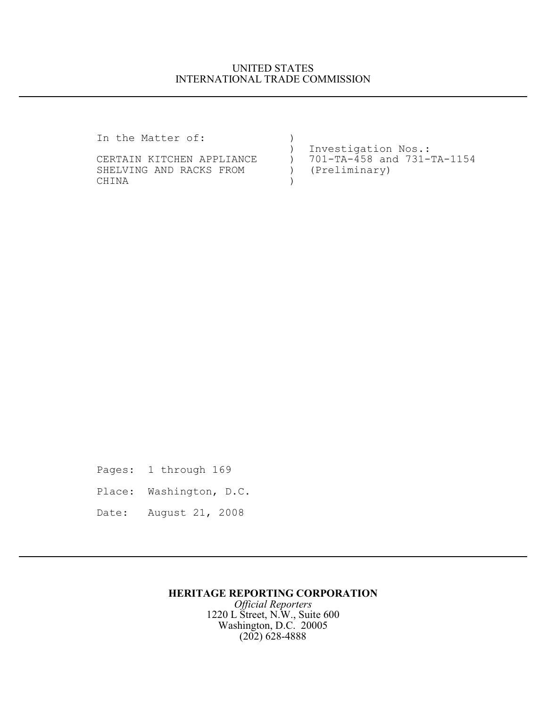## UNITED STATES INTERNATIONAL TRADE COMMISSION

In the Matter of: ) ) Investigation Nos.:<br>:-CERTAIN KITCHEN APPLIANCE (1997) 701-TA-458 and 731 ) 701-TA-458 and 731-TA-1154<br>) (Preliminary) SHELVING AND RACKS FROM ) CHINA (1999)

Pages: 1 through 169

- Place: Washington, D.C.
- Date: August 21, 2008

## **HERITAGE REPORTING CORPORATION**

*Official Reporters* 1220 L Street, N.W., Suite 600 Washington, D.C. 20005 (202) 628-4888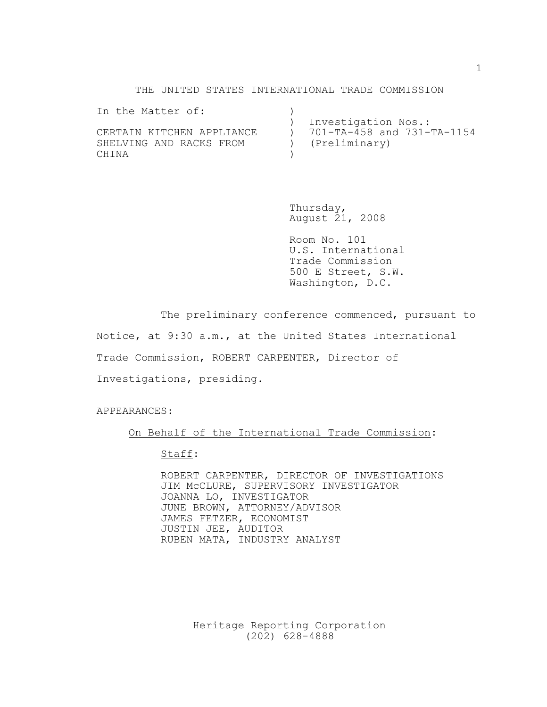#### THE UNITED STATES INTERNATIONAL TRADE COMMISSION

| In the Matter of:         |                            |
|---------------------------|----------------------------|
|                           | Investigation Nos.:        |
| CERTAIN KITCHEN APPLIANCE | 701-TA-458 and 731-TA-1154 |
| SHELVING AND RACKS FROM   | (Preliminary)              |
| CHINA                     |                            |

Thursday, August 21, 2008

Room No. 101 U.S. International Trade Commission 500 E Street, S.W. Washington, D.C.

The preliminary conference commenced, pursuant to

Notice, at 9:30 a.m., at the United States International

Trade Commission, ROBERT CARPENTER, Director of

Investigations, presiding.

APPEARANCES:

#### On Behalf of the International Trade Commission:

Staff:

ROBERT CARPENTER, DIRECTOR OF INVESTIGATIONS JIM McCLURE, SUPERVISORY INVESTIGATOR JOANNA LO, INVESTIGATOR JUNE BROWN, ATTORNEY/ADVISOR JAMES FETZER, ECONOMIST JUSTIN JEE, AUDITOR RUBEN MATA, INDUSTRY ANALYST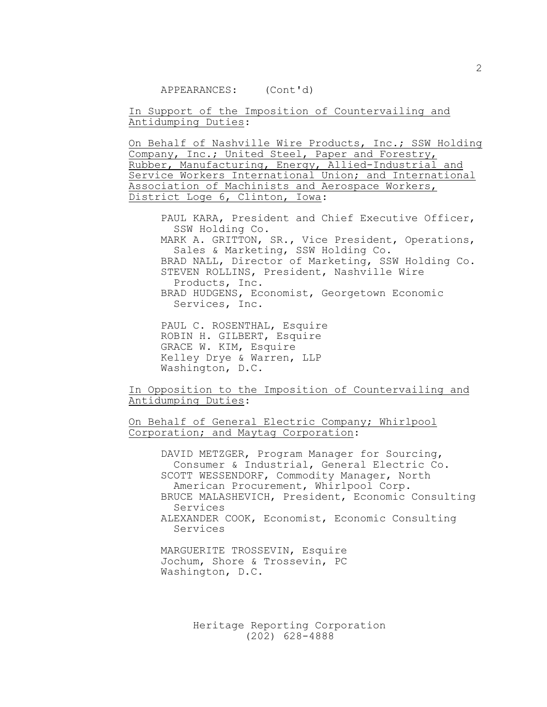APPEARANCES: (Cont'd)

In Support of the Imposition of Countervailing and Antidumping Duties:

On Behalf of Nashville Wire Products, Inc.; SSW Holding Company, Inc.; United Steel, Paper and Forestry, Rubber, Manufacturing, Energy, Allied-Industrial and Service Workers International Union; and International Association of Machinists and Aerospace Workers, District Loge 6, Clinton, Iowa:

PAUL KARA, President and Chief Executive Officer, SSW Holding Co. MARK A. GRITTON, SR., Vice President, Operations, Sales & Marketing, SSW Holding Co. BRAD NALL, Director of Marketing, SSW Holding Co. STEVEN ROLLINS, President, Nashville Wire Products, Inc. BRAD HUDGENS, Economist, Georgetown Economic Services, Inc.

PAUL C. ROSENTHAL, Esquire ROBIN H. GILBERT, Esquire GRACE W. KIM, Esquire Kelley Drye & Warren, LLP Washington, D.C.

In Opposition to the Imposition of Countervailing and Antidumping Duties:

On Behalf of General Electric Company; Whirlpool Corporation; and Maytag Corporation:

> DAVID METZGER, Program Manager for Sourcing, Consumer & Industrial, General Electric Co. SCOTT WESSENDORF, Commodity Manager, North American Procurement, Whirlpool Corp. BRUCE MALASHEVICH, President, Economic Consulting Services ALEXANDER COOK, Economist, Economic Consulting Services

MARGUERITE TROSSEVIN, Esquire Jochum, Shore & Trossevin, PC Washington, D.C.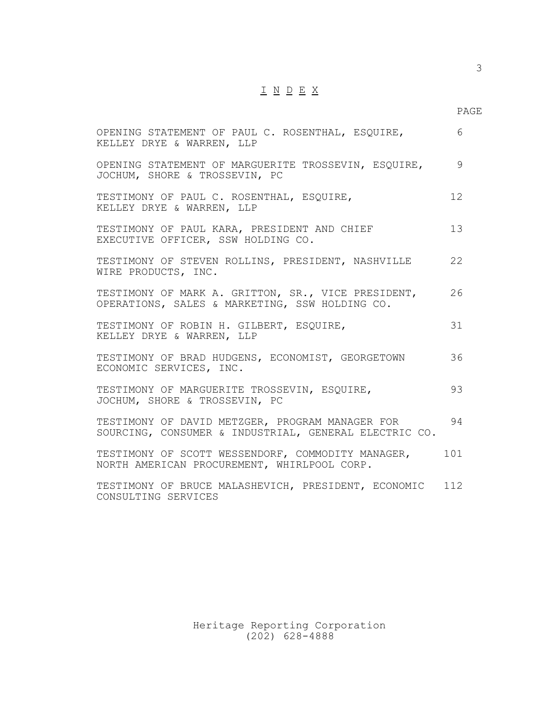# $\underline{\texttt{I}} \underline{\texttt{N}} \underline{\texttt{D}} \underline{\texttt{E}} \underline{\texttt{X}}$

# PAGE

| OPENING STATEMENT OF PAUL C. ROSENTHAL, ESQUIRE,<br>KELLEY DRYE & WARREN, LLP                            | 6   |
|----------------------------------------------------------------------------------------------------------|-----|
| OPENING STATEMENT OF MARGUERITE TROSSEVIN, ESQUIRE,<br>JOCHUM, SHORE & TROSSEVIN, PC                     | 9   |
| TESTIMONY OF PAUL C. ROSENTHAL, ESQUIRE,<br>KELLEY DRYE & WARREN, LLP                                    | 12  |
| TESTIMONY OF PAUL KARA, PRESIDENT AND CHIEF<br>EXECUTIVE OFFICER, SSW HOLDING CO.                        | 13  |
| TESTIMONY OF STEVEN ROLLINS, PRESIDENT, NASHVILLE<br>WIRE PRODUCTS, INC.                                 | 22  |
| TESTIMONY OF MARK A. GRITTON, SR., VICE PRESIDENT,<br>OPERATIONS, SALES & MARKETING, SSW HOLDING CO.     | 26  |
| TESTIMONY OF ROBIN H. GILBERT, ESQUIRE,<br>KELLEY DRYE & WARREN, LLP                                     | 31  |
| TESTIMONY OF BRAD HUDGENS, ECONOMIST, GEORGETOWN<br>ECONOMIC SERVICES, INC.                              | 36  |
| TESTIMONY OF MARGUERITE TROSSEVIN, ESQUIRE,<br>JOCHUM, SHORE & TROSSEVIN, PC                             | 93  |
| TESTIMONY OF DAVID METZGER, PROGRAM MANAGER FOR<br>SOURCING, CONSUMER & INDUSTRIAL, GENERAL ELECTRIC CO. | 94  |
| TESTIMONY OF SCOTT WESSENDORF, COMMODITY MANAGER,<br>NORTH AMERICAN PROCUREMENT, WHIRLPOOL CORP.         | 101 |
| TESTIMONY OF BRUCE MALASHEVICH, PRESIDENT, ECONOMIC<br>CONSULTING SERVICES                               | 112 |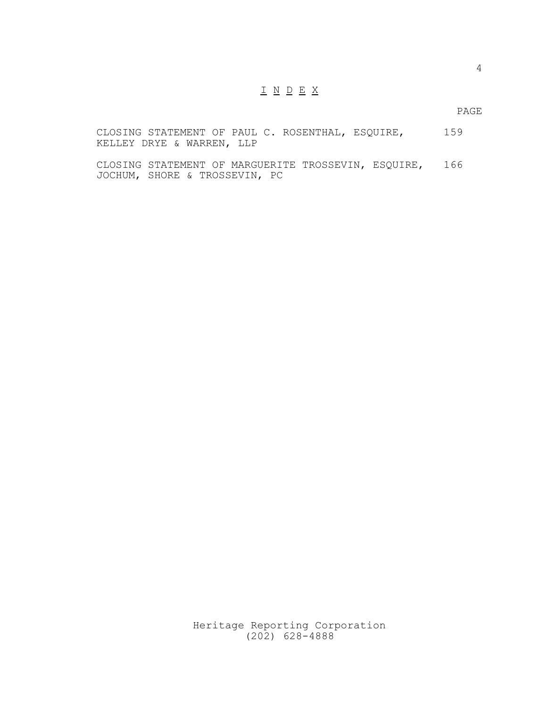#### I N D E X

PAGE

CLOSING STATEMENT OF PAUL C. ROSENTHAL, ESQUIRE, 159 KELLEY DRYE & WARREN, LLP

CLOSING STATEMENT OF MARGUERITE TROSSEVIN, ESQUIRE, 166 JOCHUM, SHORE & TROSSEVIN, PC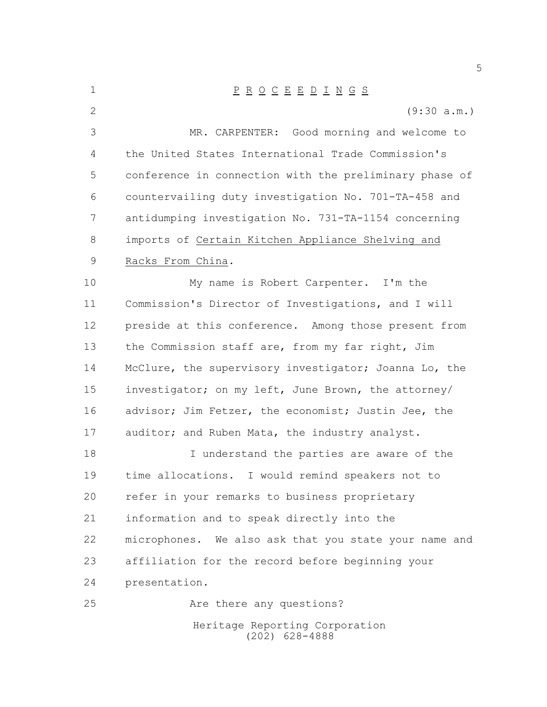Heritage Reporting Corporation (202) 628-4888 P R O C E E D I N G S (9:30 a.m.) MR. CARPENTER: Good morning and welcome to the United States International Trade Commission's conference in connection with the preliminary phase of countervailing duty investigation No. 701-TA-458 and antidumping investigation No. 731-TA-1154 concerning imports of Certain Kitchen Appliance Shelving and Racks From China. My name is Robert Carpenter. I'm the Commission's Director of Investigations, and I will preside at this conference. Among those present from 13 the Commission staff are, from my far right, Jim McClure, the supervisory investigator; Joanna Lo, the investigator; on my left, June Brown, the attorney/ 16 advisor; Jim Fetzer, the economist; Justin Jee, the 17 auditor; and Ruben Mata, the industry analyst. 18 I understand the parties are aware of the time allocations. I would remind speakers not to refer in your remarks to business proprietary information and to speak directly into the microphones. We also ask that you state your name and affiliation for the record before beginning your presentation. 25 Are there any questions?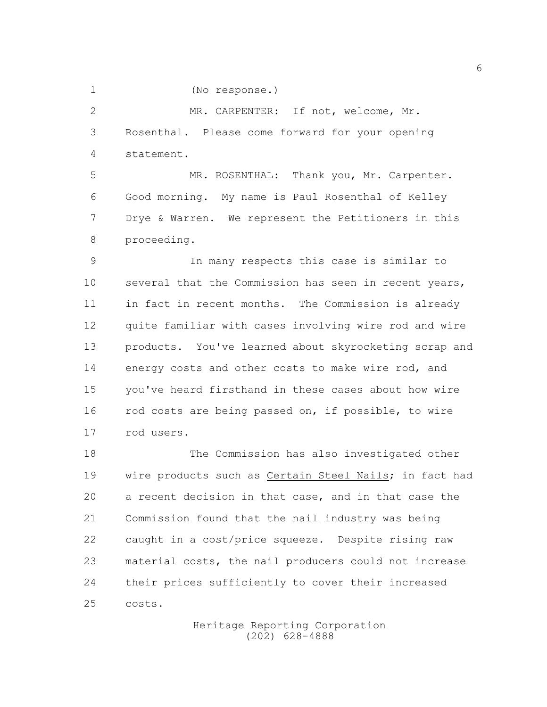(No response.)

 MR. CARPENTER: If not, welcome, Mr. Rosenthal. Please come forward for your opening statement.

 MR. ROSENTHAL: Thank you, Mr. Carpenter. Good morning. My name is Paul Rosenthal of Kelley Drye & Warren. We represent the Petitioners in this proceeding.

 In many respects this case is similar to several that the Commission has seen in recent years, in fact in recent months. The Commission is already quite familiar with cases involving wire rod and wire products. You've learned about skyrocketing scrap and 14 energy costs and other costs to make wire rod, and you've heard firsthand in these cases about how wire 16 rod costs are being passed on, if possible, to wire rod users.

 The Commission has also investigated other wire products such as Certain Steel Nails; in fact had a recent decision in that case, and in that case the Commission found that the nail industry was being caught in a cost/price squeeze. Despite rising raw material costs, the nail producers could not increase their prices sufficiently to cover their increased costs.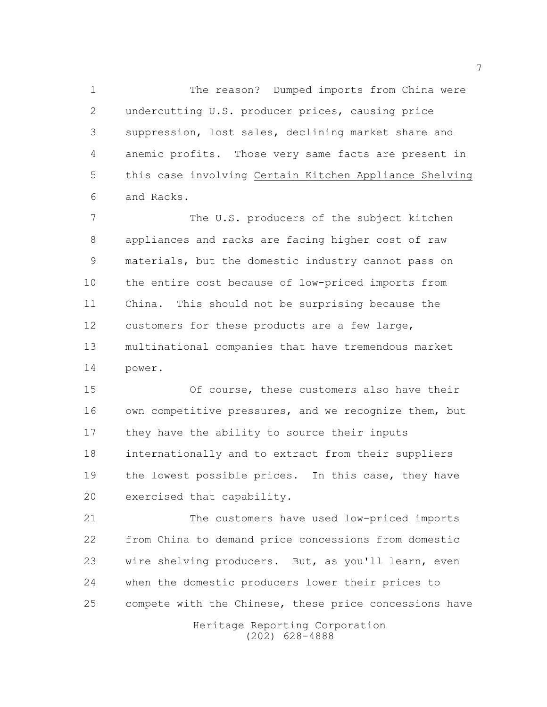The reason? Dumped imports from China were undercutting U.S. producer prices, causing price suppression, lost sales, declining market share and anemic profits. Those very same facts are present in this case involving Certain Kitchen Appliance Shelving and Racks.

 The U.S. producers of the subject kitchen appliances and racks are facing higher cost of raw materials, but the domestic industry cannot pass on the entire cost because of low-priced imports from China. This should not be surprising because the customers for these products are a few large, multinational companies that have tremendous market power.

 Of course, these customers also have their own competitive pressures, and we recognize them, but they have the ability to source their inputs internationally and to extract from their suppliers 19 the lowest possible prices. In this case, they have exercised that capability.

 The customers have used low-priced imports from China to demand price concessions from domestic wire shelving producers. But, as you'll learn, even when the domestic producers lower their prices to compete with the Chinese, these price concessions have

> Heritage Reporting Corporation (202) 628-4888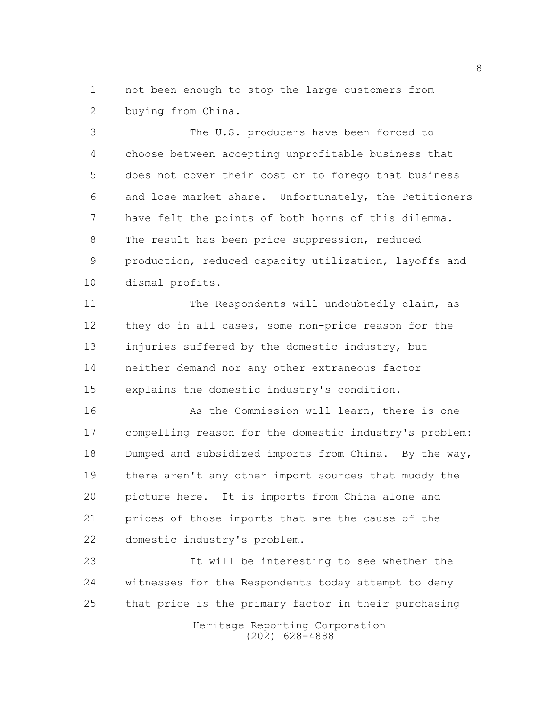not been enough to stop the large customers from buying from China.

 The U.S. producers have been forced to choose between accepting unprofitable business that does not cover their cost or to forego that business and lose market share. Unfortunately, the Petitioners have felt the points of both horns of this dilemma. The result has been price suppression, reduced production, reduced capacity utilization, layoffs and dismal profits.

11 The Respondents will undoubtedly claim, as they do in all cases, some non-price reason for the injuries suffered by the domestic industry, but neither demand nor any other extraneous factor explains the domestic industry's condition.

16 As the Commission will learn, there is one compelling reason for the domestic industry's problem: Dumped and subsidized imports from China. By the way, there aren't any other import sources that muddy the picture here. It is imports from China alone and prices of those imports that are the cause of the domestic industry's problem.

 It will be interesting to see whether the witnesses for the Respondents today attempt to deny that price is the primary factor in their purchasing

> Heritage Reporting Corporation (202) 628-4888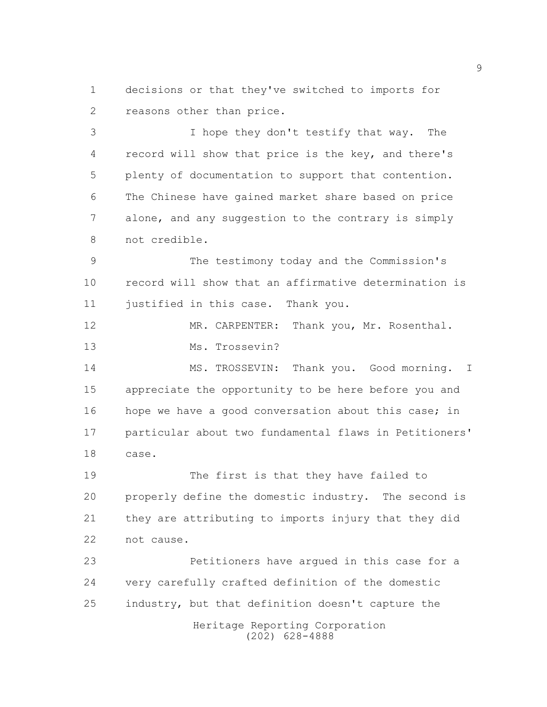decisions or that they've switched to imports for reasons other than price.

 I hope they don't testify that way. The record will show that price is the key, and there's plenty of documentation to support that contention. The Chinese have gained market share based on price alone, and any suggestion to the contrary is simply not credible.

 The testimony today and the Commission's record will show that an affirmative determination is 11 justified in this case. Thank you.

12 MR. CARPENTER: Thank you, Mr. Rosenthal. Ms. Trossevin?

14 MS. TROSSEVIN: Thank you. Good morning. I appreciate the opportunity to be here before you and 16 hope we have a good conversation about this case; in particular about two fundamental flaws in Petitioners' case.

 The first is that they have failed to properly define the domestic industry. The second is they are attributing to imports injury that they did not cause.

 Petitioners have argued in this case for a very carefully crafted definition of the domestic industry, but that definition doesn't capture the

> Heritage Reporting Corporation (202) 628-4888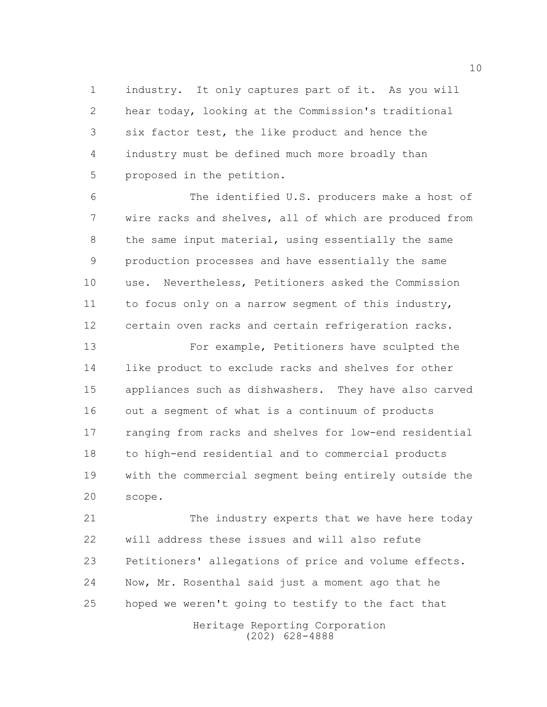industry. It only captures part of it. As you will hear today, looking at the Commission's traditional six factor test, the like product and hence the industry must be defined much more broadly than proposed in the petition.

 The identified U.S. producers make a host of wire racks and shelves, all of which are produced from the same input material, using essentially the same production processes and have essentially the same use. Nevertheless, Petitioners asked the Commission to focus only on a narrow segment of this industry, certain oven racks and certain refrigeration racks.

13 For example, Petitioners have sculpted the like product to exclude racks and shelves for other appliances such as dishwashers. They have also carved out a segment of what is a continuum of products ranging from racks and shelves for low-end residential to high-end residential and to commercial products with the commercial segment being entirely outside the scope.

 The industry experts that we have here today will address these issues and will also refute Petitioners' allegations of price and volume effects. Now, Mr. Rosenthal said just a moment ago that he hoped we weren't going to testify to the fact that

> Heritage Reporting Corporation (202) 628-4888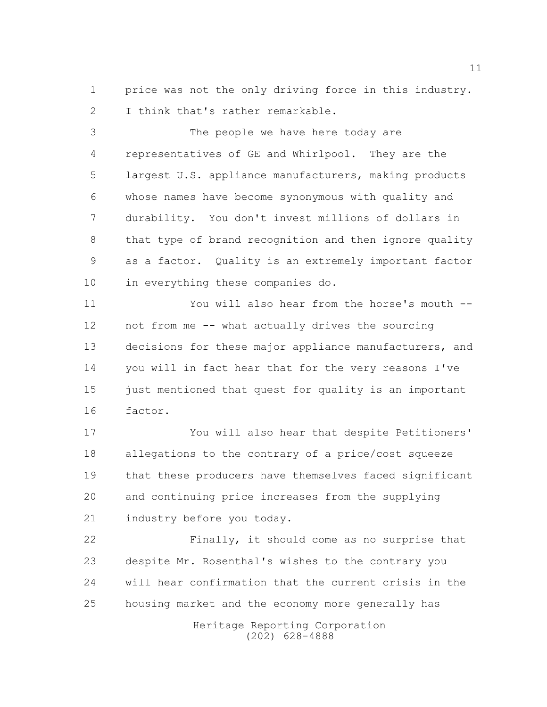price was not the only driving force in this industry. 2 I think that's rather remarkable.

 The people we have here today are representatives of GE and Whirlpool. They are the largest U.S. appliance manufacturers, making products whose names have become synonymous with quality and durability. You don't invest millions of dollars in that type of brand recognition and then ignore quality as a factor. Quality is an extremely important factor in everything these companies do.

 You will also hear from the horse's mouth -- not from me -- what actually drives the sourcing 13 decisions for these major appliance manufacturers, and you will in fact hear that for the very reasons I've just mentioned that quest for quality is an important factor.

 You will also hear that despite Petitioners' allegations to the contrary of a price/cost squeeze that these producers have themselves faced significant and continuing price increases from the supplying industry before you today.

 Finally, it should come as no surprise that despite Mr. Rosenthal's wishes to the contrary you will hear confirmation that the current crisis in the housing market and the economy more generally has

> Heritage Reporting Corporation (202) 628-4888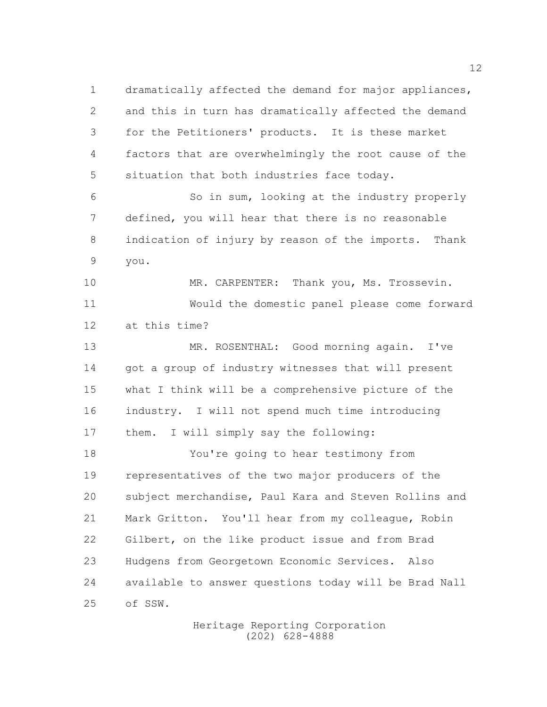dramatically affected the demand for major appliances, and this in turn has dramatically affected the demand for the Petitioners' products. It is these market factors that are overwhelmingly the root cause of the situation that both industries face today. So in sum, looking at the industry properly defined, you will hear that there is no reasonable indication of injury by reason of the imports. Thank you. 10 MR. CARPENTER: Thank you, Ms. Trossevin. Would the domestic panel please come forward at this time? MR. ROSENTHAL: Good morning again. I've got a group of industry witnesses that will present what I think will be a comprehensive picture of the industry. I will not spend much time introducing them. I will simply say the following: You're going to hear testimony from representatives of the two major producers of the subject merchandise, Paul Kara and Steven Rollins and Mark Gritton. You'll hear from my colleague, Robin Gilbert, on the like product issue and from Brad Hudgens from Georgetown Economic Services. Also available to answer questions today will be Brad Nall of SSW.

> Heritage Reporting Corporation (202) 628-4888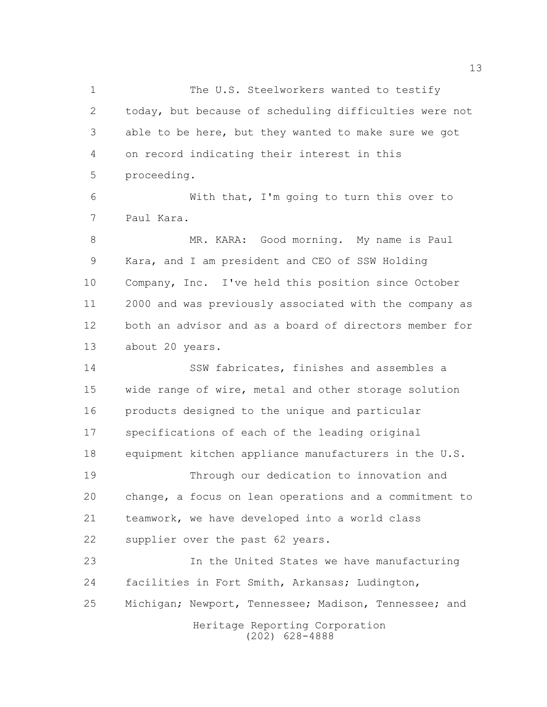1 The U.S. Steelworkers wanted to testify today, but because of scheduling difficulties were not able to be here, but they wanted to make sure we got on record indicating their interest in this proceeding.

 With that, I'm going to turn this over to Paul Kara.

 MR. KARA: Good morning. My name is Paul Kara, and I am president and CEO of SSW Holding Company, Inc. I've held this position since October 2000 and was previously associated with the company as both an advisor and as a board of directors member for about 20 years.

 SSW fabricates, finishes and assembles a wide range of wire, metal and other storage solution products designed to the unique and particular specifications of each of the leading original equipment kitchen appliance manufacturers in the U.S. Through our dedication to innovation and change, a focus on lean operations and a commitment to teamwork, we have developed into a world class

supplier over the past 62 years.

Heritage Reporting Corporation (202) 628-4888 In the United States we have manufacturing facilities in Fort Smith, Arkansas; Ludington, 25 Michigan; Newport, Tennessee; Madison, Tennessee; and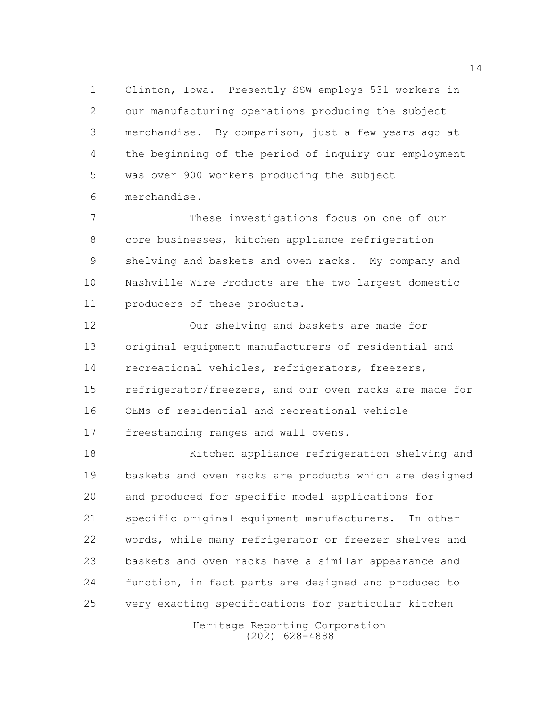Clinton, Iowa. Presently SSW employs 531 workers in our manufacturing operations producing the subject merchandise. By comparison, just a few years ago at the beginning of the period of inquiry our employment was over 900 workers producing the subject merchandise.

 These investigations focus on one of our core businesses, kitchen appliance refrigeration shelving and baskets and oven racks. My company and Nashville Wire Products are the two largest domestic producers of these products.

 Our shelving and baskets are made for original equipment manufacturers of residential and recreational vehicles, refrigerators, freezers, refrigerator/freezers, and our oven racks are made for OEMs of residential and recreational vehicle freestanding ranges and wall ovens.

 Kitchen appliance refrigeration shelving and baskets and oven racks are products which are designed and produced for specific model applications for specific original equipment manufacturers. In other words, while many refrigerator or freezer shelves and baskets and oven racks have a similar appearance and function, in fact parts are designed and produced to very exacting specifications for particular kitchen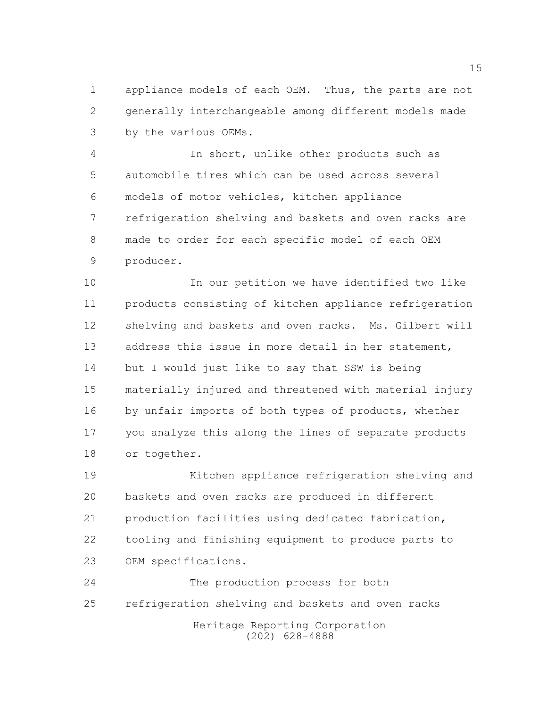appliance models of each OEM. Thus, the parts are not generally interchangeable among different models made by the various OEMs.

 In short, unlike other products such as automobile tires which can be used across several models of motor vehicles, kitchen appliance refrigeration shelving and baskets and oven racks are made to order for each specific model of each OEM producer.

 In our petition we have identified two like products consisting of kitchen appliance refrigeration shelving and baskets and oven racks. Ms. Gilbert will address this issue in more detail in her statement, but I would just like to say that SSW is being materially injured and threatened with material injury 16 by unfair imports of both types of products, whether you analyze this along the lines of separate products or together.

 Kitchen appliance refrigeration shelving and baskets and oven racks are produced in different production facilities using dedicated fabrication, tooling and finishing equipment to produce parts to OEM specifications.

Heritage Reporting Corporation (202) 628-4888 The production process for both refrigeration shelving and baskets and oven racks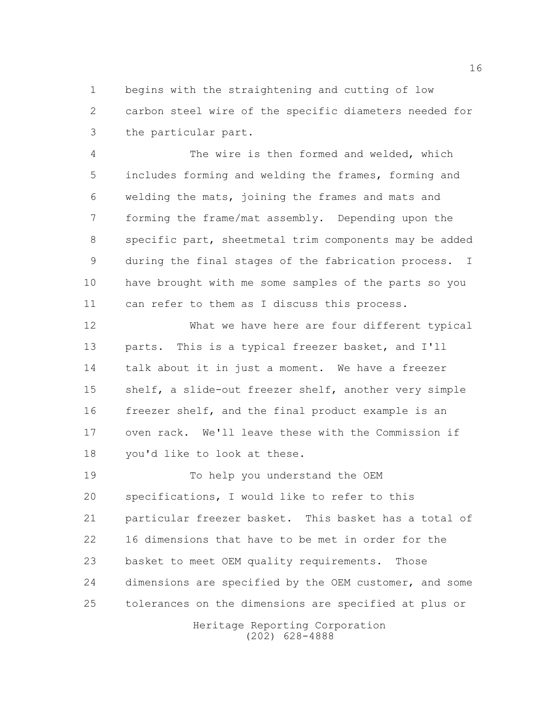begins with the straightening and cutting of low carbon steel wire of the specific diameters needed for the particular part.

 The wire is then formed and welded, which includes forming and welding the frames, forming and welding the mats, joining the frames and mats and forming the frame/mat assembly. Depending upon the specific part, sheetmetal trim components may be added during the final stages of the fabrication process. I have brought with me some samples of the parts so you can refer to them as I discuss this process.

 What we have here are four different typical parts. This is a typical freezer basket, and I'll talk about it in just a moment. We have a freezer shelf, a slide-out freezer shelf, another very simple freezer shelf, and the final product example is an oven rack. We'll leave these with the Commission if you'd like to look at these.

 To help you understand the OEM specifications, I would like to refer to this particular freezer basket. This basket has a total of 16 dimensions that have to be met in order for the basket to meet OEM quality requirements. Those dimensions are specified by the OEM customer, and some tolerances on the dimensions are specified at plus or

Heritage Reporting Corporation (202) 628-4888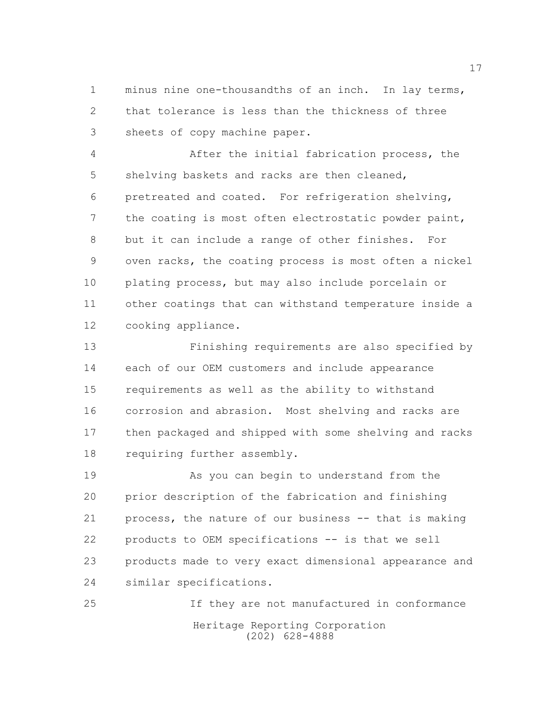minus nine one-thousandths of an inch. In lay terms, that tolerance is less than the thickness of three sheets of copy machine paper.

 After the initial fabrication process, the shelving baskets and racks are then cleaned, pretreated and coated. For refrigeration shelving, the coating is most often electrostatic powder paint, but it can include a range of other finishes. For oven racks, the coating process is most often a nickel plating process, but may also include porcelain or other coatings that can withstand temperature inside a cooking appliance.

 Finishing requirements are also specified by each of our OEM customers and include appearance requirements as well as the ability to withstand corrosion and abrasion. Most shelving and racks are then packaged and shipped with some shelving and racks requiring further assembly.

 As you can begin to understand from the prior description of the fabrication and finishing process, the nature of our business -- that is making products to OEM specifications -- is that we sell products made to very exact dimensional appearance and similar specifications.

Heritage Reporting Corporation (202) 628-4888 If they are not manufactured in conformance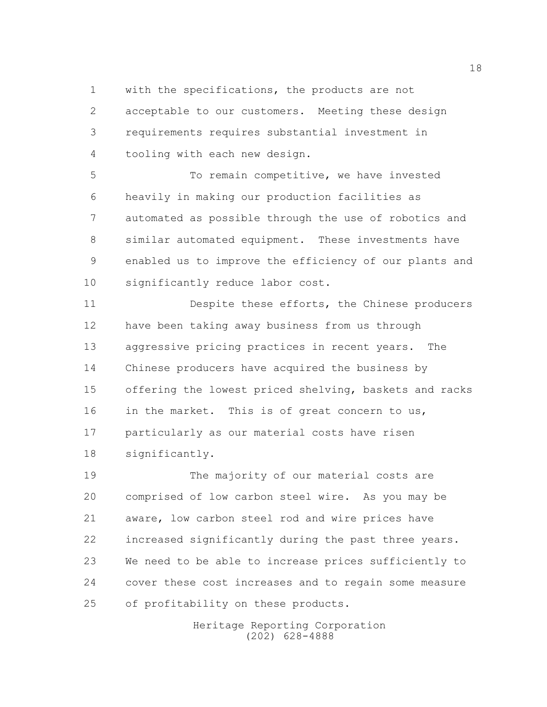with the specifications, the products are not acceptable to our customers. Meeting these design requirements requires substantial investment in tooling with each new design.

 To remain competitive, we have invested heavily in making our production facilities as automated as possible through the use of robotics and similar automated equipment. These investments have enabled us to improve the efficiency of our plants and significantly reduce labor cost.

 Despite these efforts, the Chinese producers have been taking away business from us through aggressive pricing practices in recent years. The Chinese producers have acquired the business by offering the lowest priced shelving, baskets and racks 16 in the market. This is of great concern to us, particularly as our material costs have risen significantly.

19 The majority of our material costs are comprised of low carbon steel wire. As you may be aware, low carbon steel rod and wire prices have increased significantly during the past three years. We need to be able to increase prices sufficiently to cover these cost increases and to regain some measure of profitability on these products.

> Heritage Reporting Corporation (202) 628-4888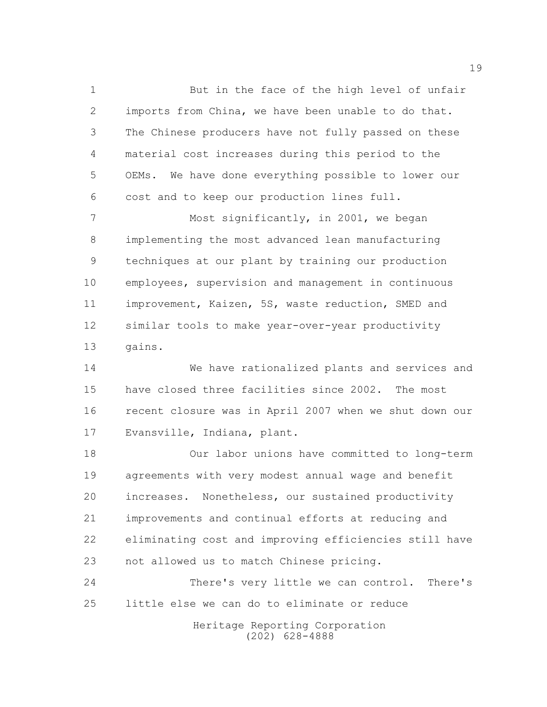But in the face of the high level of unfair imports from China, we have been unable to do that. The Chinese producers have not fully passed on these material cost increases during this period to the OEMs. We have done everything possible to lower our cost and to keep our production lines full.

 Most significantly, in 2001, we began implementing the most advanced lean manufacturing techniques at our plant by training our production employees, supervision and management in continuous improvement, Kaizen, 5S, waste reduction, SMED and similar tools to make year-over-year productivity gains.

 We have rationalized plants and services and have closed three facilities since 2002. The most recent closure was in April 2007 when we shut down our Evansville, Indiana, plant.

 Our labor unions have committed to long-term agreements with very modest annual wage and benefit increases. Nonetheless, our sustained productivity improvements and continual efforts at reducing and eliminating cost and improving efficiencies still have not allowed us to match Chinese pricing.

 There's very little we can control. There's little else we can do to eliminate or reduce

> Heritage Reporting Corporation (202) 628-4888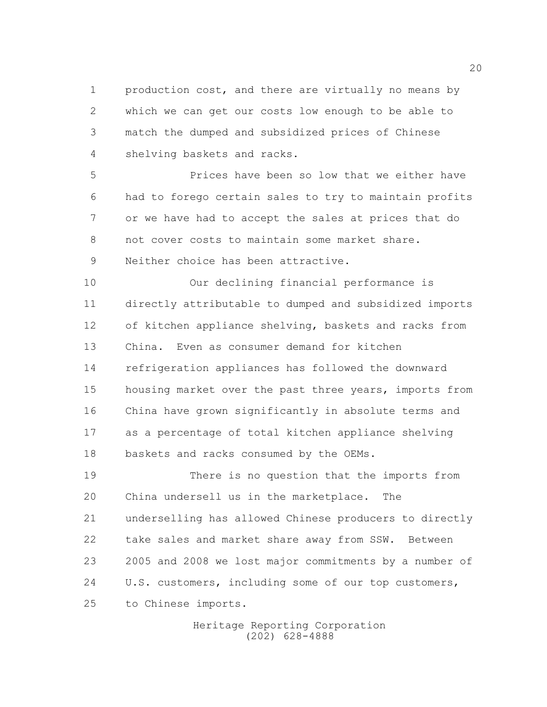production cost, and there are virtually no means by which we can get our costs low enough to be able to match the dumped and subsidized prices of Chinese shelving baskets and racks.

 Prices have been so low that we either have had to forego certain sales to try to maintain profits or we have had to accept the sales at prices that do not cover costs to maintain some market share. Neither choice has been attractive.

 Our declining financial performance is directly attributable to dumped and subsidized imports of kitchen appliance shelving, baskets and racks from China. Even as consumer demand for kitchen refrigeration appliances has followed the downward housing market over the past three years, imports from China have grown significantly in absolute terms and as a percentage of total kitchen appliance shelving baskets and racks consumed by the OEMs.

 There is no question that the imports from China undersell us in the marketplace. The underselling has allowed Chinese producers to directly take sales and market share away from SSW. Between 2005 and 2008 we lost major commitments by a number of U.S. customers, including some of our top customers, to Chinese imports.

> Heritage Reporting Corporation (202) 628-4888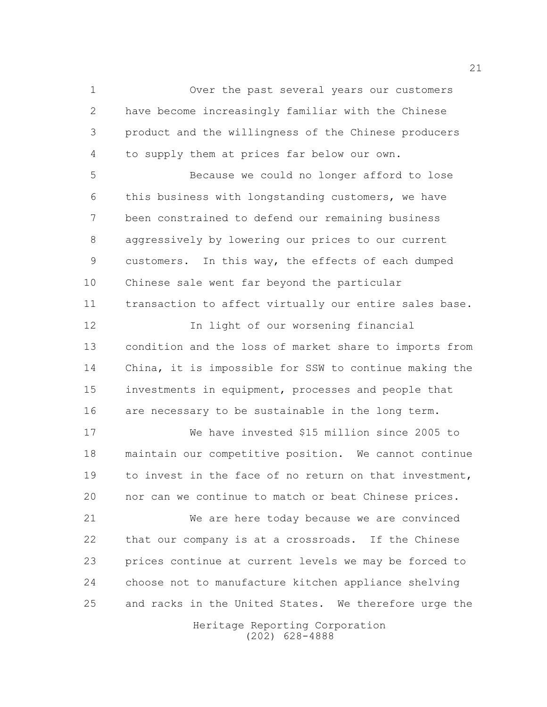Over the past several years our customers have become increasingly familiar with the Chinese product and the willingness of the Chinese producers to supply them at prices far below our own.

 Because we could no longer afford to lose this business with longstanding customers, we have been constrained to defend our remaining business aggressively by lowering our prices to our current customers. In this way, the effects of each dumped Chinese sale went far beyond the particular transaction to affect virtually our entire sales base.

12 In light of our worsening financial condition and the loss of market share to imports from China, it is impossible for SSW to continue making the investments in equipment, processes and people that are necessary to be sustainable in the long term.

 We have invested \$15 million since 2005 to maintain our competitive position. We cannot continue to invest in the face of no return on that investment, nor can we continue to match or beat Chinese prices.

 We are here today because we are convinced that our company is at a crossroads. If the Chinese prices continue at current levels we may be forced to choose not to manufacture kitchen appliance shelving and racks in the United States. We therefore urge the

> Heritage Reporting Corporation (202) 628-4888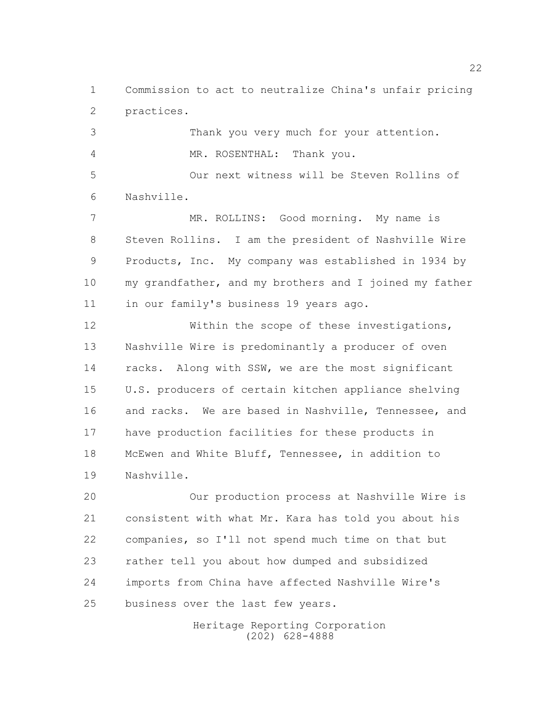Commission to act to neutralize China's unfair pricing practices.

 Thank you very much for your attention. MR. ROSENTHAL: Thank you.

 Our next witness will be Steven Rollins of Nashville.

 MR. ROLLINS: Good morning. My name is Steven Rollins. I am the president of Nashville Wire Products, Inc. My company was established in 1934 by my grandfather, and my brothers and I joined my father in our family's business 19 years ago.

12 Within the scope of these investigations, Nashville Wire is predominantly a producer of oven 14 racks. Along with SSW, we are the most significant U.S. producers of certain kitchen appliance shelving and racks. We are based in Nashville, Tennessee, and have production facilities for these products in McEwen and White Bluff, Tennessee, in addition to Nashville.

 Our production process at Nashville Wire is consistent with what Mr. Kara has told you about his companies, so I'll not spend much time on that but rather tell you about how dumped and subsidized imports from China have affected Nashville Wire's business over the last few years.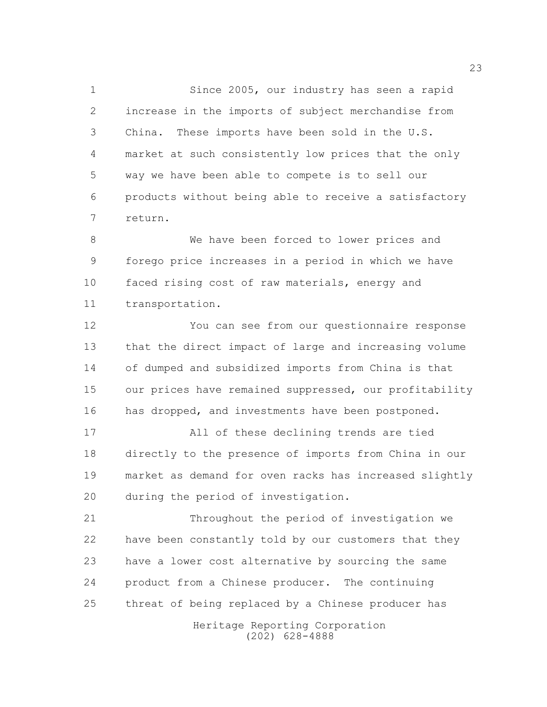Since 2005, our industry has seen a rapid increase in the imports of subject merchandise from China. These imports have been sold in the U.S. market at such consistently low prices that the only way we have been able to compete is to sell our products without being able to receive a satisfactory return.

 We have been forced to lower prices and forego price increases in a period in which we have faced rising cost of raw materials, energy and transportation.

 You can see from our questionnaire response that the direct impact of large and increasing volume of dumped and subsidized imports from China is that 15 our prices have remained suppressed, our profitability has dropped, and investments have been postponed.

 All of these declining trends are tied directly to the presence of imports from China in our market as demand for oven racks has increased slightly during the period of investigation.

 Throughout the period of investigation we have been constantly told by our customers that they have a lower cost alternative by sourcing the same product from a Chinese producer. The continuing threat of being replaced by a Chinese producer has

> Heritage Reporting Corporation (202) 628-4888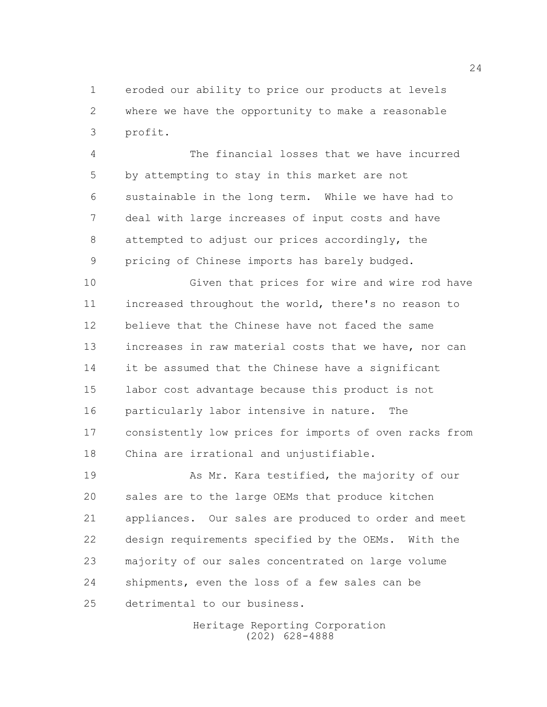eroded our ability to price our products at levels where we have the opportunity to make a reasonable profit.

 The financial losses that we have incurred by attempting to stay in this market are not sustainable in the long term. While we have had to deal with large increases of input costs and have attempted to adjust our prices accordingly, the pricing of Chinese imports has barely budged.

 Given that prices for wire and wire rod have increased throughout the world, there's no reason to believe that the Chinese have not faced the same increases in raw material costs that we have, nor can it be assumed that the Chinese have a significant labor cost advantage because this product is not particularly labor intensive in nature. The consistently low prices for imports of oven racks from China are irrational and unjustifiable.

19 As Mr. Kara testified, the majority of our sales are to the large OEMs that produce kitchen appliances. Our sales are produced to order and meet design requirements specified by the OEMs. With the majority of our sales concentrated on large volume shipments, even the loss of a few sales can be detrimental to our business.

> Heritage Reporting Corporation (202) 628-4888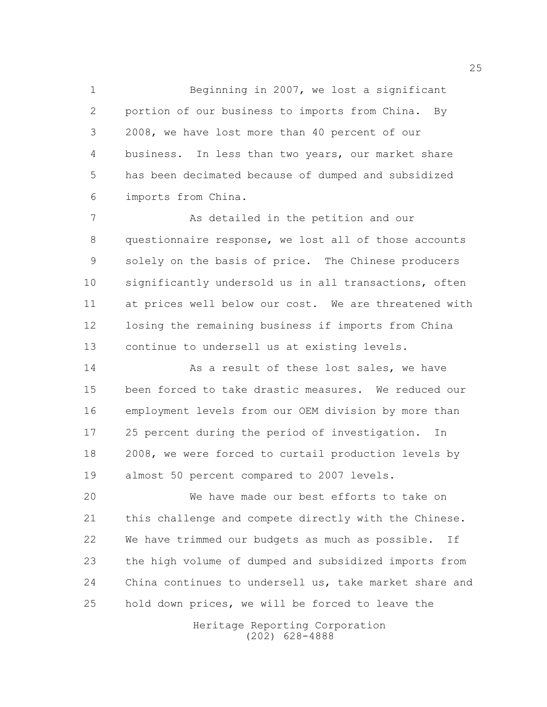Beginning in 2007, we lost a significant portion of our business to imports from China. By 2008, we have lost more than 40 percent of our business. In less than two years, our market share has been decimated because of dumped and subsidized imports from China.

7 As detailed in the petition and our questionnaire response, we lost all of those accounts solely on the basis of price. The Chinese producers significantly undersold us in all transactions, often at prices well below our cost. We are threatened with losing the remaining business if imports from China continue to undersell us at existing levels.

14 As a result of these lost sales, we have been forced to take drastic measures. We reduced our employment levels from our OEM division by more than 25 percent during the period of investigation. In 2008, we were forced to curtail production levels by almost 50 percent compared to 2007 levels.

 We have made our best efforts to take on this challenge and compete directly with the Chinese. We have trimmed our budgets as much as possible. If the high volume of dumped and subsidized imports from China continues to undersell us, take market share and hold down prices, we will be forced to leave the

> Heritage Reporting Corporation (202) 628-4888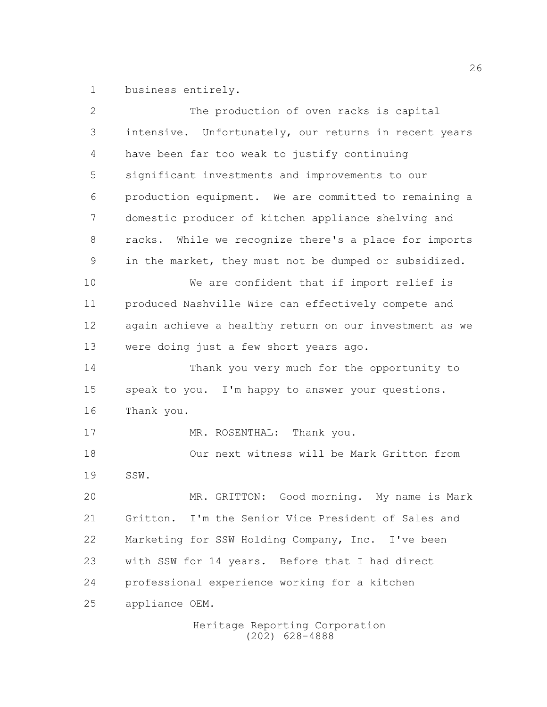business entirely.

| 2  | The production of oven racks is capital                |
|----|--------------------------------------------------------|
| 3  | intensive. Unfortunately, our returns in recent years  |
| 4  | have been far too weak to justify continuing           |
| 5  | significant investments and improvements to our        |
| 6  | production equipment. We are committed to remaining a  |
| 7  | domestic producer of kitchen appliance shelving and    |
| 8  | racks. While we recognize there's a place for imports  |
| 9  | in the market, they must not be dumped or subsidized.  |
| 10 | We are confident that if import relief is              |
| 11 | produced Nashville Wire can effectively compete and    |
| 12 | again achieve a healthy return on our investment as we |
| 13 | were doing just a few short years ago.                 |
| 14 | Thank you very much for the opportunity to             |
| 15 | speak to you. I'm happy to answer your questions.      |
| 16 | Thank you.                                             |
| 17 | MR. ROSENTHAL: Thank you.                              |
| 18 | Our next witness will be Mark Gritton from             |
| 19 | SSW.                                                   |
| 20 | MR. GRITTON: Good morning. My name is Mark             |
| 21 | Gritton. I'm the Senior Vice President of Sales and    |
| 22 | Marketing for SSW Holding Company, Inc. I've been      |
| 23 | with SSW for 14 years. Before that I had direct        |
| 24 | professional experience working for a kitchen          |
| 25 | appliance OEM.                                         |
|    | Heritage Reporting Corporation                         |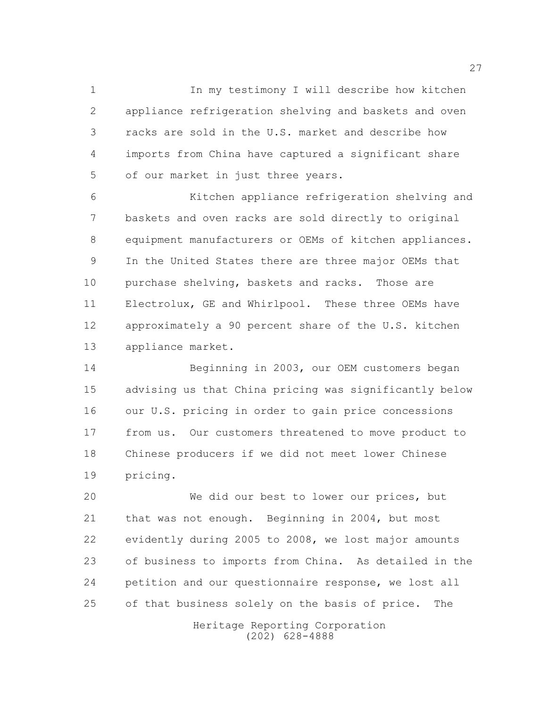In my testimony I will describe how kitchen appliance refrigeration shelving and baskets and oven racks are sold in the U.S. market and describe how imports from China have captured a significant share of our market in just three years.

 Kitchen appliance refrigeration shelving and baskets and oven racks are sold directly to original equipment manufacturers or OEMs of kitchen appliances. In the United States there are three major OEMs that 10 purchase shelving, baskets and racks. Those are Electrolux, GE and Whirlpool. These three OEMs have approximately a 90 percent share of the U.S. kitchen appliance market.

 Beginning in 2003, our OEM customers began advising us that China pricing was significantly below our U.S. pricing in order to gain price concessions from us. Our customers threatened to move product to Chinese producers if we did not meet lower Chinese pricing.

 We did our best to lower our prices, but that was not enough. Beginning in 2004, but most evidently during 2005 to 2008, we lost major amounts of business to imports from China. As detailed in the petition and our questionnaire response, we lost all of that business solely on the basis of price. The

> Heritage Reporting Corporation (202) 628-4888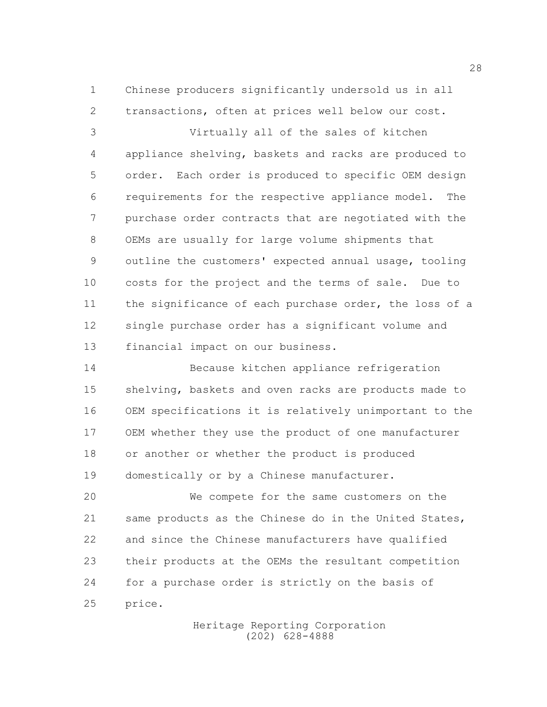Chinese producers significantly undersold us in all transactions, often at prices well below our cost.

 Virtually all of the sales of kitchen appliance shelving, baskets and racks are produced to order. Each order is produced to specific OEM design requirements for the respective appliance model. The purchase order contracts that are negotiated with the OEMs are usually for large volume shipments that outline the customers' expected annual usage, tooling costs for the project and the terms of sale. Due to the significance of each purchase order, the loss of a single purchase order has a significant volume and financial impact on our business.

 Because kitchen appliance refrigeration shelving, baskets and oven racks are products made to OEM specifications it is relatively unimportant to the OEM whether they use the product of one manufacturer 18 or another or whether the product is produced domestically or by a Chinese manufacturer.

 We compete for the same customers on the same products as the Chinese do in the United States, and since the Chinese manufacturers have qualified their products at the OEMs the resultant competition for a purchase order is strictly on the basis of price.

> Heritage Reporting Corporation (202) 628-4888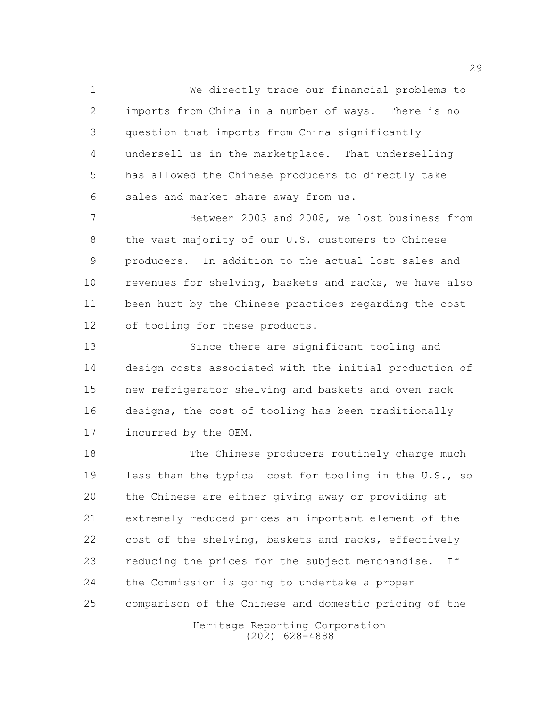We directly trace our financial problems to imports from China in a number of ways. There is no question that imports from China significantly undersell us in the marketplace. That underselling has allowed the Chinese producers to directly take sales and market share away from us.

 Between 2003 and 2008, we lost business from the vast majority of our U.S. customers to Chinese producers. In addition to the actual lost sales and revenues for shelving, baskets and racks, we have also been hurt by the Chinese practices regarding the cost of tooling for these products.

13 Since there are significant tooling and design costs associated with the initial production of new refrigerator shelving and baskets and oven rack designs, the cost of tooling has been traditionally incurred by the OEM.

 The Chinese producers routinely charge much less than the typical cost for tooling in the U.S., so the Chinese are either giving away or providing at extremely reduced prices an important element of the 22 cost of the shelving, baskets and racks, effectively reducing the prices for the subject merchandise. If the Commission is going to undertake a proper comparison of the Chinese and domestic pricing of the

> Heritage Reporting Corporation (202) 628-4888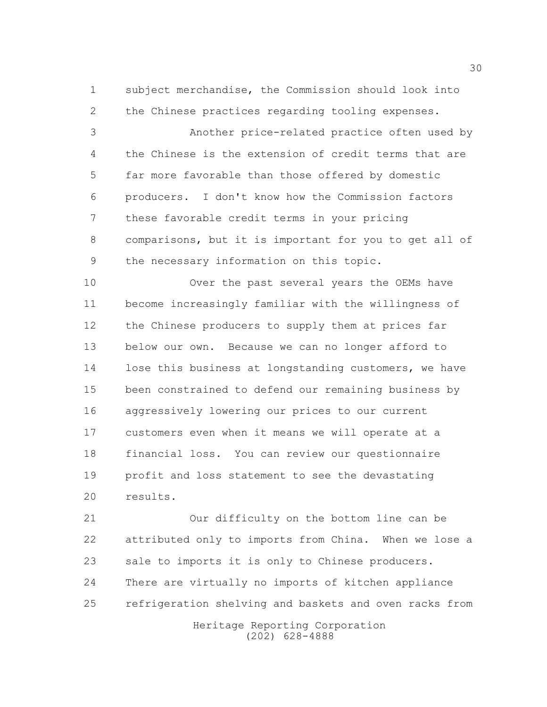subject merchandise, the Commission should look into the Chinese practices regarding tooling expenses.

 Another price-related practice often used by the Chinese is the extension of credit terms that are far more favorable than those offered by domestic producers. I don't know how the Commission factors these favorable credit terms in your pricing comparisons, but it is important for you to get all of the necessary information on this topic.

10 Over the past several years the OEMs have become increasingly familiar with the willingness of the Chinese producers to supply them at prices far below our own. Because we can no longer afford to 14 lose this business at longstanding customers, we have been constrained to defend our remaining business by aggressively lowering our prices to our current customers even when it means we will operate at a financial loss. You can review our questionnaire profit and loss statement to see the devastating results.

 Our difficulty on the bottom line can be attributed only to imports from China. When we lose a sale to imports it is only to Chinese producers. There are virtually no imports of kitchen appliance refrigeration shelving and baskets and oven racks from

Heritage Reporting Corporation (202) 628-4888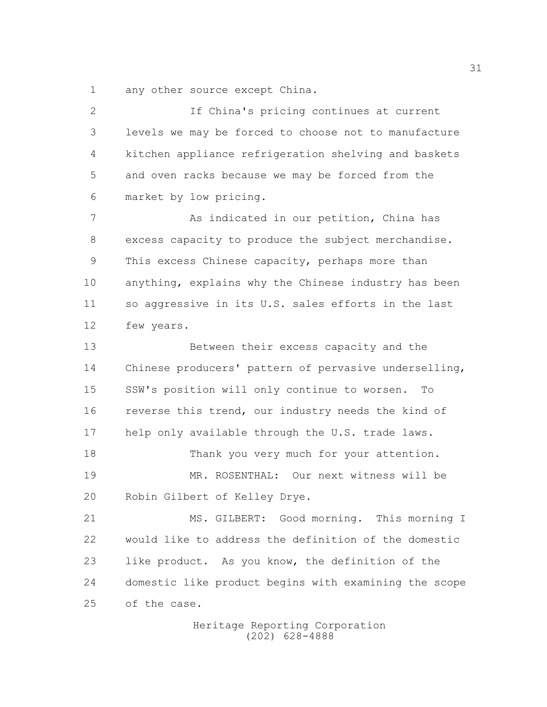any other source except China.

 If China's pricing continues at current levels we may be forced to choose not to manufacture kitchen appliance refrigeration shelving and baskets and oven racks because we may be forced from the market by low pricing. As indicated in our petition, China has excess capacity to produce the subject merchandise. This excess Chinese capacity, perhaps more than anything, explains why the Chinese industry has been so aggressive in its U.S. sales efforts in the last few years. Between their excess capacity and the Chinese producers' pattern of pervasive underselling, SSW's position will only continue to worsen. To 16 reverse this trend, our industry needs the kind of help only available through the U.S. trade laws. 18 Thank you very much for your attention. MR. ROSENTHAL: Our next witness will be Robin Gilbert of Kelley Drye. MS. GILBERT: Good morning. This morning I would like to address the definition of the domestic

 domestic like product begins with examining the scope of the case.

like product. As you know, the definition of the

Heritage Reporting Corporation (202) 628-4888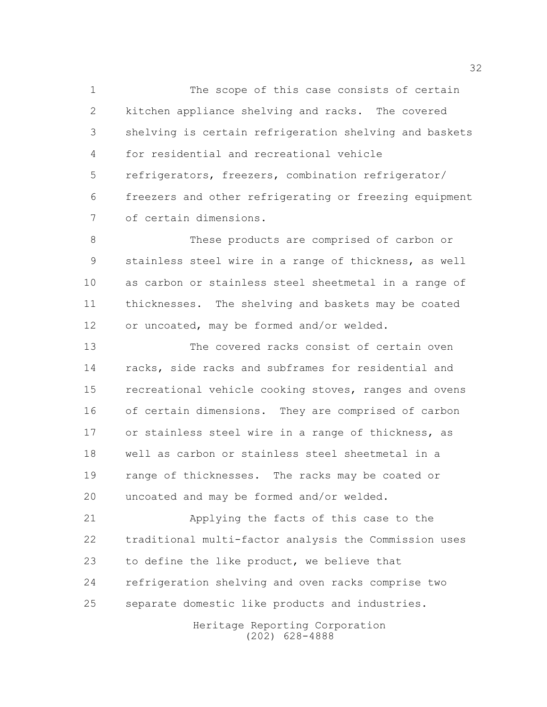The scope of this case consists of certain kitchen appliance shelving and racks. The covered shelving is certain refrigeration shelving and baskets for residential and recreational vehicle refrigerators, freezers, combination refrigerator/ freezers and other refrigerating or freezing equipment of certain dimensions.

 These products are comprised of carbon or stainless steel wire in a range of thickness, as well as carbon or stainless steel sheetmetal in a range of thicknesses. The shelving and baskets may be coated or uncoated, may be formed and/or welded.

 The covered racks consist of certain oven racks, side racks and subframes for residential and recreational vehicle cooking stoves, ranges and ovens of certain dimensions. They are comprised of carbon or stainless steel wire in a range of thickness, as well as carbon or stainless steel sheetmetal in a range of thicknesses. The racks may be coated or uncoated and may be formed and/or welded.

 Applying the facts of this case to the traditional multi-factor analysis the Commission uses to define the like product, we believe that refrigeration shelving and oven racks comprise two separate domestic like products and industries.

> Heritage Reporting Corporation (202) 628-4888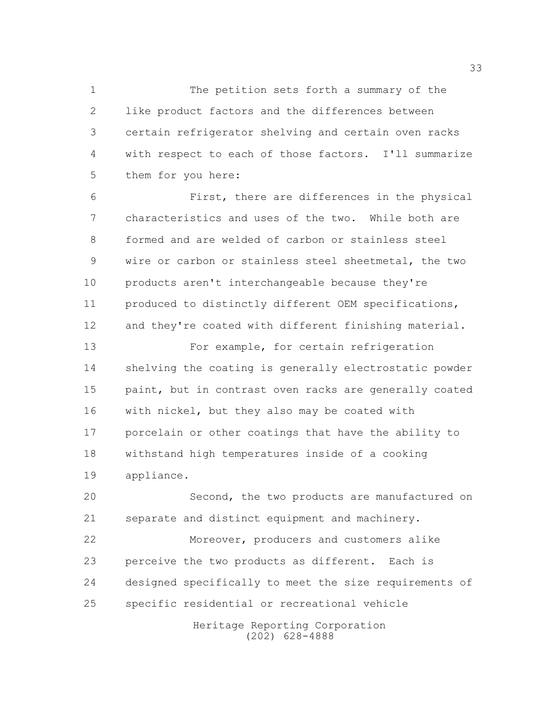The petition sets forth a summary of the like product factors and the differences between certain refrigerator shelving and certain oven racks with respect to each of those factors. I'll summarize them for you here:

 First, there are differences in the physical characteristics and uses of the two. While both are formed and are welded of carbon or stainless steel wire or carbon or stainless steel sheetmetal, the two products aren't interchangeable because they're produced to distinctly different OEM specifications, and they're coated with different finishing material.

13 For example, for certain refrigeration shelving the coating is generally electrostatic powder 15 paint, but in contrast oven racks are generally coated with nickel, but they also may be coated with porcelain or other coatings that have the ability to withstand high temperatures inside of a cooking appliance.

 Second, the two products are manufactured on separate and distinct equipment and machinery.

 Moreover, producers and customers alike perceive the two products as different. Each is designed specifically to meet the size requirements of specific residential or recreational vehicle

> Heritage Reporting Corporation (202) 628-4888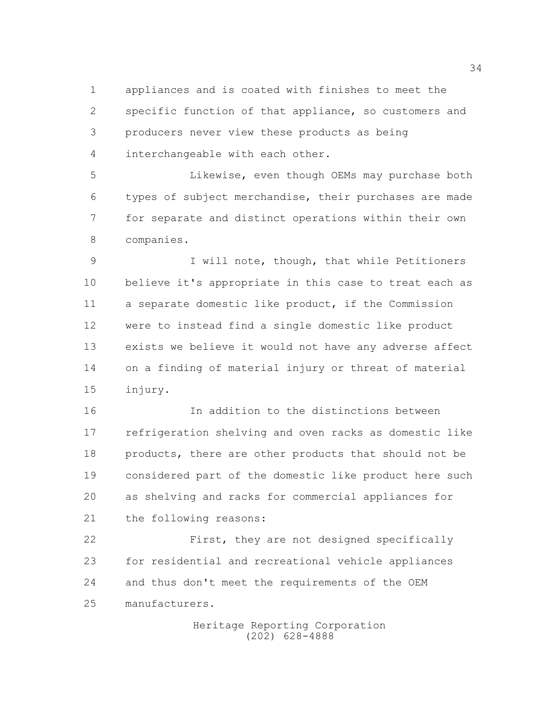appliances and is coated with finishes to meet the specific function of that appliance, so customers and producers never view these products as being interchangeable with each other.

 Likewise, even though OEMs may purchase both types of subject merchandise, their purchases are made for separate and distinct operations within their own companies.

 I will note, though, that while Petitioners believe it's appropriate in this case to treat each as a separate domestic like product, if the Commission were to instead find a single domestic like product exists we believe it would not have any adverse affect on a finding of material injury or threat of material injury.

 In addition to the distinctions between refrigeration shelving and oven racks as domestic like 18 products, there are other products that should not be considered part of the domestic like product here such as shelving and racks for commercial appliances for the following reasons:

 First, they are not designed specifically for residential and recreational vehicle appliances and thus don't meet the requirements of the OEM manufacturers.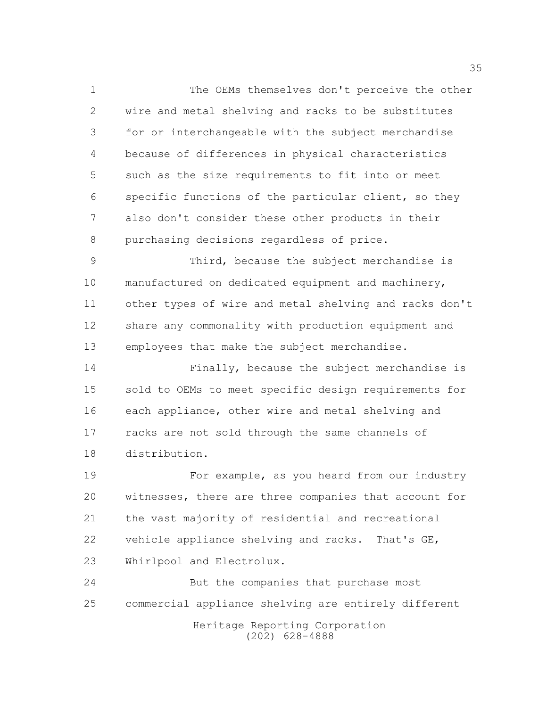The OEMs themselves don't perceive the other wire and metal shelving and racks to be substitutes for or interchangeable with the subject merchandise because of differences in physical characteristics such as the size requirements to fit into or meet specific functions of the particular client, so they also don't consider these other products in their purchasing decisions regardless of price.

 Third, because the subject merchandise is manufactured on dedicated equipment and machinery, other types of wire and metal shelving and racks don't share any commonality with production equipment and employees that make the subject merchandise.

 Finally, because the subject merchandise is sold to OEMs to meet specific design requirements for each appliance, other wire and metal shelving and racks are not sold through the same channels of distribution.

 For example, as you heard from our industry witnesses, there are three companies that account for the vast majority of residential and recreational vehicle appliance shelving and racks. That's GE, Whirlpool and Electrolux.

 But the companies that purchase most commercial appliance shelving are entirely different

Heritage Reporting Corporation (202) 628-4888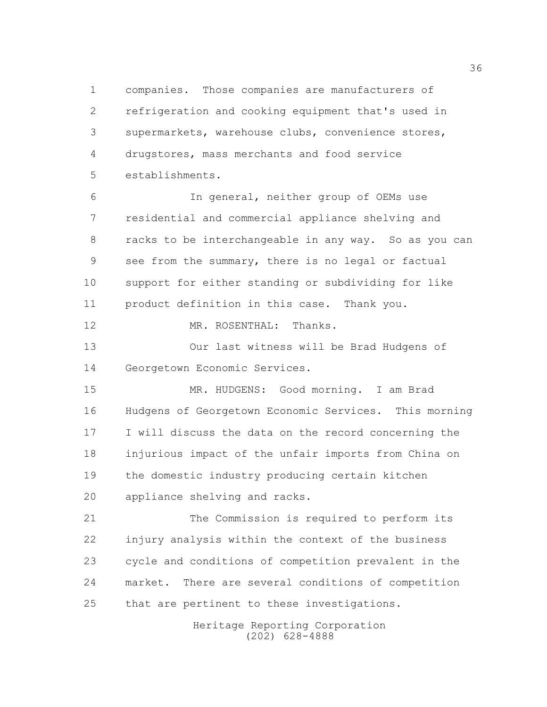companies. Those companies are manufacturers of refrigeration and cooking equipment that's used in supermarkets, warehouse clubs, convenience stores, drugstores, mass merchants and food service establishments.

 In general, neither group of OEMs use residential and commercial appliance shelving and racks to be interchangeable in any way. So as you can see from the summary, there is no legal or factual support for either standing or subdividing for like product definition in this case. Thank you.

12 MR. ROSENTHAL: Thanks.

 Our last witness will be Brad Hudgens of Georgetown Economic Services.

 MR. HUDGENS: Good morning. I am Brad Hudgens of Georgetown Economic Services. This morning I will discuss the data on the record concerning the injurious impact of the unfair imports from China on the domestic industry producing certain kitchen appliance shelving and racks.

 The Commission is required to perform its injury analysis within the context of the business cycle and conditions of competition prevalent in the market. There are several conditions of competition that are pertinent to these investigations.

> Heritage Reporting Corporation (202) 628-4888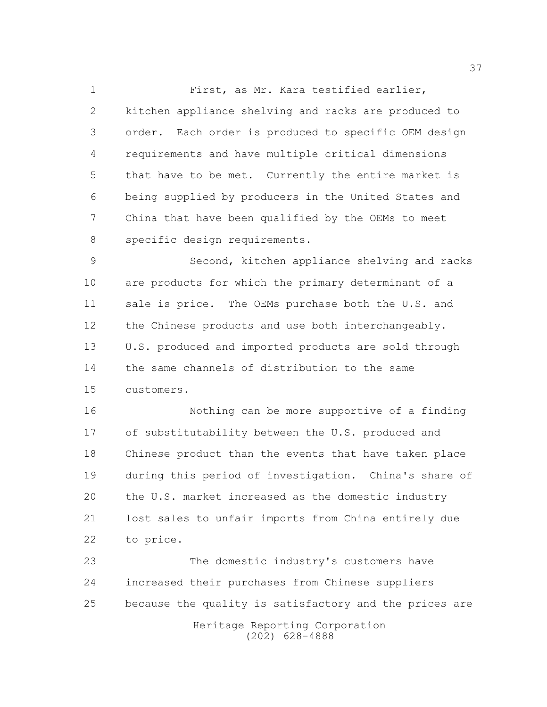First, as Mr. Kara testified earlier, kitchen appliance shelving and racks are produced to order. Each order is produced to specific OEM design requirements and have multiple critical dimensions that have to be met. Currently the entire market is being supplied by producers in the United States and China that have been qualified by the OEMs to meet specific design requirements.

 Second, kitchen appliance shelving and racks are products for which the primary determinant of a sale is price. The OEMs purchase both the U.S. and 12 the Chinese products and use both interchangeably. U.S. produced and imported products are sold through the same channels of distribution to the same customers.

 Nothing can be more supportive of a finding of substitutability between the U.S. produced and Chinese product than the events that have taken place during this period of investigation. China's share of the U.S. market increased as the domestic industry lost sales to unfair imports from China entirely due to price.

Heritage Reporting Corporation The domestic industry's customers have increased their purchases from Chinese suppliers because the quality is satisfactory and the prices are

(202) 628-4888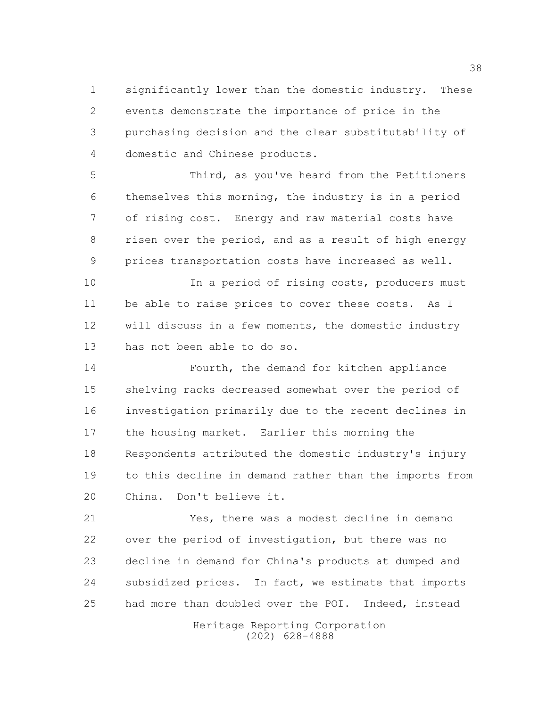significantly lower than the domestic industry. These events demonstrate the importance of price in the purchasing decision and the clear substitutability of domestic and Chinese products.

 Third, as you've heard from the Petitioners themselves this morning, the industry is in a period of rising cost. Energy and raw material costs have risen over the period, and as a result of high energy prices transportation costs have increased as well.

10 10 In a period of rising costs, producers must be able to raise prices to cover these costs. As I will discuss in a few moments, the domestic industry has not been able to do so.

 Fourth, the demand for kitchen appliance shelving racks decreased somewhat over the period of investigation primarily due to the recent declines in the housing market. Earlier this morning the Respondents attributed the domestic industry's injury to this decline in demand rather than the imports from China. Don't believe it.

 Yes, there was a modest decline in demand over the period of investigation, but there was no decline in demand for China's products at dumped and subsidized prices. In fact, we estimate that imports had more than doubled over the POI. Indeed, instead

> Heritage Reporting Corporation (202) 628-4888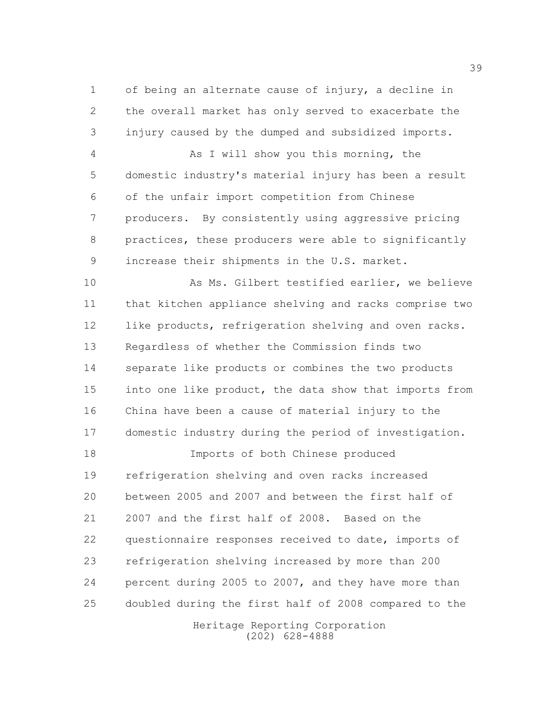of being an alternate cause of injury, a decline in the overall market has only served to exacerbate the injury caused by the dumped and subsidized imports.

 As I will show you this morning, the domestic industry's material injury has been a result of the unfair import competition from Chinese producers. By consistently using aggressive pricing practices, these producers were able to significantly increase their shipments in the U.S. market.

 As Ms. Gilbert testified earlier, we believe that kitchen appliance shelving and racks comprise two like products, refrigeration shelving and oven racks. Regardless of whether the Commission finds two separate like products or combines the two products into one like product, the data show that imports from China have been a cause of material injury to the domestic industry during the period of investigation.

 Imports of both Chinese produced refrigeration shelving and oven racks increased between 2005 and 2007 and between the first half of 2007 and the first half of 2008. Based on the questionnaire responses received to date, imports of refrigeration shelving increased by more than 200 percent during 2005 to 2007, and they have more than doubled during the first half of 2008 compared to the

> Heritage Reporting Corporation (202) 628-4888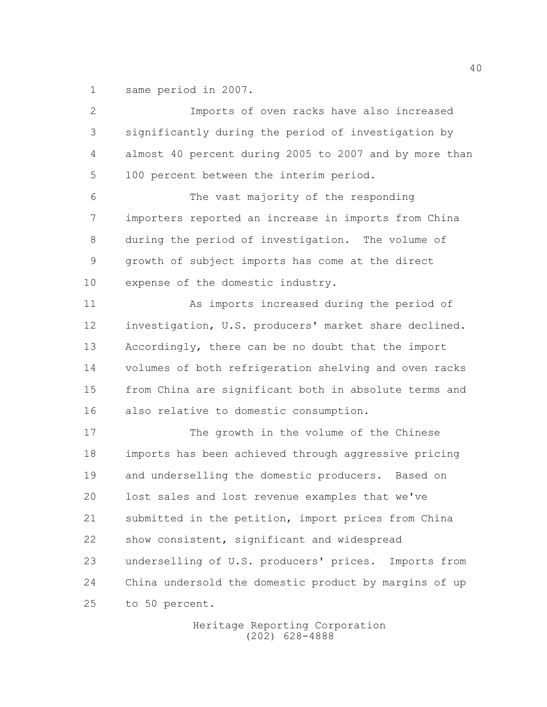same period in 2007.

| 2             | Imports of oven racks have also increased               |
|---------------|---------------------------------------------------------|
| 3             | significantly during the period of investigation by     |
| 4             | almost 40 percent during 2005 to 2007 and by more than  |
| 5             | 100 percent between the interim period.                 |
| 6             | The vast majority of the responding                     |
| 7             | importers reported an increase in imports from China    |
| 8             | during the period of investigation. The volume of       |
| $\mathcal{G}$ | growth of subject imports has come at the direct        |
| 10            | expense of the domestic industry.                       |
| 11            | As imports increased during the period of               |
| 12            | investigation, U.S. producers' market share declined.   |
| 13            | Accordingly, there can be no doubt that the import      |
| 14            | volumes of both refrigeration shelving and oven racks   |
| 15            | from China are significant both in absolute terms and   |
| 16            | also relative to domestic consumption.                  |
| 17            | The growth in the volume of the Chinese                 |
| 18            | imports has been achieved through aggressive pricing    |
| 19            | and underselling the domestic producers. Based on       |
| 20            | lost sales and lost revenue examples that we've         |
| 21            | submitted in the petition, import prices from China     |
| 22            | show consistent, significant and widespread             |
| 23            | underselling of U.S. producers' prices.<br>Imports from |
| 24            | China undersold the domestic product by margins of up   |
| 25            | to 50 percent.                                          |

Heritage Reporting Corporation (202) 628-4888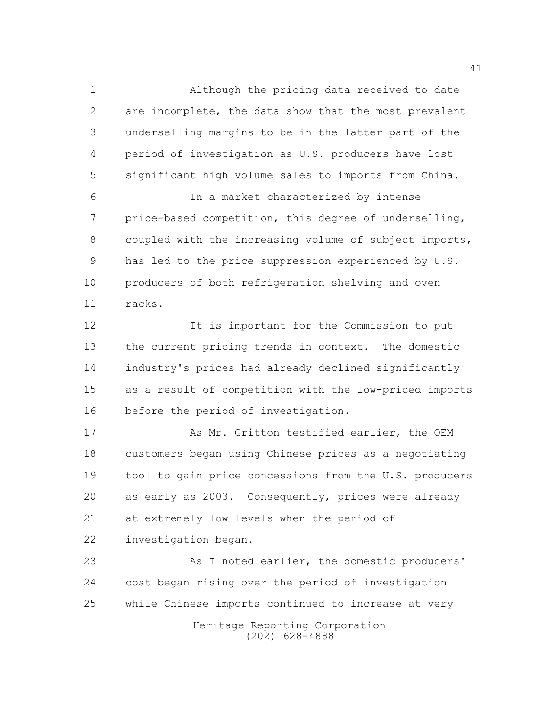Although the pricing data received to date are incomplete, the data show that the most prevalent underselling margins to be in the latter part of the period of investigation as U.S. producers have lost significant high volume sales to imports from China. In a market characterized by intense price-based competition, this degree of underselling,

 coupled with the increasing volume of subject imports, has led to the price suppression experienced by U.S. producers of both refrigeration shelving and oven racks.

 It is important for the Commission to put the current pricing trends in context. The domestic industry's prices had already declined significantly as a result of competition with the low-priced imports before the period of investigation.

17 As Mr. Gritton testified earlier, the OEM customers began using Chinese prices as a negotiating tool to gain price concessions from the U.S. producers as early as 2003. Consequently, prices were already at extremely low levels when the period of investigation began.

23 As I noted earlier, the domestic producers' cost began rising over the period of investigation while Chinese imports continued to increase at very

Heritage Reporting Corporation (202) 628-4888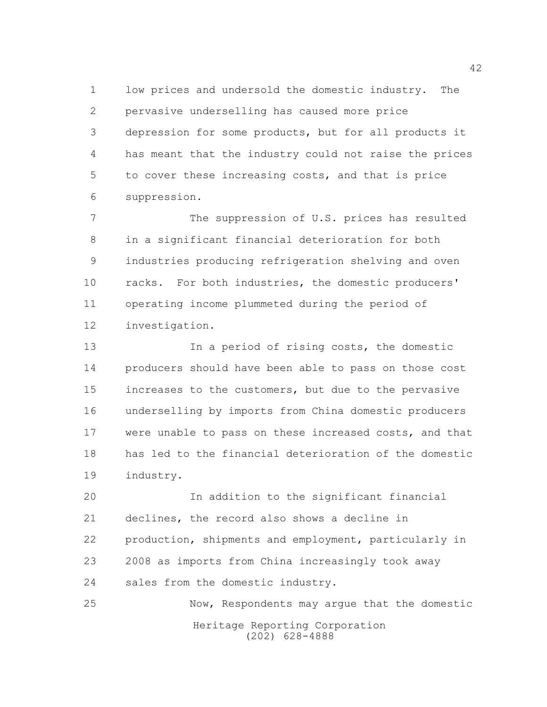low prices and undersold the domestic industry. The pervasive underselling has caused more price depression for some products, but for all products it has meant that the industry could not raise the prices to cover these increasing costs, and that is price suppression.

 The suppression of U.S. prices has resulted in a significant financial deterioration for both industries producing refrigeration shelving and oven racks. For both industries, the domestic producers' operating income plummeted during the period of investigation.

 In a period of rising costs, the domestic producers should have been able to pass on those cost increases to the customers, but due to the pervasive underselling by imports from China domestic producers were unable to pass on these increased costs, and that has led to the financial deterioration of the domestic industry.

 In addition to the significant financial declines, the record also shows a decline in production, shipments and employment, particularly in 2008 as imports from China increasingly took away sales from the domestic industry.

Heritage Reporting Corporation (202) 628-4888 Now, Respondents may argue that the domestic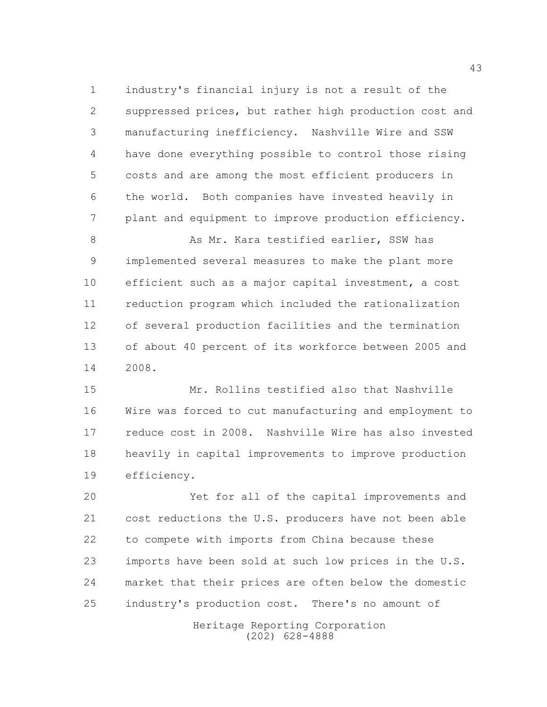industry's financial injury is not a result of the suppressed prices, but rather high production cost and manufacturing inefficiency. Nashville Wire and SSW have done everything possible to control those rising costs and are among the most efficient producers in the world. Both companies have invested heavily in plant and equipment to improve production efficiency.

8 As Mr. Kara testified earlier, SSW has implemented several measures to make the plant more efficient such as a major capital investment, a cost reduction program which included the rationalization of several production facilities and the termination of about 40 percent of its workforce between 2005 and 2008.

 Mr. Rollins testified also that Nashville Wire was forced to cut manufacturing and employment to reduce cost in 2008. Nashville Wire has also invested heavily in capital improvements to improve production efficiency.

 Yet for all of the capital improvements and cost reductions the U.S. producers have not been able to compete with imports from China because these imports have been sold at such low prices in the U.S. market that their prices are often below the domestic industry's production cost. There's no amount of

> Heritage Reporting Corporation (202) 628-4888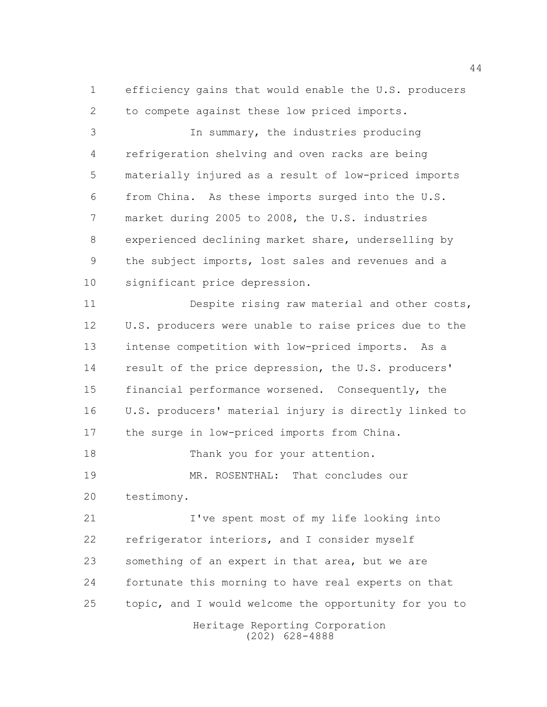efficiency gains that would enable the U.S. producers to compete against these low priced imports.

 In summary, the industries producing refrigeration shelving and oven racks are being materially injured as a result of low-priced imports from China. As these imports surged into the U.S. market during 2005 to 2008, the U.S. industries experienced declining market share, underselling by the subject imports, lost sales and revenues and a significant price depression.

 Despite rising raw material and other costs, U.S. producers were unable to raise prices due to the intense competition with low-priced imports. As a result of the price depression, the U.S. producers' financial performance worsened. Consequently, the U.S. producers' material injury is directly linked to the surge in low-priced imports from China. 18 Thank you for your attention. MR. ROSENTHAL: That concludes our

testimony.

 I've spent most of my life looking into refrigerator interiors, and I consider myself something of an expert in that area, but we are fortunate this morning to have real experts on that topic, and I would welcome the opportunity for you to

Heritage Reporting Corporation (202) 628-4888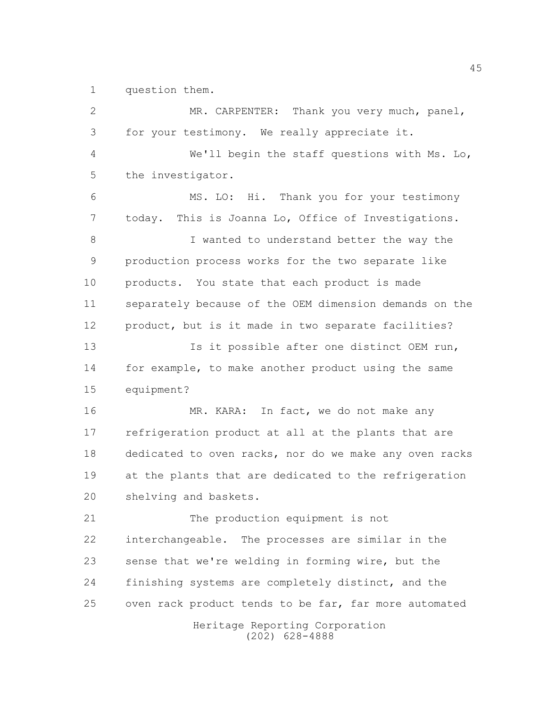question them.

| $\mathbf{2}$  | MR. CARPENTER: Thank you very much, panel,             |
|---------------|--------------------------------------------------------|
| 3             | for your testimony. We really appreciate it.           |
| 4             | We'll begin the staff questions with Ms. Lo,           |
| 5             | the investigator.                                      |
| 6             | MS. LO: Hi. Thank you for your testimony               |
| 7             | today. This is Joanna Lo, Office of Investigations.    |
| 8             | I wanted to understand better the way the              |
| $\mathcal{G}$ | production process works for the two separate like     |
| 10            | products. You state that each product is made          |
| 11            | separately because of the OEM dimension demands on the |
| 12            | product, but is it made in two separate facilities?    |
| 13            | Is it possible after one distinct OEM run,             |
| 14            | for example, to make another product using the same    |
| 15            | equipment?                                             |
| 16            | MR. KARA: In fact, we do not make any                  |
| 17            | refrigeration product at all at the plants that are    |
| 18            | dedicated to oven racks, nor do we make any oven racks |
| 19            | at the plants that are dedicated to the refrigeration  |
| 20            | shelving and baskets.                                  |
| 21            | The production equipment is not                        |
| 22            | interchangeable. The processes are similar in the      |
| 23            | sense that we're welding in forming wire, but the      |
| 24            | finishing systems are completely distinct, and the     |
| 25            | oven rack product tends to be far, far more automated  |
|               | Heritage Reporting Corporation<br>$(202)$ 628-4888     |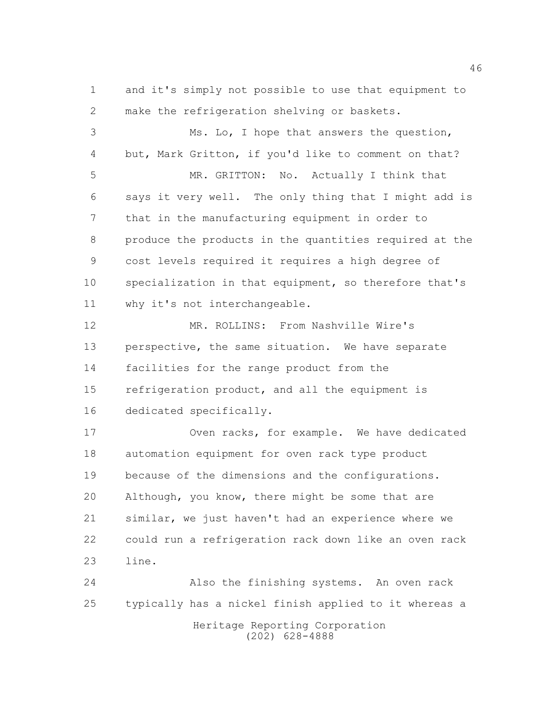and it's simply not possible to use that equipment to make the refrigeration shelving or baskets.

 Ms. Lo, I hope that answers the question, but, Mark Gritton, if you'd like to comment on that? MR. GRITTON: No. Actually I think that says it very well. The only thing that I might add is that in the manufacturing equipment in order to produce the products in the quantities required at the cost levels required it requires a high degree of specialization in that equipment, so therefore that's why it's not interchangeable. MR. ROLLINS: From Nashville Wire's perspective, the same situation. We have separate facilities for the range product from the refrigeration product, and all the equipment is dedicated specifically. Oven racks, for example. We have dedicated automation equipment for oven rack type product because of the dimensions and the configurations. Although, you know, there might be some that are similar, we just haven't had an experience where we could run a refrigeration rack down like an oven rack line.

 Also the finishing systems. An oven rack typically has a nickel finish applied to it whereas a

Heritage Reporting Corporation (202) 628-4888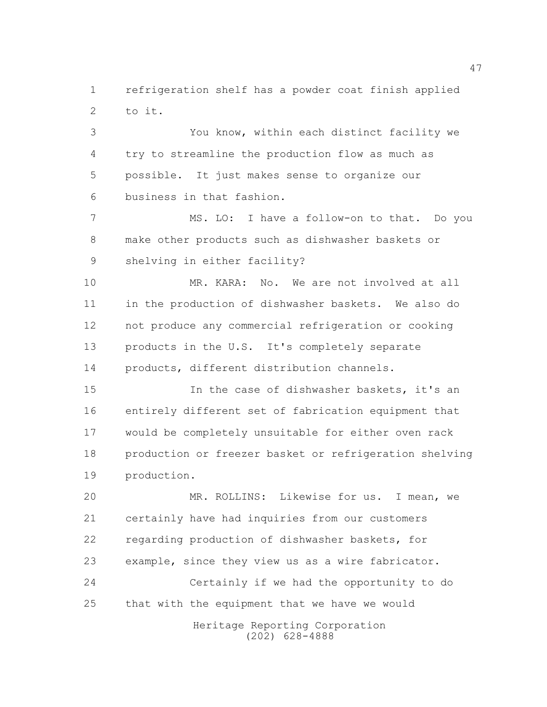refrigeration shelf has a powder coat finish applied to it.

 You know, within each distinct facility we try to streamline the production flow as much as possible. It just makes sense to organize our business in that fashion.

 MS. LO: I have a follow-on to that. Do you make other products such as dishwasher baskets or shelving in either facility?

10 MR. KARA: No. We are not involved at all in the production of dishwasher baskets. We also do not produce any commercial refrigeration or cooking products in the U.S. It's completely separate products, different distribution channels.

 In the case of dishwasher baskets, it's an entirely different set of fabrication equipment that would be completely unsuitable for either oven rack production or freezer basket or refrigeration shelving production.

 MR. ROLLINS: Likewise for us. I mean, we certainly have had inquiries from our customers regarding production of dishwasher baskets, for example, since they view us as a wire fabricator. Certainly if we had the opportunity to do that with the equipment that we have we would

> Heritage Reporting Corporation (202) 628-4888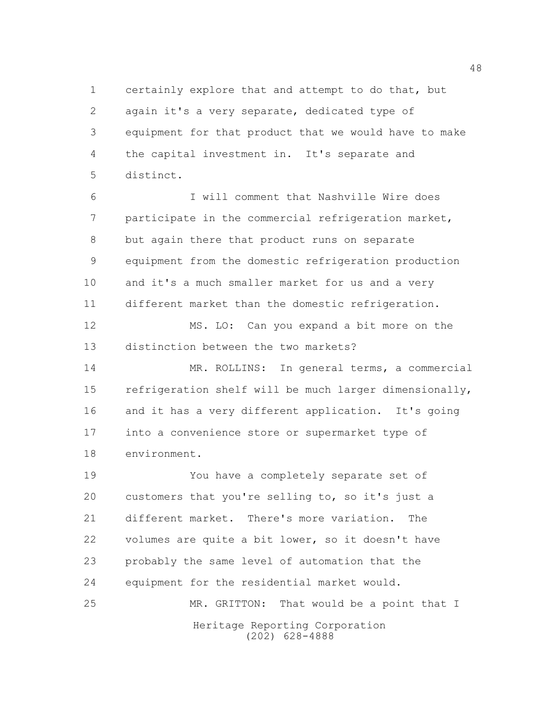certainly explore that and attempt to do that, but again it's a very separate, dedicated type of equipment for that product that we would have to make the capital investment in. It's separate and distinct.

 I will comment that Nashville Wire does participate in the commercial refrigeration market, but again there that product runs on separate equipment from the domestic refrigeration production and it's a much smaller market for us and a very different market than the domestic refrigeration.

 MS. LO: Can you expand a bit more on the distinction between the two markets?

 MR. ROLLINS: In general terms, a commercial refrigeration shelf will be much larger dimensionally, and it has a very different application. It's going into a convenience store or supermarket type of environment.

 You have a completely separate set of customers that you're selling to, so it's just a different market. There's more variation. The volumes are quite a bit lower, so it doesn't have probably the same level of automation that the equipment for the residential market would. 25 MR. GRITTON: That would be a point that I

> Heritage Reporting Corporation (202) 628-4888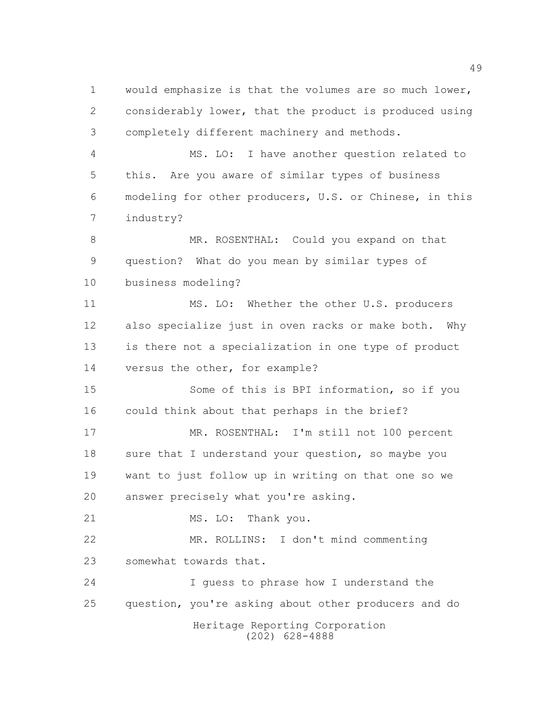would emphasize is that the volumes are so much lower, considerably lower, that the product is produced using completely different machinery and methods.

 MS. LO: I have another question related to this. Are you aware of similar types of business modeling for other producers, U.S. or Chinese, in this industry?

8 MR. ROSENTHAL: Could you expand on that question? What do you mean by similar types of business modeling?

 MS. LO: Whether the other U.S. producers also specialize just in oven racks or make both. Why is there not a specialization in one type of product versus the other, for example?

 Some of this is BPI information, so if you could think about that perhaps in the brief?

17 MR. ROSENTHAL: I'm still not 100 percent 18 sure that I understand your question, so maybe you want to just follow up in writing on that one so we answer precisely what you're asking.

21 MS. LO: Thank you.

 MR. ROLLINS: I don't mind commenting somewhat towards that.

 I guess to phrase how I understand the question, you're asking about other producers and do

Heritage Reporting Corporation (202) 628-4888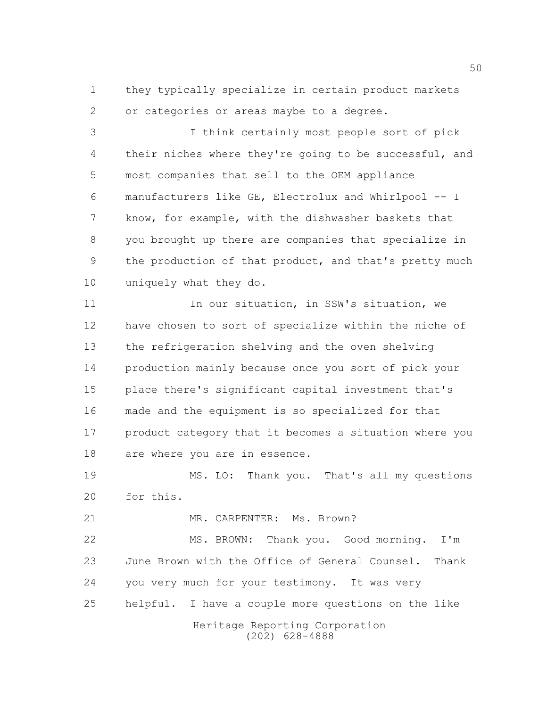they typically specialize in certain product markets or categories or areas maybe to a degree.

 I think certainly most people sort of pick their niches where they're going to be successful, and most companies that sell to the OEM appliance manufacturers like GE, Electrolux and Whirlpool -- I know, for example, with the dishwasher baskets that you brought up there are companies that specialize in the production of that product, and that's pretty much uniquely what they do.

11 11 In our situation, in SSW's situation, we have chosen to sort of specialize within the niche of the refrigeration shelving and the oven shelving production mainly because once you sort of pick your place there's significant capital investment that's made and the equipment is so specialized for that product category that it becomes a situation where you are where you are in essence.

 MS. LO: Thank you. That's all my questions for this.

21 MR. CARPENTER: Ms. Brown?

 MS. BROWN: Thank you. Good morning. I'm June Brown with the Office of General Counsel. Thank you very much for your testimony. It was very helpful. I have a couple more questions on the like

Heritage Reporting Corporation (202) 628-4888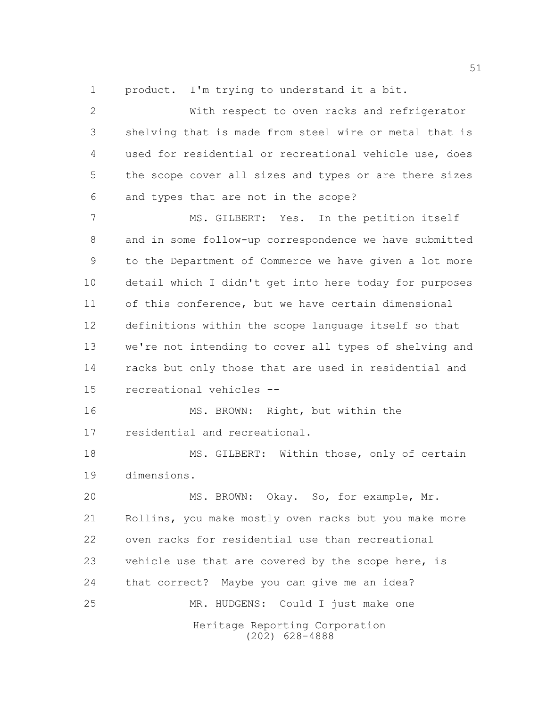product. I'm trying to understand it a bit.

 With respect to oven racks and refrigerator shelving that is made from steel wire or metal that is used for residential or recreational vehicle use, does the scope cover all sizes and types or are there sizes and types that are not in the scope?

 MS. GILBERT: Yes. In the petition itself and in some follow-up correspondence we have submitted to the Department of Commerce we have given a lot more detail which I didn't get into here today for purposes of this conference, but we have certain dimensional definitions within the scope language itself so that we're not intending to cover all types of shelving and racks but only those that are used in residential and recreational vehicles --

 MS. BROWN: Right, but within the residential and recreational.

18 MS. GILBERT: Within those, only of certain dimensions.

Heritage Reporting Corporation (202) 628-4888 MS. BROWN: Okay. So, for example, Mr. Rollins, you make mostly oven racks but you make more oven racks for residential use than recreational vehicle use that are covered by the scope here, is that correct? Maybe you can give me an idea? MR. HUDGENS: Could I just make one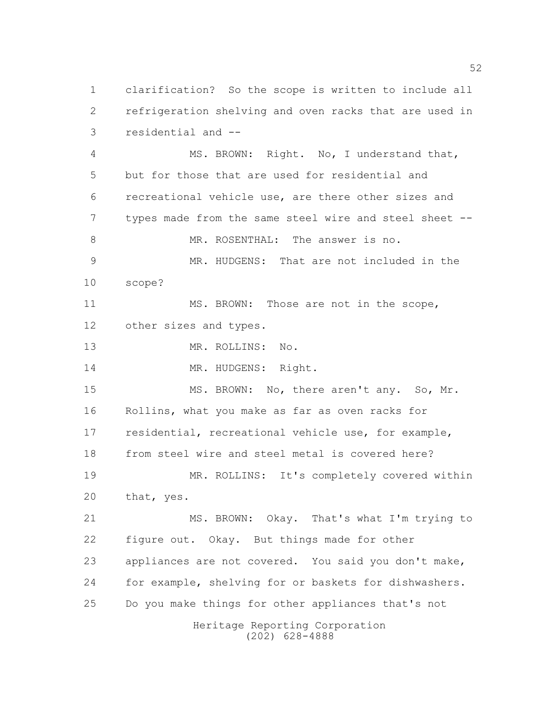clarification? So the scope is written to include all refrigeration shelving and oven racks that are used in residential and --

Heritage Reporting Corporation (202) 628-4888 MS. BROWN: Right. No, I understand that, but for those that are used for residential and recreational vehicle use, are there other sizes and types made from the same steel wire and steel sheet -- 8 MR. ROSENTHAL: The answer is no. MR. HUDGENS: That are not included in the scope? 11 MS. BROWN: Those are not in the scope, other sizes and types. MR. ROLLINS: No. 14 MR. HUDGENS: Right. 15 MS. BROWN: No, there aren't any. So, Mr. Rollins, what you make as far as oven racks for residential, recreational vehicle use, for example, from steel wire and steel metal is covered here? MR. ROLLINS: It's completely covered within that, yes. MS. BROWN: Okay. That's what I'm trying to figure out. Okay. But things made for other appliances are not covered. You said you don't make, for example, shelving for or baskets for dishwashers. Do you make things for other appliances that's not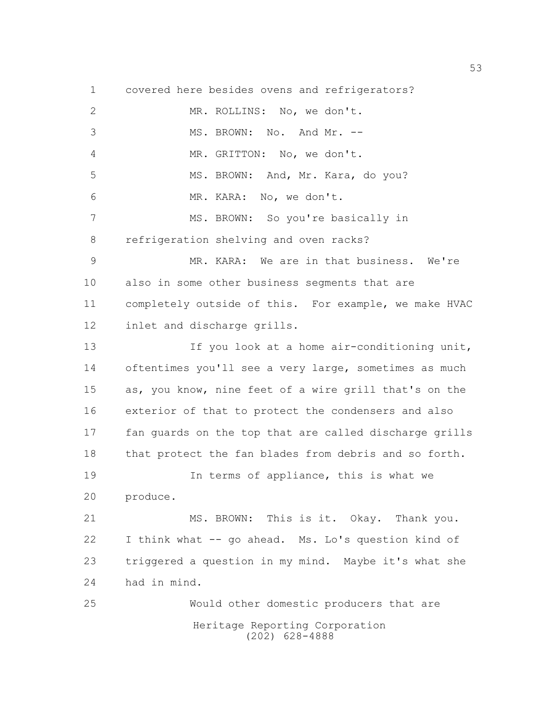Heritage Reporting Corporation (202) 628-4888 covered here besides ovens and refrigerators? MR. ROLLINS: No, we don't. 3 MS. BROWN: No. And Mr. -- MR. GRITTON: No, we don't. 5 MS. BROWN: And, Mr. Kara, do you? MR. KARA: No, we don't. MS. BROWN: So you're basically in refrigeration shelving and oven racks? MR. KARA: We are in that business. We're also in some other business segments that are completely outside of this. For example, we make HVAC inlet and discharge grills. 13 13 If you look at a home air-conditioning unit, oftentimes you'll see a very large, sometimes as much as, you know, nine feet of a wire grill that's on the exterior of that to protect the condensers and also fan guards on the top that are called discharge grills that protect the fan blades from debris and so forth. In terms of appliance, this is what we produce. MS. BROWN: This is it. Okay. Thank you. I think what -- go ahead. Ms. Lo's question kind of triggered a question in my mind. Maybe it's what she had in mind. Would other domestic producers that are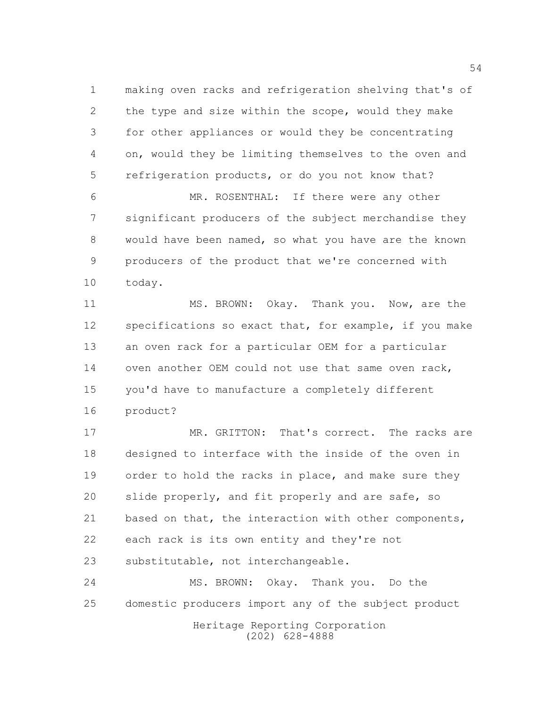making oven racks and refrigeration shelving that's of the type and size within the scope, would they make for other appliances or would they be concentrating on, would they be limiting themselves to the oven and refrigeration products, or do you not know that?

 MR. ROSENTHAL: If there were any other significant producers of the subject merchandise they would have been named, so what you have are the known producers of the product that we're concerned with today.

11 MS. BROWN: Okay. Thank you. Now, are the specifications so exact that, for example, if you make an oven rack for a particular OEM for a particular 14 oven another OEM could not use that same oven rack, you'd have to manufacture a completely different product?

17 MR. GRITTON: That's correct. The racks are designed to interface with the inside of the oven in 19 order to hold the racks in place, and make sure they slide properly, and fit properly and are safe, so 21 based on that, the interaction with other components, each rack is its own entity and they're not substitutable, not interchangeable.

 MS. BROWN: Okay. Thank you. Do the domestic producers import any of the subject product

Heritage Reporting Corporation (202) 628-4888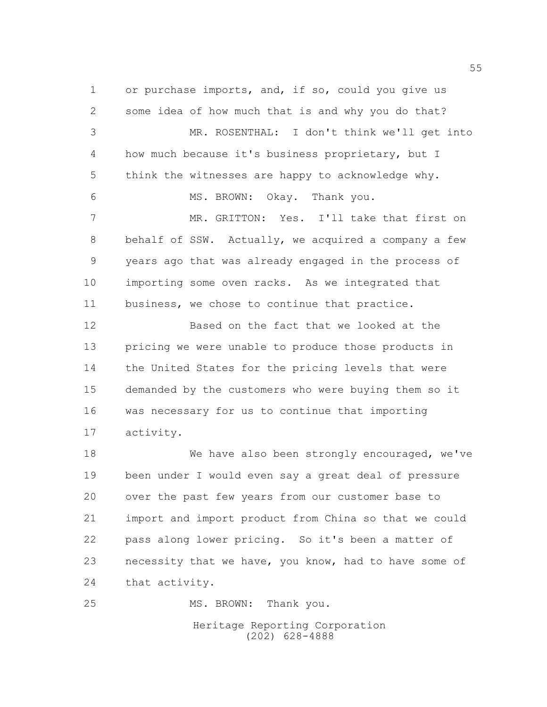or purchase imports, and, if so, could you give us some idea of how much that is and why you do that? MR. ROSENTHAL: I don't think we'll get into how much because it's business proprietary, but I think the witnesses are happy to acknowledge why. MS. BROWN: Okay. Thank you. MR. GRITTON: Yes. I'll take that first on behalf of SSW. Actually, we acquired a company a few years ago that was already engaged in the process of importing some oven racks. As we integrated that business, we chose to continue that practice. Based on the fact that we looked at the pricing we were unable to produce those products in the United States for the pricing levels that were demanded by the customers who were buying them so it was necessary for us to continue that importing activity. We have also been strongly encouraged, we've been under I would even say a great deal of pressure over the past few years from our customer base to import and import product from China so that we could pass along lower pricing. So it's been a matter of necessity that we have, you know, had to have some of that activity. 25 MS. BROWN: Thank you.

> Heritage Reporting Corporation (202) 628-4888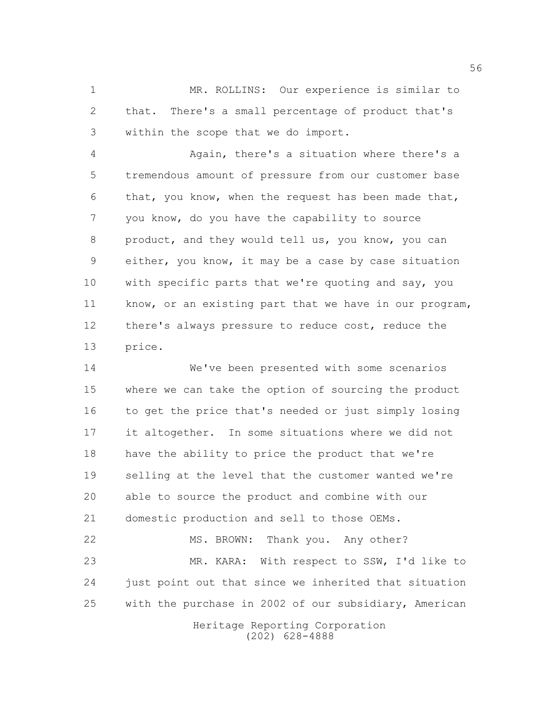MR. ROLLINS: Our experience is similar to that. There's a small percentage of product that's within the scope that we do import.

 Again, there's a situation where there's a tremendous amount of pressure from our customer base that, you know, when the request has been made that, you know, do you have the capability to source product, and they would tell us, you know, you can either, you know, it may be a case by case situation with specific parts that we're quoting and say, you know, or an existing part that we have in our program, there's always pressure to reduce cost, reduce the price.

 We've been presented with some scenarios where we can take the option of sourcing the product 16 to get the price that's needed or just simply losing it altogether. In some situations where we did not have the ability to price the product that we're selling at the level that the customer wanted we're able to source the product and combine with our domestic production and sell to those OEMs.

22 MS. BROWN: Thank you. Any other? MR. KARA: With respect to SSW, I'd like to 24 just point out that since we inherited that situation with the purchase in 2002 of our subsidiary, American

> Heritage Reporting Corporation (202) 628-4888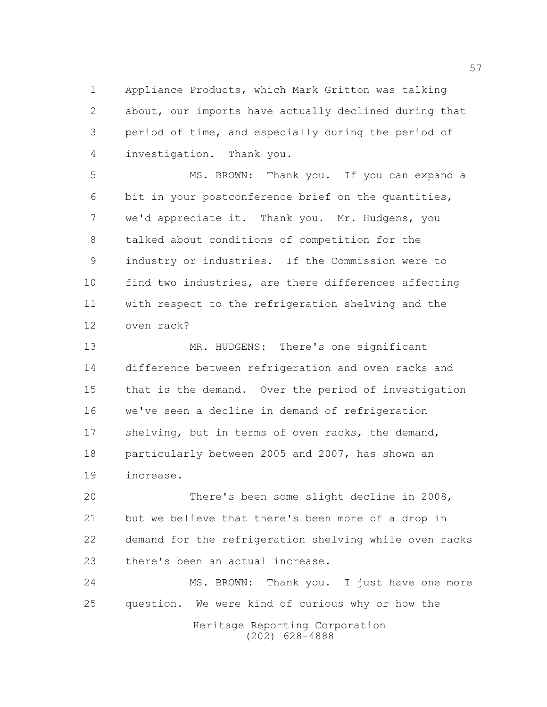Appliance Products, which Mark Gritton was talking about, our imports have actually declined during that period of time, and especially during the period of investigation. Thank you.

 MS. BROWN: Thank you. If you can expand a bit in your postconference brief on the quantities, we'd appreciate it. Thank you. Mr. Hudgens, you talked about conditions of competition for the industry or industries. If the Commission were to find two industries, are there differences affecting with respect to the refrigeration shelving and the oven rack?

 MR. HUDGENS: There's one significant difference between refrigeration and oven racks and that is the demand. Over the period of investigation we've seen a decline in demand of refrigeration 17 shelving, but in terms of oven racks, the demand, particularly between 2005 and 2007, has shown an increase.

 There's been some slight decline in 2008, but we believe that there's been more of a drop in demand for the refrigeration shelving while oven racks there's been an actual increase.

24 MS. BROWN: Thank you. I just have one more question. We were kind of curious why or how the

Heritage Reporting Corporation (202) 628-4888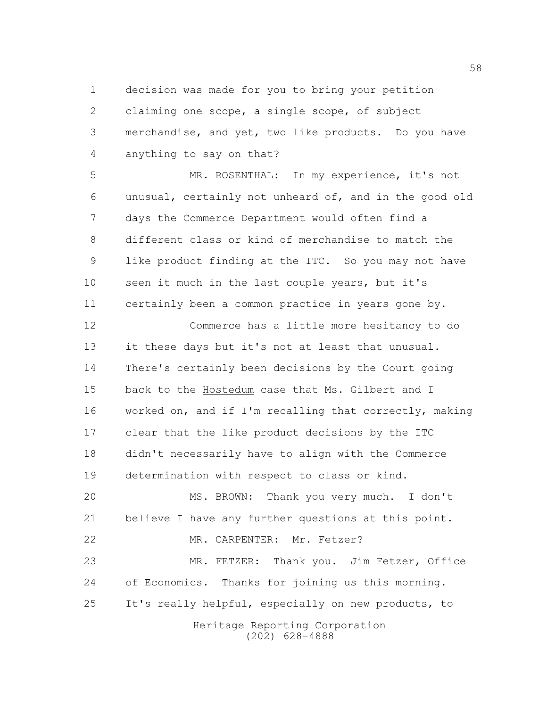decision was made for you to bring your petition claiming one scope, a single scope, of subject merchandise, and yet, two like products. Do you have anything to say on that?

 MR. ROSENTHAL: In my experience, it's not unusual, certainly not unheard of, and in the good old days the Commerce Department would often find a different class or kind of merchandise to match the like product finding at the ITC. So you may not have seen it much in the last couple years, but it's certainly been a common practice in years gone by.

 Commerce has a little more hesitancy to do it these days but it's not at least that unusual. There's certainly been decisions by the Court going back to the Hostedum case that Ms. Gilbert and I worked on, and if I'm recalling that correctly, making clear that the like product decisions by the ITC didn't necessarily have to align with the Commerce determination with respect to class or kind.

 MS. BROWN: Thank you very much. I don't believe I have any further questions at this point. 22 MR. CARPENTER: Mr. Fetzer? MR. FETZER: Thank you. Jim Fetzer, Office of Economics. Thanks for joining us this morning. It's really helpful, especially on new products, to

Heritage Reporting Corporation (202) 628-4888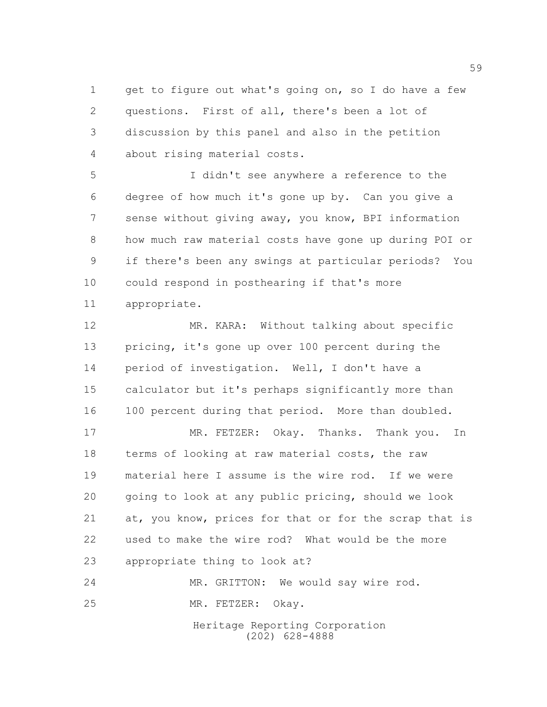1 get to figure out what's going on, so I do have a few questions. First of all, there's been a lot of discussion by this panel and also in the petition about rising material costs.

 I didn't see anywhere a reference to the degree of how much it's gone up by. Can you give a sense without giving away, you know, BPI information how much raw material costs have gone up during POI or if there's been any swings at particular periods? You could respond in posthearing if that's more appropriate.

 MR. KARA: Without talking about specific pricing, it's gone up over 100 percent during the period of investigation. Well, I don't have a calculator but it's perhaps significantly more than 100 percent during that period. More than doubled.

 MR. FETZER: Okay. Thanks. Thank you. In terms of looking at raw material costs, the raw material here I assume is the wire rod. If we were going to look at any public pricing, should we look at, you know, prices for that or for the scrap that is used to make the wire rod? What would be the more appropriate thing to look at?

Heritage Reporting Corporation (202) 628-4888 MR. GRITTON: We would say wire rod. MR. FETZER: Okay.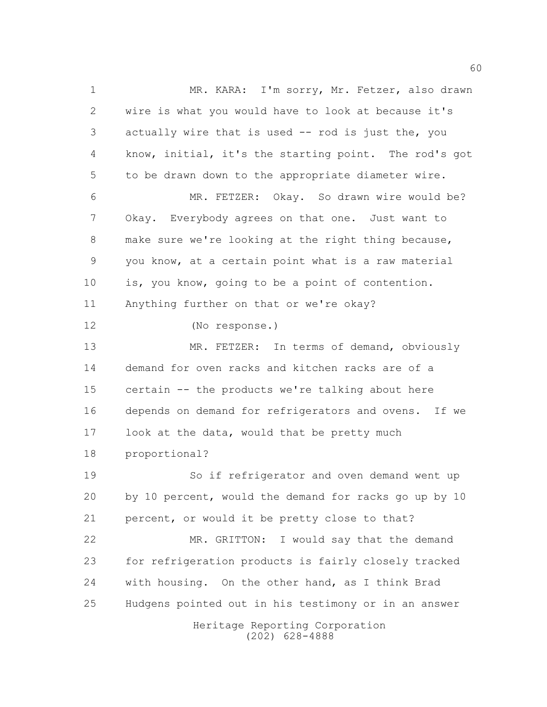Heritage Reporting Corporation (202) 628-4888 MR. KARA: I'm sorry, Mr. Fetzer, also drawn wire is what you would have to look at because it's actually wire that is used -- rod is just the, you know, initial, it's the starting point. The rod's got to be drawn down to the appropriate diameter wire. MR. FETZER: Okay. So drawn wire would be? Okay. Everybody agrees on that one. Just want to make sure we're looking at the right thing because, you know, at a certain point what is a raw material is, you know, going to be a point of contention. Anything further on that or we're okay? (No response.) MR. FETZER: In terms of demand, obviously demand for oven racks and kitchen racks are of a certain -- the products we're talking about here depends on demand for refrigerators and ovens. If we 17 look at the data, would that be pretty much proportional? So if refrigerator and oven demand went up by 10 percent, would the demand for racks go up by 10 percent, or would it be pretty close to that? MR. GRITTON: I would say that the demand for refrigeration products is fairly closely tracked with housing. On the other hand, as I think Brad Hudgens pointed out in his testimony or in an answer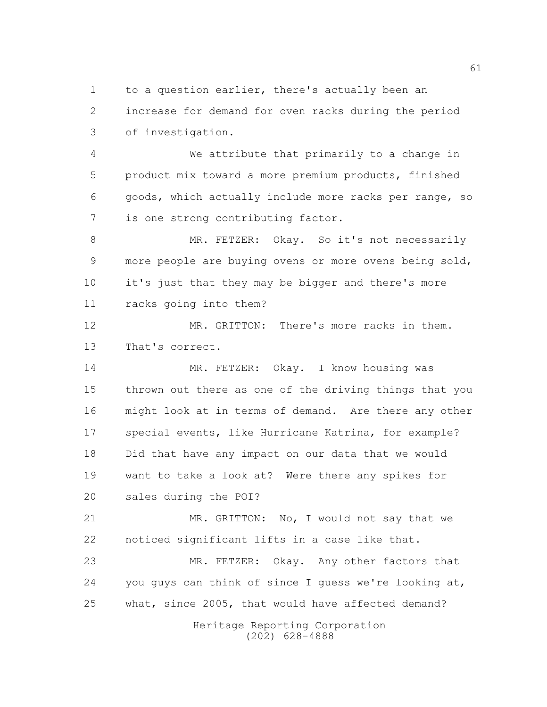to a question earlier, there's actually been an increase for demand for oven racks during the period of investigation.

 We attribute that primarily to a change in product mix toward a more premium products, finished goods, which actually include more racks per range, so is one strong contributing factor.

8 MR. FETZER: Okay. So it's not necessarily more people are buying ovens or more ovens being sold, it's just that they may be bigger and there's more racks going into them?

 MR. GRITTON: There's more racks in them. That's correct.

 MR. FETZER: Okay. I know housing was thrown out there as one of the driving things that you might look at in terms of demand. Are there any other special events, like Hurricane Katrina, for example? Did that have any impact on our data that we would want to take a look at? Were there any spikes for sales during the POI?

 MR. GRITTON: No, I would not say that we noticed significant lifts in a case like that.

 MR. FETZER: Okay. Any other factors that you guys can think of since I guess we're looking at, what, since 2005, that would have affected demand?

> Heritage Reporting Corporation (202) 628-4888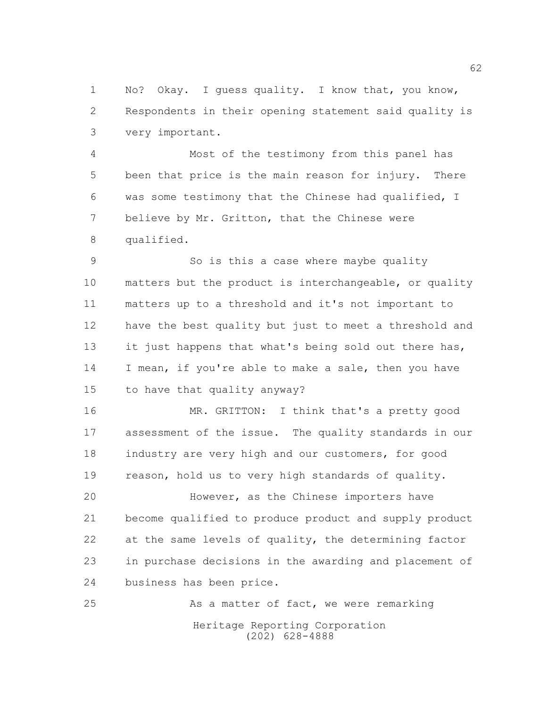No? Okay. I guess quality. I know that, you know, Respondents in their opening statement said quality is very important.

 Most of the testimony from this panel has been that price is the main reason for injury. There was some testimony that the Chinese had qualified, I believe by Mr. Gritton, that the Chinese were qualified.

 So is this a case where maybe quality matters but the product is interchangeable, or quality matters up to a threshold and it's not important to have the best quality but just to meet a threshold and 13 it just happens that what's being sold out there has, 14 I mean, if you're able to make a sale, then you have to have that quality anyway?

 MR. GRITTON: I think that's a pretty good assessment of the issue. The quality standards in our industry are very high and our customers, for good reason, hold us to very high standards of quality.

 However, as the Chinese importers have become qualified to produce product and supply product 22 at the same levels of quality, the determining factor in purchase decisions in the awarding and placement of business has been price.

Heritage Reporting Corporation (202) 628-4888 25 As a matter of fact, we were remarking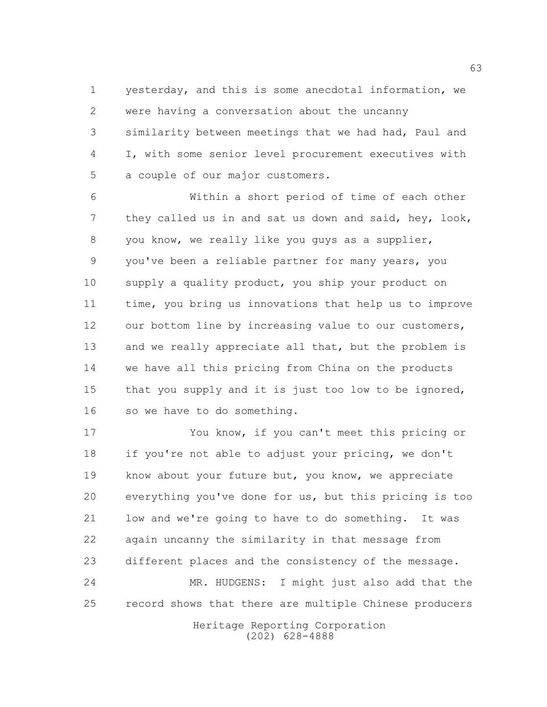yesterday, and this is some anecdotal information, we were having a conversation about the uncanny similarity between meetings that we had had, Paul and I, with some senior level procurement executives with a couple of our major customers.

 Within a short period of time of each other they called us in and sat us down and said, hey, look, you know, we really like you guys as a supplier, you've been a reliable partner for many years, you supply a quality product, you ship your product on time, you bring us innovations that help us to improve 12 our bottom line by increasing value to our customers, 13 and we really appreciate all that, but the problem is we have all this pricing from China on the products that you supply and it is just too low to be ignored, so we have to do something.

 You know, if you can't meet this pricing or if you're not able to adjust your pricing, we don't know about your future but, you know, we appreciate everything you've done for us, but this pricing is too low and we're going to have to do something. It was again uncanny the similarity in that message from different places and the consistency of the message. MR. HUDGENS: I might just also add that the record shows that there are multiple Chinese producers

> Heritage Reporting Corporation (202) 628-4888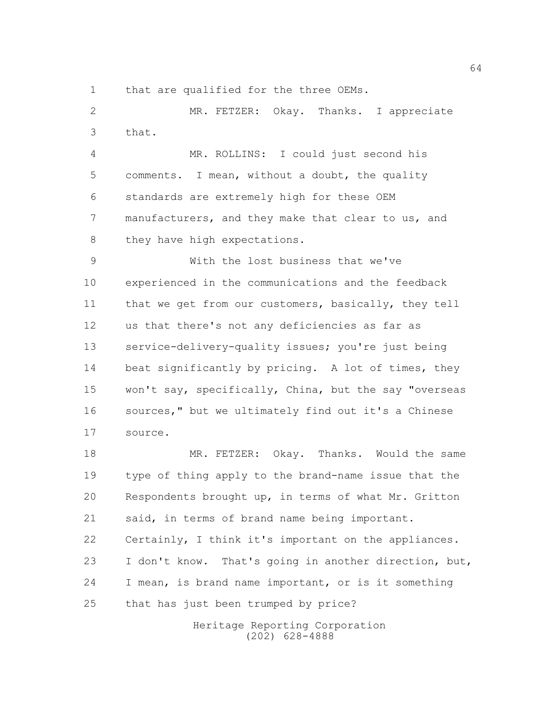that are qualified for the three OEMs.

 MR. FETZER: Okay. Thanks. I appreciate that.

 MR. ROLLINS: I could just second his comments. I mean, without a doubt, the quality standards are extremely high for these OEM manufacturers, and they make that clear to us, and 8 they have high expectations.

 With the lost business that we've experienced in the communications and the feedback 11 that we get from our customers, basically, they tell us that there's not any deficiencies as far as 13 service-delivery-quality issues; you're just being 14 beat significantly by pricing. A lot of times, they won't say, specifically, China, but the say "overseas sources," but we ultimately find out it's a Chinese source.

 MR. FETZER: Okay. Thanks. Would the same type of thing apply to the brand-name issue that the Respondents brought up, in terms of what Mr. Gritton said, in terms of brand name being important. Certainly, I think it's important on the appliances. I don't know. That's going in another direction, but, I mean, is brand name important, or is it something that has just been trumped by price?

> Heritage Reporting Corporation (202) 628-4888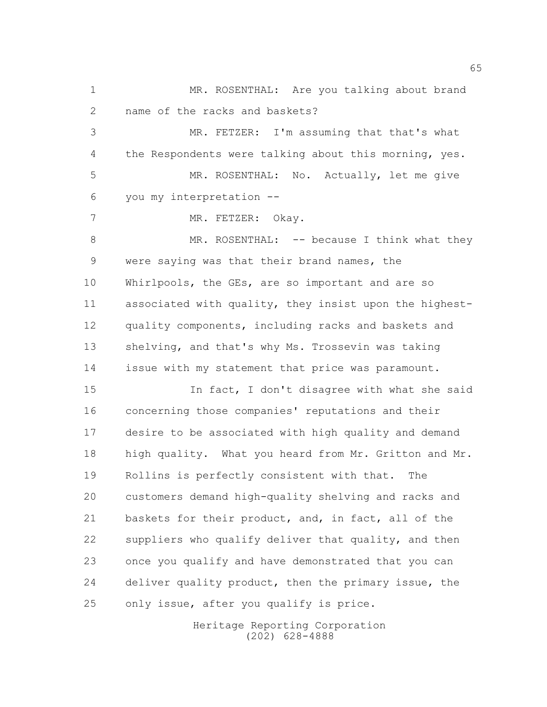MR. ROSENTHAL: Are you talking about brand name of the racks and baskets? MR. FETZER: I'm assuming that that's what the Respondents were talking about this morning, yes. MR. ROSENTHAL: No. Actually, let me give you my interpretation --

7 MR. FETZER: Okay. 8 MR. ROSENTHAL: -- because I think what they were saying was that their brand names, the Whirlpools, the GEs, are so important and are so associated with quality, they insist upon the highest- quality components, including racks and baskets and shelving, and that's why Ms. Trossevin was taking issue with my statement that price was paramount.

**In fact, I don't disagree with what she said**  concerning those companies' reputations and their desire to be associated with high quality and demand high quality. What you heard from Mr. Gritton and Mr. Rollins is perfectly consistent with that. The customers demand high-quality shelving and racks and baskets for their product, and, in fact, all of the suppliers who qualify deliver that quality, and then once you qualify and have demonstrated that you can deliver quality product, then the primary issue, the only issue, after you qualify is price.

> Heritage Reporting Corporation (202) 628-4888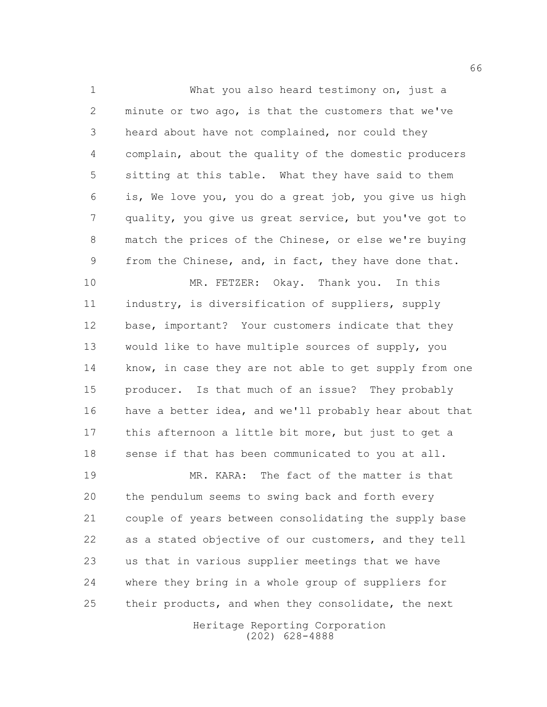What you also heard testimony on, just a minute or two ago, is that the customers that we've heard about have not complained, nor could they complain, about the quality of the domestic producers sitting at this table. What they have said to them is, We love you, you do a great job, you give us high quality, you give us great service, but you've got to match the prices of the Chinese, or else we're buying from the Chinese, and, in fact, they have done that.

 MR. FETZER: Okay. Thank you. In this industry, is diversification of suppliers, supply base, important? Your customers indicate that they would like to have multiple sources of supply, you 14 know, in case they are not able to get supply from one producer. Is that much of an issue? They probably have a better idea, and we'll probably hear about that this afternoon a little bit more, but just to get a 18 sense if that has been communicated to you at all.

 MR. KARA: The fact of the matter is that the pendulum seems to swing back and forth every couple of years between consolidating the supply base as a stated objective of our customers, and they tell us that in various supplier meetings that we have where they bring in a whole group of suppliers for 25 their products, and when they consolidate, the next

Heritage Reporting Corporation (202) 628-4888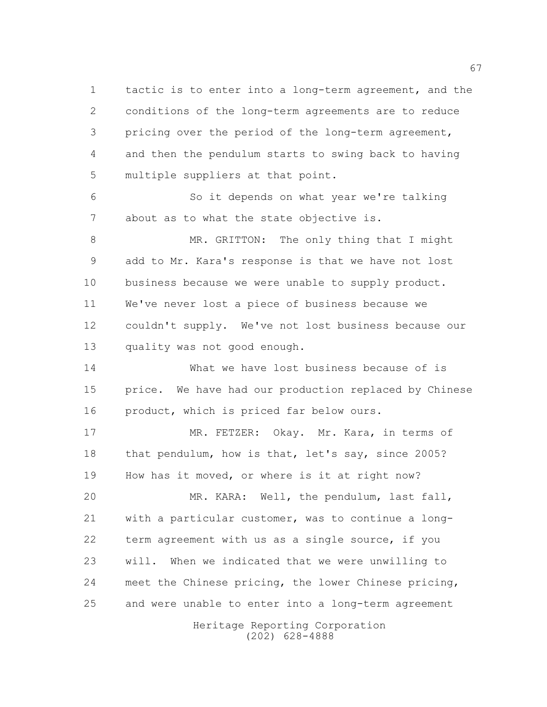tactic is to enter into a long-term agreement, and the conditions of the long-term agreements are to reduce pricing over the period of the long-term agreement, and then the pendulum starts to swing back to having multiple suppliers at that point.

 So it depends on what year we're talking about as to what the state objective is.

 MR. GRITTON: The only thing that I might add to Mr. Kara's response is that we have not lost business because we were unable to supply product. We've never lost a piece of business because we couldn't supply. We've not lost business because our quality was not good enough.

 What we have lost business because of is price. We have had our production replaced by Chinese product, which is priced far below ours.

 MR. FETZER: Okay. Mr. Kara, in terms of 18 that pendulum, how is that, let's say, since 2005? How has it moved, or where is it at right now?

 MR. KARA: Well, the pendulum, last fall, with a particular customer, was to continue a long- term agreement with us as a single source, if you will. When we indicated that we were unwilling to meet the Chinese pricing, the lower Chinese pricing, and were unable to enter into a long-term agreement

Heritage Reporting Corporation (202) 628-4888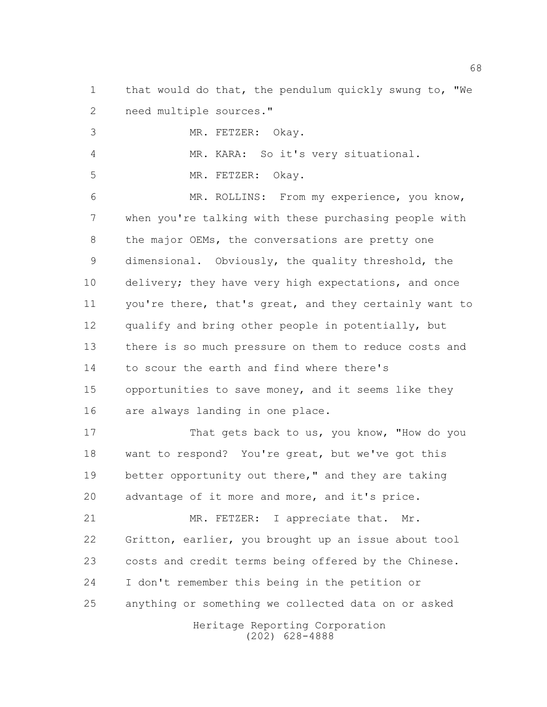that would do that, the pendulum quickly swung to, "We need multiple sources."

MR. FETZER: Okay.

MR. KARA: So it's very situational.

MR. FETZER: Okay.

 MR. ROLLINS: From my experience, you know, when you're talking with these purchasing people with 8 the major OEMs, the conversations are pretty one dimensional. Obviously, the quality threshold, the 10 delivery; they have very high expectations, and once 11 you're there, that's great, and they certainly want to qualify and bring other people in potentially, but there is so much pressure on them to reduce costs and to scour the earth and find where there's opportunities to save money, and it seems like they are always landing in one place.

17 That gets back to us, you know, "How do you want to respond? You're great, but we've got this better opportunity out there," and they are taking advantage of it more and more, and it's price.

21 MR. FETZER: I appreciate that. Mr. Gritton, earlier, you brought up an issue about tool costs and credit terms being offered by the Chinese. I don't remember this being in the petition or anything or something we collected data on or asked

Heritage Reporting Corporation (202) 628-4888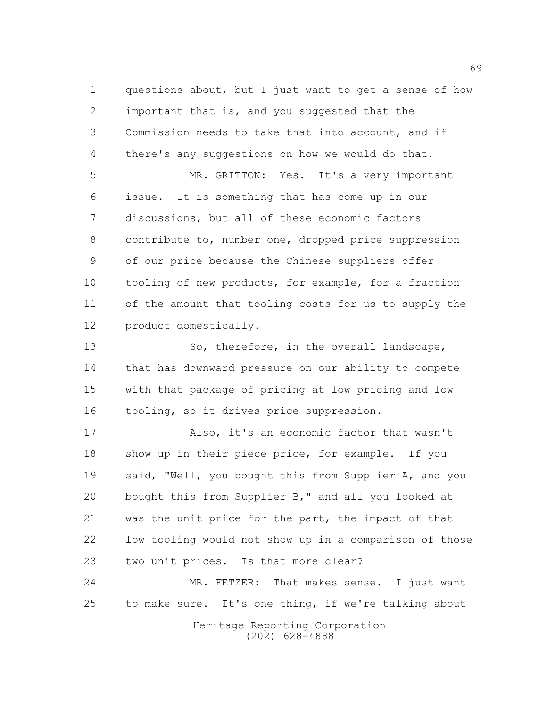questions about, but I just want to get a sense of how important that is, and you suggested that the Commission needs to take that into account, and if there's any suggestions on how we would do that.

 MR. GRITTON: Yes. It's a very important issue. It is something that has come up in our discussions, but all of these economic factors contribute to, number one, dropped price suppression of our price because the Chinese suppliers offer tooling of new products, for example, for a fraction of the amount that tooling costs for us to supply the product domestically.

13 So, therefore, in the overall landscape, that has downward pressure on our ability to compete with that package of pricing at low pricing and low tooling, so it drives price suppression.

 Also, it's an economic factor that wasn't show up in their piece price, for example. If you said, "Well, you bought this from Supplier A, and you bought this from Supplier B," and all you looked at was the unit price for the part, the impact of that low tooling would not show up in a comparison of those two unit prices. Is that more clear?

 MR. FETZER: That makes sense. I just want to make sure. It's one thing, if we're talking about

> Heritage Reporting Corporation (202) 628-4888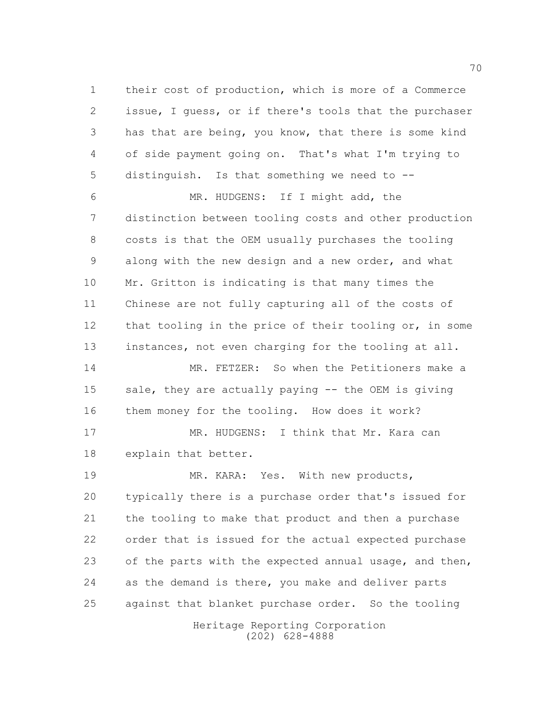their cost of production, which is more of a Commerce issue, I guess, or if there's tools that the purchaser has that are being, you know, that there is some kind of side payment going on. That's what I'm trying to distinguish. Is that something we need to --

 MR. HUDGENS: If I might add, the distinction between tooling costs and other production costs is that the OEM usually purchases the tooling along with the new design and a new order, and what Mr. Gritton is indicating is that many times the Chinese are not fully capturing all of the costs of 12 that tooling in the price of their tooling or, in some 13 instances, not even charging for the tooling at all.

 MR. FETZER: So when the Petitioners make a sale, they are actually paying -- the OEM is giving them money for the tooling. How does it work?

17 MR. HUDGENS: I think that Mr. Kara can explain that better.

 MR. KARA: Yes. With new products, typically there is a purchase order that's issued for the tooling to make that product and then a purchase order that is issued for the actual expected purchase 23 of the parts with the expected annual usage, and then, as the demand is there, you make and deliver parts against that blanket purchase order. So the tooling

> Heritage Reporting Corporation (202) 628-4888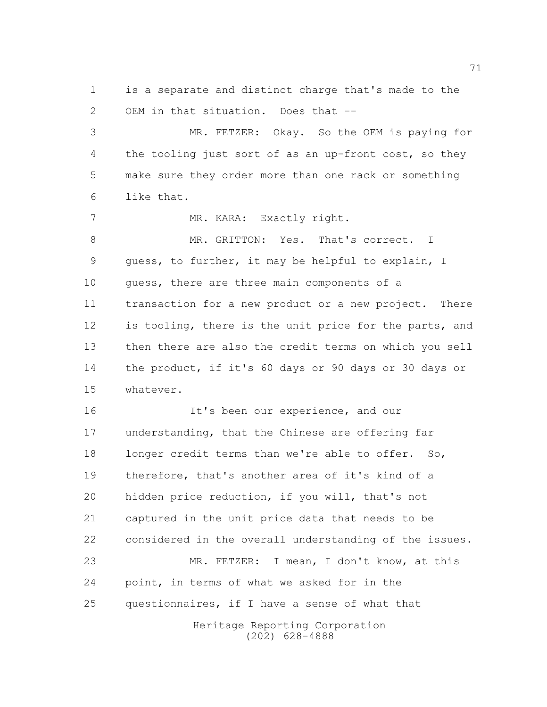is a separate and distinct charge that's made to the OEM in that situation. Does that --

 MR. FETZER: Okay. So the OEM is paying for 4 the tooling just sort of as an up-front cost, so they make sure they order more than one rack or something like that.

7 MR. KARA: Exactly right. 8 MR. GRITTON: Yes. That's correct. I guess, to further, it may be helpful to explain, I 10 quess, there are three main components of a transaction for a new product or a new project. There is tooling, there is the unit price for the parts, and then there are also the credit terms on which you sell the product, if it's 60 days or 90 days or 30 days or whatever.

16 It's been our experience, and our understanding, that the Chinese are offering far longer credit terms than we're able to offer. So, therefore, that's another area of it's kind of a hidden price reduction, if you will, that's not captured in the unit price data that needs to be considered in the overall understanding of the issues. MR. FETZER: I mean, I don't know, at this point, in terms of what we asked for in the questionnaires, if I have a sense of what that

Heritage Reporting Corporation (202) 628-4888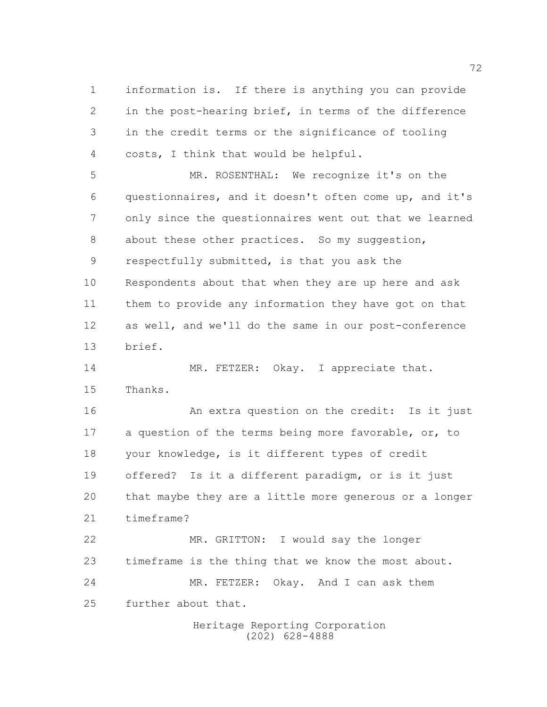information is. If there is anything you can provide in the post-hearing brief, in terms of the difference in the credit terms or the significance of tooling costs, I think that would be helpful.

 MR. ROSENTHAL: We recognize it's on the questionnaires, and it doesn't often come up, and it's only since the questionnaires went out that we learned 8 about these other practices. So my suggestion, respectfully submitted, is that you ask the Respondents about that when they are up here and ask them to provide any information they have got on that as well, and we'll do the same in our post-conference brief.

14 MR. FETZER: Okay. I appreciate that. Thanks.

 An extra question on the credit: Is it just a question of the terms being more favorable, or, to your knowledge, is it different types of credit offered? Is it a different paradigm, or is it just that maybe they are a little more generous or a longer timeframe? MR. GRITTON: I would say the longer

 timeframe is the thing that we know the most about. MR. FETZER: Okay. And I can ask them further about that.

> Heritage Reporting Corporation (202) 628-4888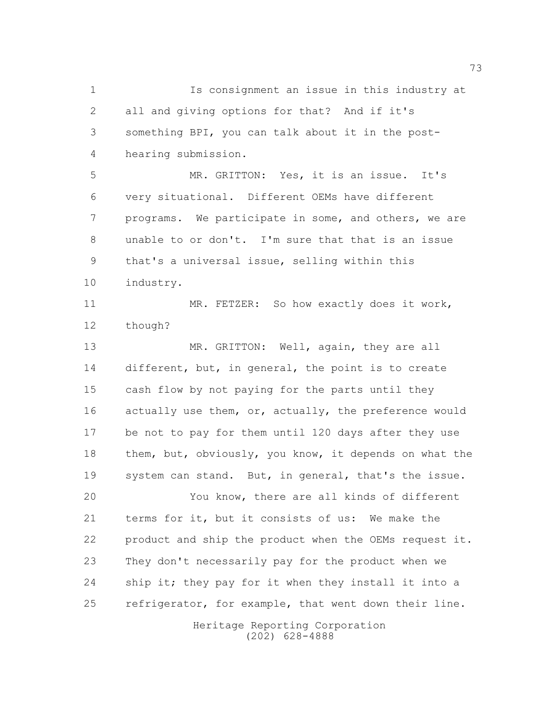Is consignment an issue in this industry at all and giving options for that? And if it's something BPI, you can talk about it in the post-hearing submission.

 MR. GRITTON: Yes, it is an issue. It's very situational. Different OEMs have different programs. We participate in some, and others, we are unable to or don't. I'm sure that that is an issue that's a universal issue, selling within this industry.

11 MR. FETZER: So how exactly does it work, though?

13 MR. GRITTON: Well, again, they are all 14 different, but, in general, the point is to create cash flow by not paying for the parts until they actually use them, or, actually, the preference would be not to pay for them until 120 days after they use them, but, obviously, you know, it depends on what the system can stand. But, in general, that's the issue.

 You know, there are all kinds of different terms for it, but it consists of us: We make the product and ship the product when the OEMs request it. They don't necessarily pay for the product when we ship it; they pay for it when they install it into a 25 refrigerator, for example, that went down their line.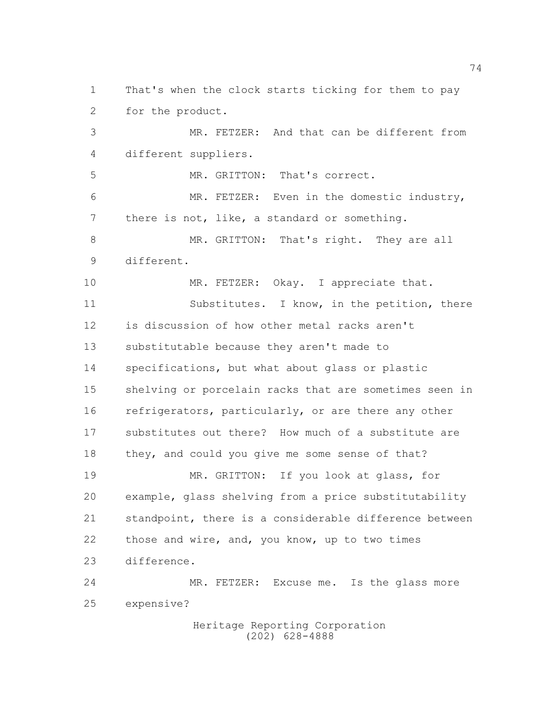That's when the clock starts ticking for them to pay for the product.

 MR. FETZER: And that can be different from different suppliers.

MR. GRITTON: That's correct.

 MR. FETZER: Even in the domestic industry, there is not, like, a standard or something.

 MR. GRITTON: That's right. They are all different.

10 MR. FETZER: Okay. I appreciate that.

11 Substitutes. I know, in the petition, there is discussion of how other metal racks aren't substitutable because they aren't made to specifications, but what about glass or plastic shelving or porcelain racks that are sometimes seen in 16 refrigerators, particularly, or are there any other substitutes out there? How much of a substitute are they, and could you give me some sense of that?

 MR. GRITTON: If you look at glass, for example, glass shelving from a price substitutability standpoint, there is a considerable difference between those and wire, and, you know, up to two times difference.

 MR. FETZER: Excuse me. Is the glass more expensive?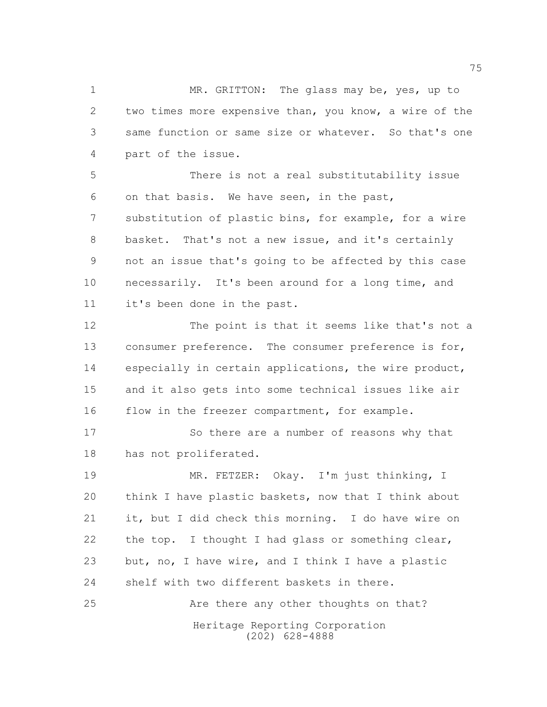MR. GRITTON: The glass may be, yes, up to two times more expensive than, you know, a wire of the same function or same size or whatever. So that's one part of the issue.

 There is not a real substitutability issue on that basis. We have seen, in the past, substitution of plastic bins, for example, for a wire basket. That's not a new issue, and it's certainly not an issue that's going to be affected by this case necessarily. It's been around for a long time, and it's been done in the past.

 The point is that it seems like that's not a consumer preference. The consumer preference is for, especially in certain applications, the wire product, and it also gets into some technical issues like air 16 flow in the freezer compartment, for example.

17 So there are a number of reasons why that has not proliferated.

 MR. FETZER: Okay. I'm just thinking, I think I have plastic baskets, now that I think about it, but I did check this morning. I do have wire on the top. I thought I had glass or something clear, but, no, I have wire, and I think I have a plastic shelf with two different baskets in there. Are there any other thoughts on that?

Heritage Reporting Corporation (202) 628-4888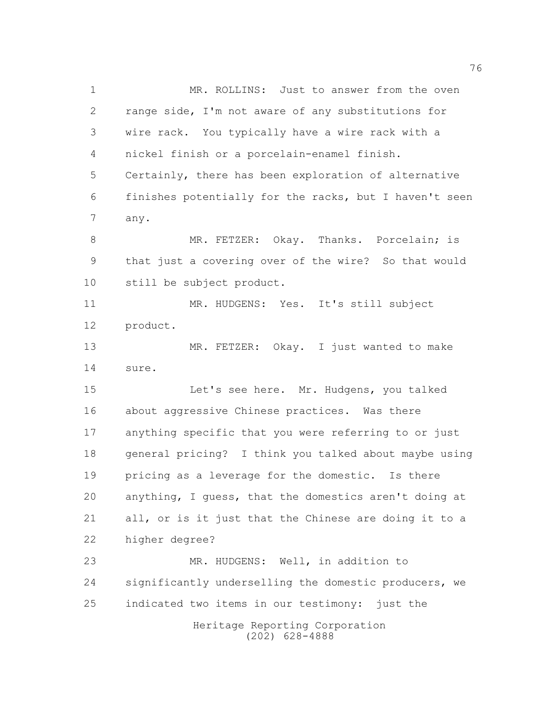Heritage Reporting Corporation (202) 628-4888 1 MR. ROLLINS: Just to answer from the oven range side, I'm not aware of any substitutions for wire rack. You typically have a wire rack with a nickel finish or a porcelain-enamel finish. Certainly, there has been exploration of alternative finishes potentially for the racks, but I haven't seen any. 8 MR. FETZER: Okay. Thanks. Porcelain; is that just a covering over of the wire? So that would still be subject product. 11 MR. HUDGENS: Yes. It's still subject product. MR. FETZER: Okay. I just wanted to make sure. Let's see here. Mr. Hudgens, you talked about aggressive Chinese practices. Was there anything specific that you were referring to or just general pricing? I think you talked about maybe using pricing as a leverage for the domestic. Is there anything, I guess, that the domestics aren't doing at all, or is it just that the Chinese are doing it to a higher degree? 23 MR. HUDGENS: Well, in addition to significantly underselling the domestic producers, we indicated two items in our testimony: just the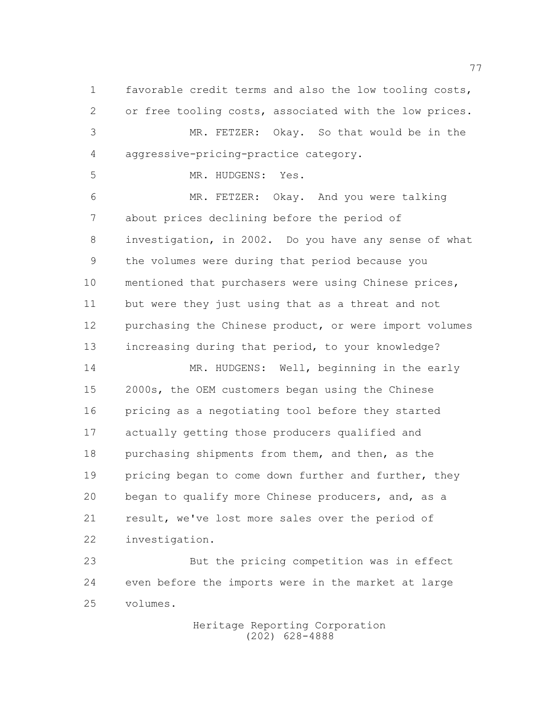favorable credit terms and also the low tooling costs, or free tooling costs, associated with the low prices. MR. FETZER: Okay. So that would be in the aggressive-pricing-practice category.

MR. HUDGENS: Yes.

 MR. FETZER: Okay. And you were talking about prices declining before the period of investigation, in 2002. Do you have any sense of what the volumes were during that period because you mentioned that purchasers were using Chinese prices, but were they just using that as a threat and not purchasing the Chinese product, or were import volumes increasing during that period, to your knowledge?

14 MR. HUDGENS: Well, beginning in the early 2000s, the OEM customers began using the Chinese pricing as a negotiating tool before they started actually getting those producers qualified and purchasing shipments from them, and then, as the 19 pricing began to come down further and further, they began to qualify more Chinese producers, and, as a result, we've lost more sales over the period of investigation.

 But the pricing competition was in effect even before the imports were in the market at large volumes.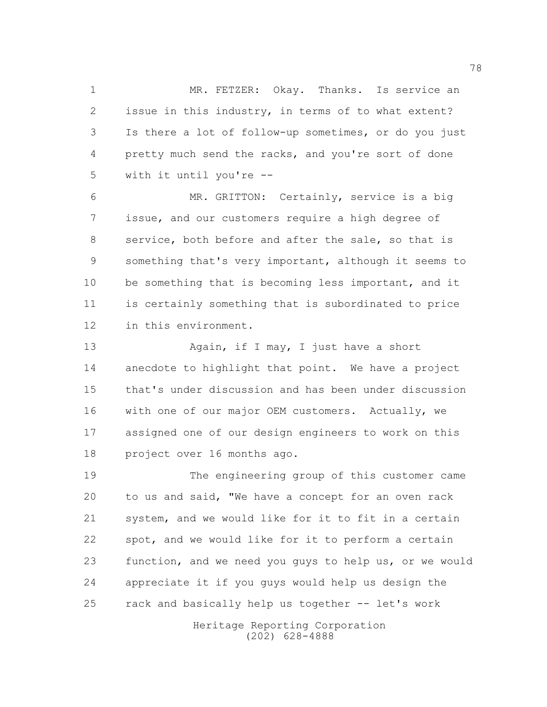MR. FETZER: Okay. Thanks. Is service an issue in this industry, in terms of to what extent? Is there a lot of follow-up sometimes, or do you just pretty much send the racks, and you're sort of done with it until you're --

 MR. GRITTON: Certainly, service is a big issue, and our customers require a high degree of service, both before and after the sale, so that is something that's very important, although it seems to 10 be something that is becoming less important, and it is certainly something that is subordinated to price in this environment.

13 Again, if I may, I just have a short anecdote to highlight that point. We have a project that's under discussion and has been under discussion with one of our major OEM customers. Actually, we assigned one of our design engineers to work on this project over 16 months ago.

 The engineering group of this customer came to us and said, "We have a concept for an oven rack system, and we would like for it to fit in a certain spot, and we would like for it to perform a certain function, and we need you guys to help us, or we would appreciate it if you guys would help us design the rack and basically help us together -- let's work

> Heritage Reporting Corporation (202) 628-4888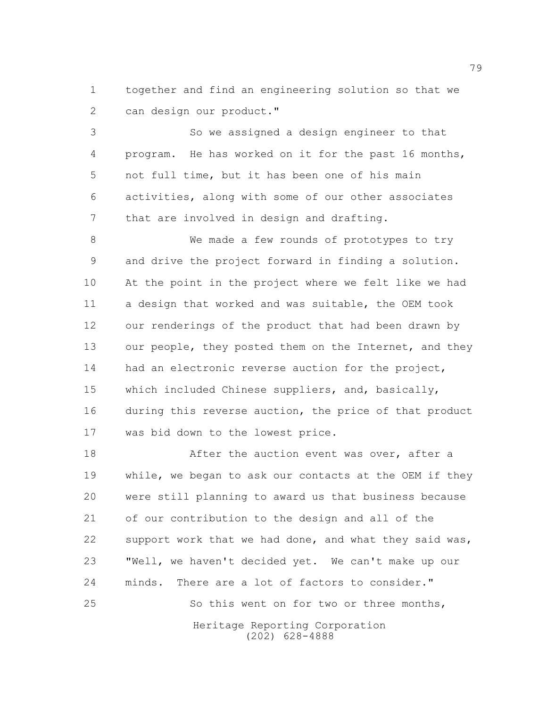together and find an engineering solution so that we can design our product."

 So we assigned a design engineer to that program. He has worked on it for the past 16 months, not full time, but it has been one of his main activities, along with some of our other associates 7 that are involved in design and drafting.

 We made a few rounds of prototypes to try and drive the project forward in finding a solution. At the point in the project where we felt like we had a design that worked and was suitable, the OEM took our renderings of the product that had been drawn by 13 our people, they posted them on the Internet, and they 14 had an electronic reverse auction for the project, which included Chinese suppliers, and, basically, during this reverse auction, the price of that product was bid down to the lowest price.

Heritage Reporting Corporation 18 After the auction event was over, after a while, we began to ask our contacts at the OEM if they were still planning to award us that business because of our contribution to the design and all of the 22 support work that we had done, and what they said was, "Well, we haven't decided yet. We can't make up our minds. There are a lot of factors to consider." 25 So this went on for two or three months,

(202) 628-4888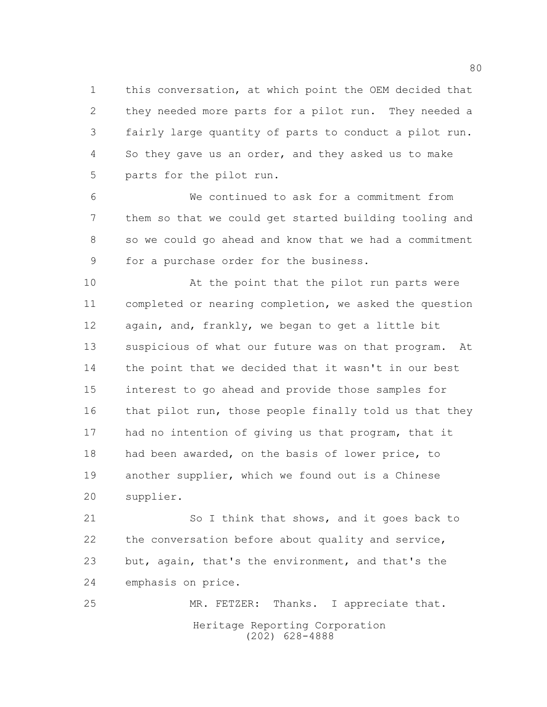this conversation, at which point the OEM decided that they needed more parts for a pilot run. They needed a fairly large quantity of parts to conduct a pilot run. So they gave us an order, and they asked us to make parts for the pilot run.

 We continued to ask for a commitment from them so that we could get started building tooling and so we could go ahead and know that we had a commitment for a purchase order for the business.

10 At the point that the pilot run parts were completed or nearing completion, we asked the question again, and, frankly, we began to get a little bit suspicious of what our future was on that program. At 14 the point that we decided that it wasn't in our best interest to go ahead and provide those samples for 16 that pilot run, those people finally told us that they 17 had no intention of giving us that program, that it had been awarded, on the basis of lower price, to another supplier, which we found out is a Chinese supplier.

21 So I think that shows, and it goes back to the conversation before about quality and service, but, again, that's the environment, and that's the emphasis on price.

Heritage Reporting Corporation (202) 628-4888 MR. FETZER: Thanks. I appreciate that.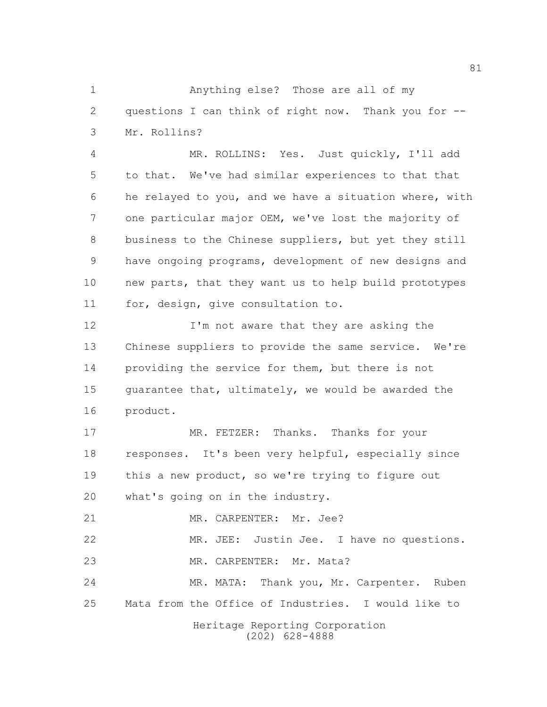Anything else? Those are all of my questions I can think of right now. Thank you for -- Mr. Rollins?

 MR. ROLLINS: Yes. Just quickly, I'll add to that. We've had similar experiences to that that he relayed to you, and we have a situation where, with one particular major OEM, we've lost the majority of business to the Chinese suppliers, but yet they still have ongoing programs, development of new designs and new parts, that they want us to help build prototypes for, design, give consultation to.

12 I'm not aware that they are asking the Chinese suppliers to provide the same service. We're providing the service for them, but there is not guarantee that, ultimately, we would be awarded the product.

 MR. FETZER: Thanks. Thanks for your responses. It's been very helpful, especially since this a new product, so we're trying to figure out what's going on in the industry.

21 MR. CARPENTER: Mr. Jee?

 MR. JEE: Justin Jee. I have no questions. MR. CARPENTER: Mr. Mata?

 MR. MATA: Thank you, Mr. Carpenter. Ruben Mata from the Office of Industries. I would like to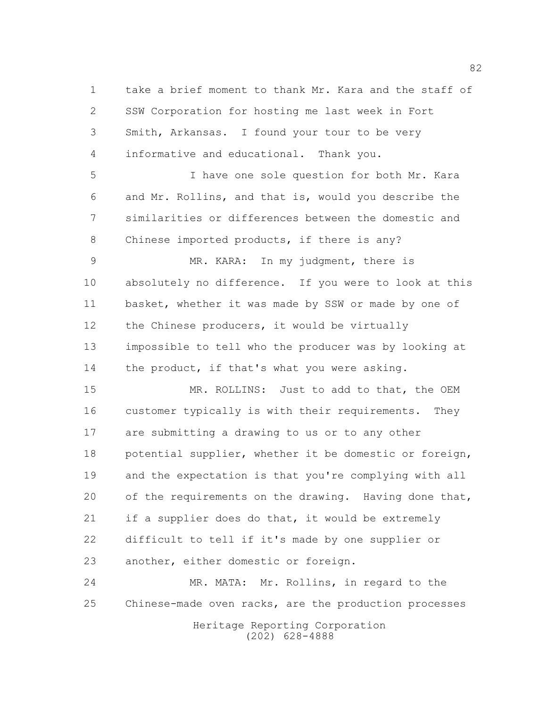take a brief moment to thank Mr. Kara and the staff of SSW Corporation for hosting me last week in Fort Smith, Arkansas. I found your tour to be very informative and educational. Thank you.

 I have one sole question for both Mr. Kara and Mr. Rollins, and that is, would you describe the similarities or differences between the domestic and Chinese imported products, if there is any?

 MR. KARA: In my judgment, there is absolutely no difference. If you were to look at this basket, whether it was made by SSW or made by one of 12 the Chinese producers, it would be virtually impossible to tell who the producer was by looking at 14 the product, if that's what you were asking.

15 MR. ROLLINS: Just to add to that, the OEM customer typically is with their requirements. They are submitting a drawing to us or to any other potential supplier, whether it be domestic or foreign, and the expectation is that you're complying with all 20 of the requirements on the drawing. Having done that, if a supplier does do that, it would be extremely difficult to tell if it's made by one supplier or another, either domestic or foreign.

 MR. MATA: Mr. Rollins, in regard to the Chinese-made oven racks, are the production processes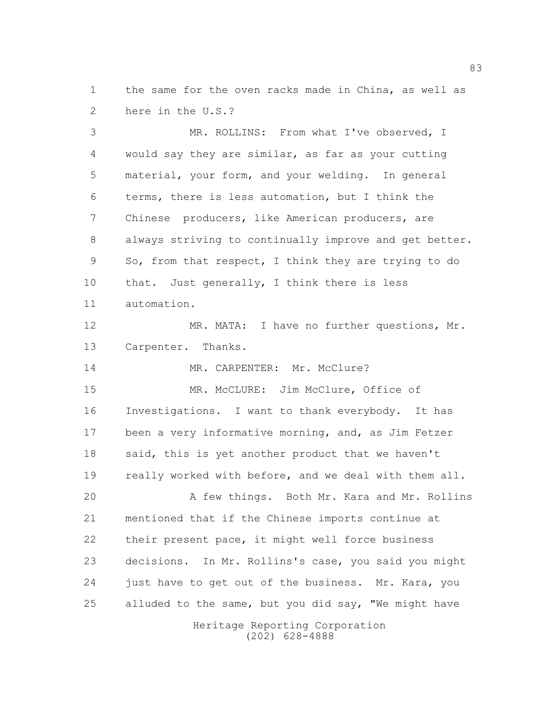the same for the oven racks made in China, as well as here in the U.S.?

 MR. ROLLINS: From what I've observed, I would say they are similar, as far as your cutting material, your form, and your welding. In general terms, there is less automation, but I think the Chinese producers, like American producers, are always striving to continually improve and get better. So, from that respect, I think they are trying to do 10 that. Just generally, I think there is less automation. MR. MATA: I have no further questions, Mr. Carpenter. Thanks. 14 MR. CARPENTER: Mr. McClure? MR. McCLURE: Jim McClure, Office of Investigations. I want to thank everybody. It has been a very informative morning, and, as Jim Fetzer said, this is yet another product that we haven't 19 really worked with before, and we deal with them all. 20 A few things. Both Mr. Kara and Mr. Rollins

 mentioned that if the Chinese imports continue at their present pace, it might well force business decisions. In Mr. Rollins's case, you said you might just have to get out of the business. Mr. Kara, you 25 alluded to the same, but you did say, "We might have

Heritage Reporting Corporation (202) 628-4888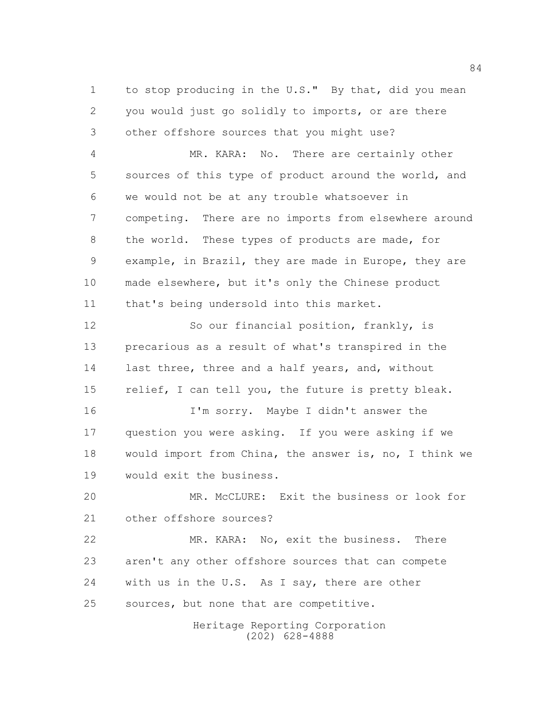to stop producing in the U.S." By that, did you mean you would just go solidly to imports, or are there other offshore sources that you might use?

 MR. KARA: No. There are certainly other sources of this type of product around the world, and we would not be at any trouble whatsoever in competing. There are no imports from elsewhere around the world. These types of products are made, for example, in Brazil, they are made in Europe, they are made elsewhere, but it's only the Chinese product that's being undersold into this market.

12 So our financial position, frankly, is precarious as a result of what's transpired in the 14 last three, three and a half years, and, without 15 relief, I can tell you, the future is pretty bleak.

 I'm sorry. Maybe I didn't answer the question you were asking. If you were asking if we would import from China, the answer is, no, I think we would exit the business.

 MR. McCLURE: Exit the business or look for other offshore sources?

 MR. KARA: No, exit the business. There aren't any other offshore sources that can compete with us in the U.S. As I say, there are other sources, but none that are competitive.

> Heritage Reporting Corporation (202) 628-4888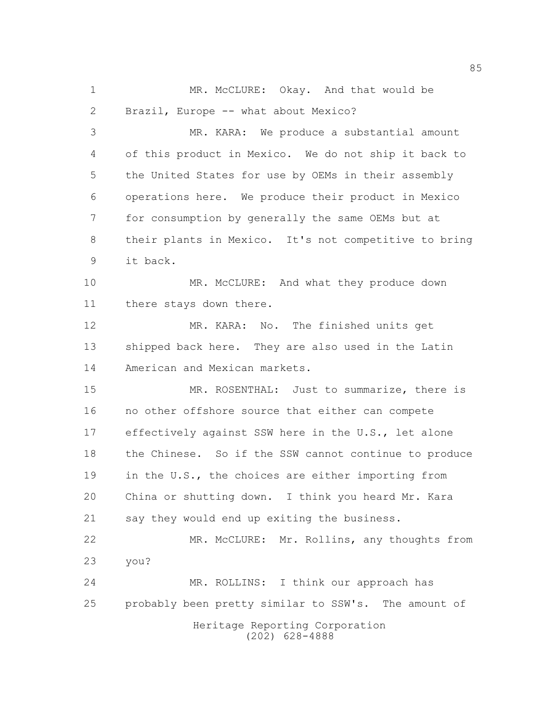MR. McCLURE: Okay. And that would be Brazil, Europe -- what about Mexico?

 MR. KARA: We produce a substantial amount of this product in Mexico. We do not ship it back to the United States for use by OEMs in their assembly operations here. We produce their product in Mexico for consumption by generally the same OEMs but at their plants in Mexico. It's not competitive to bring it back.

10 MR. McCLURE: And what they produce down there stays down there.

 MR. KARA: No. The finished units get shipped back here. They are also used in the Latin American and Mexican markets.

15 MR. ROSENTHAL: Just to summarize, there is no other offshore source that either can compete effectively against SSW here in the U.S., let alone the Chinese. So if the SSW cannot continue to produce in the U.S., the choices are either importing from China or shutting down. I think you heard Mr. Kara say they would end up exiting the business.

 MR. McCLURE: Mr. Rollins, any thoughts from you?

Heritage Reporting Corporation MR. ROLLINS: I think our approach has probably been pretty similar to SSW's. The amount of

(202) 628-4888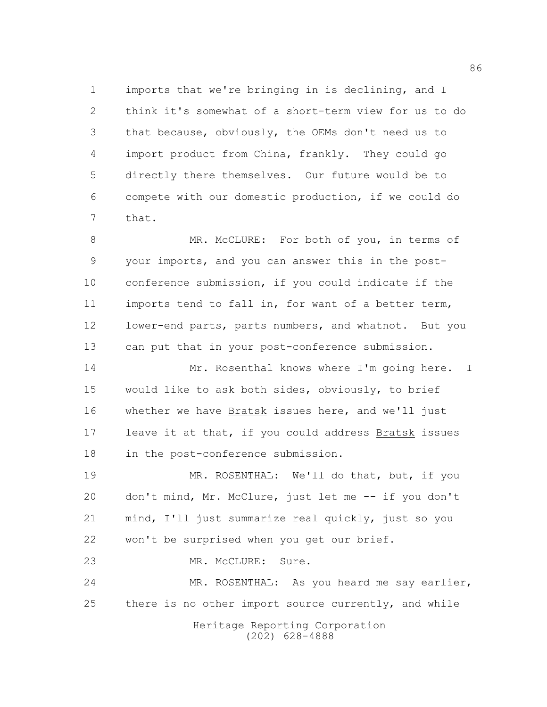imports that we're bringing in is declining, and I think it's somewhat of a short-term view for us to do that because, obviously, the OEMs don't need us to import product from China, frankly. They could go directly there themselves. Our future would be to compete with our domestic production, if we could do that.

8 MR. McCLURE: For both of you, in terms of your imports, and you can answer this in the post- conference submission, if you could indicate if the imports tend to fall in, for want of a better term, lower-end parts, parts numbers, and whatnot. But you can put that in your post-conference submission.

14 Mr. Rosenthal knows where I'm going here. I would like to ask both sides, obviously, to brief whether we have Bratsk issues here, and we'll just leave it at that, if you could address Bratsk issues in the post-conference submission.

19 MR. ROSENTHAL: We'll do that, but, if you don't mind, Mr. McClure, just let me -- if you don't mind, I'll just summarize real quickly, just so you won't be surprised when you get our brief.

23 MR. McCLURE: Sure.

 MR. ROSENTHAL: As you heard me say earlier, 25 there is no other import source currently, and while

> Heritage Reporting Corporation (202) 628-4888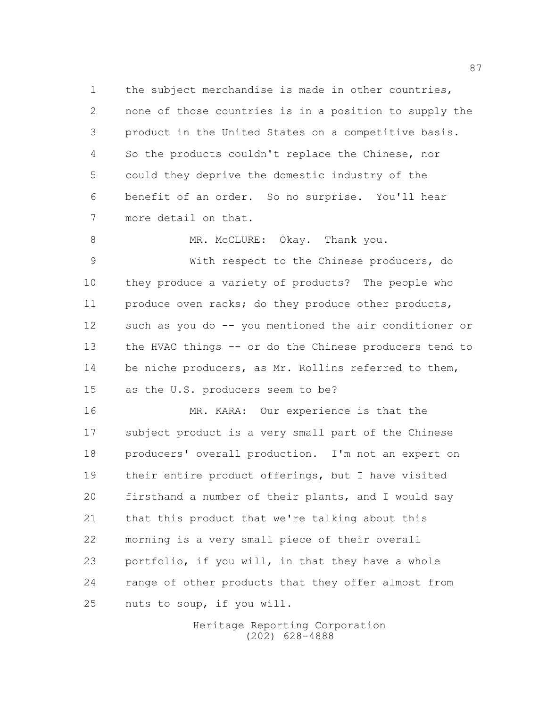the subject merchandise is made in other countries, none of those countries is in a position to supply the product in the United States on a competitive basis. So the products couldn't replace the Chinese, nor could they deprive the domestic industry of the benefit of an order. So no surprise. You'll hear more detail on that.

8 MR. McCLURE: Okay. Thank you.

 With respect to the Chinese producers, do they produce a variety of products? The people who 11 produce oven racks; do they produce other products, such as you do -- you mentioned the air conditioner or 13 the HVAC things -- or do the Chinese producers tend to be niche producers, as Mr. Rollins referred to them, as the U.S. producers seem to be?

 MR. KARA: Our experience is that the subject product is a very small part of the Chinese producers' overall production. I'm not an expert on their entire product offerings, but I have visited firsthand a number of their plants, and I would say that this product that we're talking about this morning is a very small piece of their overall portfolio, if you will, in that they have a whole range of other products that they offer almost from nuts to soup, if you will.

> Heritage Reporting Corporation (202) 628-4888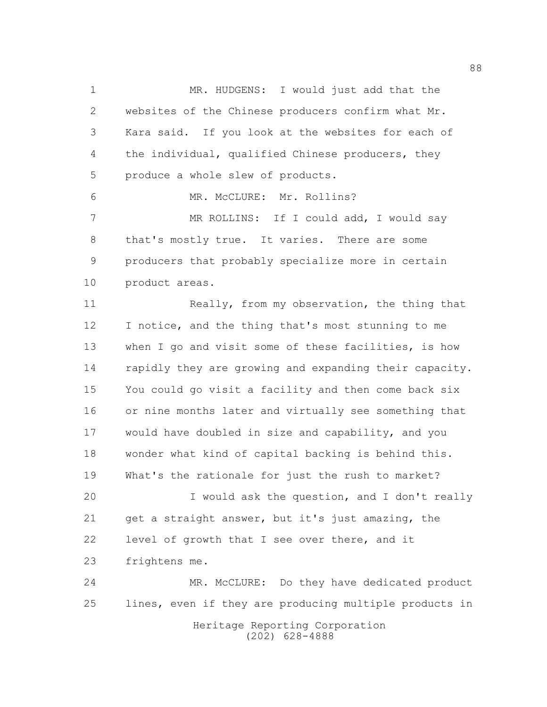MR. HUDGENS: I would just add that the websites of the Chinese producers confirm what Mr. Kara said. If you look at the websites for each of the individual, qualified Chinese producers, they produce a whole slew of products.

6 MR. McCLURE: Mr. Rollins?

7 MR ROLLINS: If I could add, I would say that's mostly true. It varies. There are some producers that probably specialize more in certain product areas.

11 Really, from my observation, the thing that I notice, and the thing that's most stunning to me when I go and visit some of these facilities, is how rapidly they are growing and expanding their capacity. You could go visit a facility and then come back six or nine months later and virtually see something that would have doubled in size and capability, and you wonder what kind of capital backing is behind this. What's the rationale for just the rush to market?

 I would ask the question, and I don't really get a straight answer, but it's just amazing, the level of growth that I see over there, and it frightens me.

Heritage Reporting Corporation (202) 628-4888 MR. McCLURE: Do they have dedicated product lines, even if they are producing multiple products in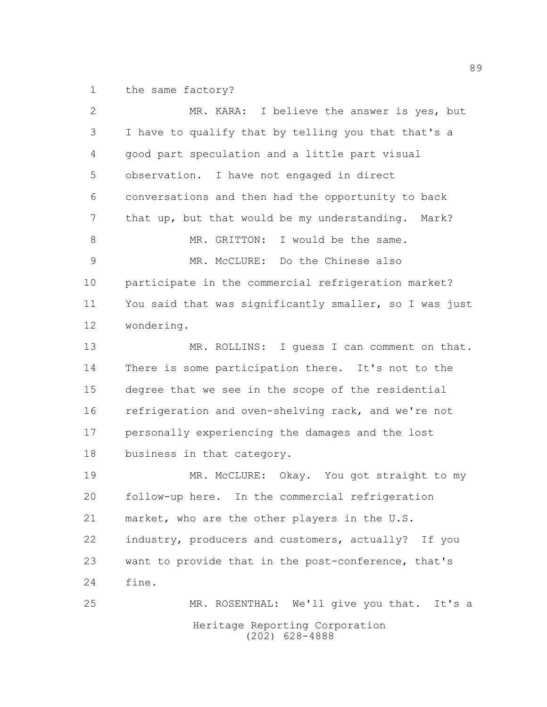the same factory?

| $\overline{2}$ | MR. KARA: I believe the answer is yes, but             |
|----------------|--------------------------------------------------------|
| 3              | I have to qualify that by telling you that that's a    |
| 4              | good part speculation and a little part visual         |
| 5              | observation. I have not engaged in direct              |
| 6              | conversations and then had the opportunity to back     |
| 7              | that up, but that would be my understanding. Mark?     |
| 8              | MR. GRITTON: I would be the same.                      |
| $\mathsf 9$    | MR. McCLURE: Do the Chinese also                       |
| 10             | participate in the commercial refrigeration market?    |
| 11             | You said that was significantly smaller, so I was just |
| 12             | wondering.                                             |
| 13             | MR. ROLLINS: I quess I can comment on that.            |
| 14             | There is some participation there. It's not to the     |
| 15             | degree that we see in the scope of the residential     |
| 16             | refrigeration and oven-shelving rack, and we're not    |
| 17             | personally experiencing the damages and the lost       |
| 18             | business in that category.                             |
| 19             | MR. McCLURE: Okay. You got straight to my              |
| 20             | follow-up here. In the commercial refrigeration        |
| 21             | market, who are the other players in the U.S.          |
| 22             | industry, producers and customers, actually? If you    |
| 23             | want to provide that in the post-conference, that's    |
| 24             | fine.                                                  |
| 25             | MR. ROSENTHAL: We'll give you that. It's a             |
|                | Heritage Reporting Corporation<br>$(202)$ 628-4888     |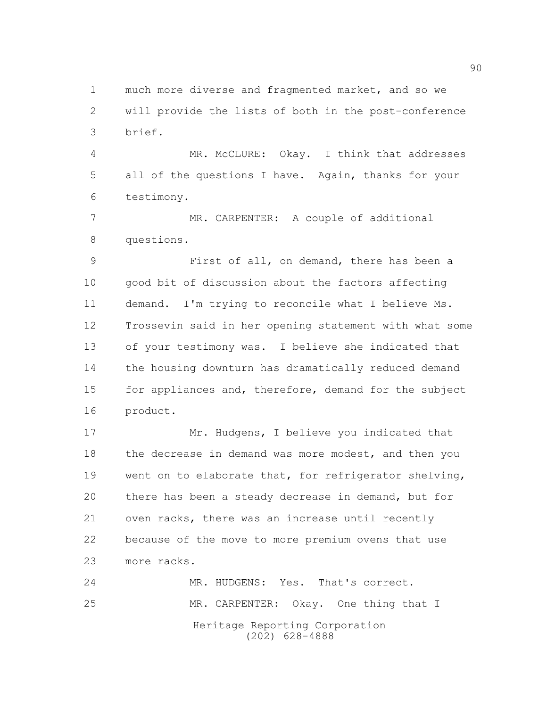much more diverse and fragmented market, and so we will provide the lists of both in the post-conference brief.

 MR. McCLURE: Okay. I think that addresses all of the questions I have. Again, thanks for your testimony.

 MR. CARPENTER: A couple of additional questions.

 First of all, on demand, there has been a good bit of discussion about the factors affecting demand. I'm trying to reconcile what I believe Ms. Trossevin said in her opening statement with what some of your testimony was. I believe she indicated that the housing downturn has dramatically reduced demand 15 for appliances and, therefore, demand for the subject product.

17 Mr. Hudgens, I believe you indicated that 18 the decrease in demand was more modest, and then you went on to elaborate that, for refrigerator shelving, there has been a steady decrease in demand, but for oven racks, there was an increase until recently because of the move to more premium ovens that use more racks.

Heritage Reporting Corporation (202) 628-4888 MR. HUDGENS: Yes. That's correct. MR. CARPENTER: Okay. One thing that I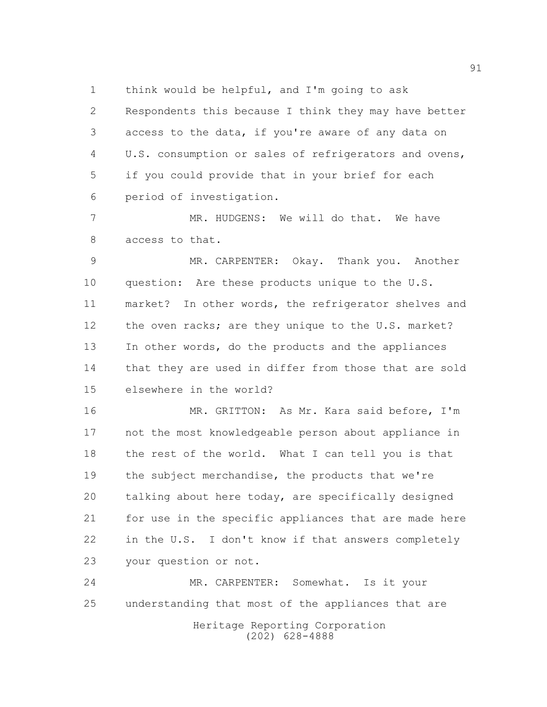think would be helpful, and I'm going to ask

 Respondents this because I think they may have better access to the data, if you're aware of any data on U.S. consumption or sales of refrigerators and ovens, if you could provide that in your brief for each period of investigation.

 MR. HUDGENS: We will do that. We have access to that.

 MR. CARPENTER: Okay. Thank you. Another question: Are these products unique to the U.S. market? In other words, the refrigerator shelves and 12 the oven racks; are they unique to the U.S. market? In other words, do the products and the appliances that they are used in differ from those that are sold elsewhere in the world?

 MR. GRITTON: As Mr. Kara said before, I'm not the most knowledgeable person about appliance in the rest of the world. What I can tell you is that the subject merchandise, the products that we're talking about here today, are specifically designed for use in the specific appliances that are made here in the U.S. I don't know if that answers completely your question or not.

 MR. CARPENTER: Somewhat. Is it your understanding that most of the appliances that are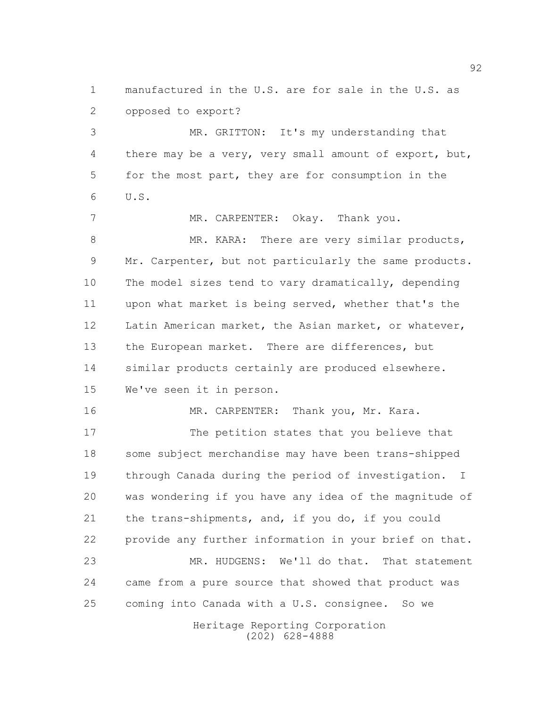manufactured in the U.S. are for sale in the U.S. as opposed to export?

 MR. GRITTON: It's my understanding that there may be a very, very small amount of export, but, for the most part, they are for consumption in the U.S.

7 MR. CARPENTER: Okay. Thank you. 8 MR. KARA: There are very similar products, Mr. Carpenter, but not particularly the same products. The model sizes tend to vary dramatically, depending upon what market is being served, whether that's the 12 Latin American market, the Asian market, or whatever, 13 the European market. There are differences, but similar products certainly are produced elsewhere. We've seen it in person.

16 MR. CARPENTER: Thank you, Mr. Kara. 17 The petition states that you believe that some subject merchandise may have been trans-shipped through Canada during the period of investigation. I was wondering if you have any idea of the magnitude of the trans-shipments, and, if you do, if you could provide any further information in your brief on that. MR. HUDGENS: We'll do that. That statement came from a pure source that showed that product was coming into Canada with a U.S. consignee. So we

> Heritage Reporting Corporation (202) 628-4888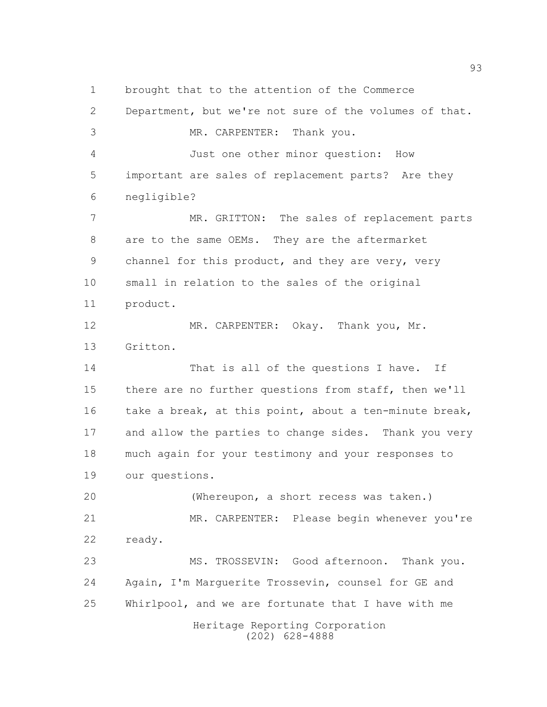Heritage Reporting Corporation (202) 628-4888 brought that to the attention of the Commerce Department, but we're not sure of the volumes of that. MR. CARPENTER: Thank you. Just one other minor question: How important are sales of replacement parts? Are they negligible? MR. GRITTON: The sales of replacement parts are to the same OEMs. They are the aftermarket channel for this product, and they are very, very small in relation to the sales of the original product. MR. CARPENTER: Okay. Thank you, Mr. Gritton. 14 That is all of the questions I have. If there are no further questions from staff, then we'll 16 take a break, at this point, about a ten-minute break, and allow the parties to change sides. Thank you very much again for your testimony and your responses to our questions. (Whereupon, a short recess was taken.) MR. CARPENTER: Please begin whenever you're ready. MS. TROSSEVIN: Good afternoon. Thank you. Again, I'm Marguerite Trossevin, counsel for GE and Whirlpool, and we are fortunate that I have with me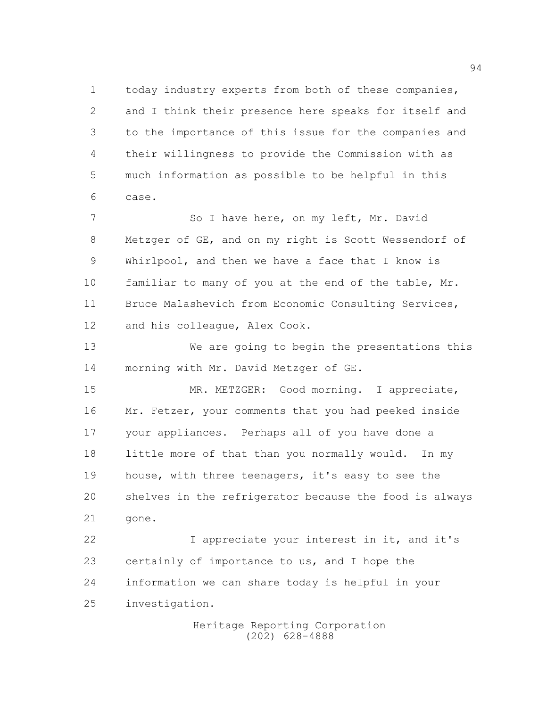today industry experts from both of these companies, and I think their presence here speaks for itself and to the importance of this issue for the companies and their willingness to provide the Commission with as much information as possible to be helpful in this case.

7 So I have here, on my left, Mr. David Metzger of GE, and on my right is Scott Wessendorf of Whirlpool, and then we have a face that I know is familiar to many of you at the end of the table, Mr. Bruce Malashevich from Economic Consulting Services, and his colleague, Alex Cook.

 We are going to begin the presentations this morning with Mr. David Metzger of GE.

15 MR. METZGER: Good morning. I appreciate, Mr. Fetzer, your comments that you had peeked inside your appliances. Perhaps all of you have done a 18 little more of that than you normally would. In my house, with three teenagers, it's easy to see the shelves in the refrigerator because the food is always gone.

22 I appreciate your interest in it, and it's certainly of importance to us, and I hope the information we can share today is helpful in your investigation.

> Heritage Reporting Corporation (202) 628-4888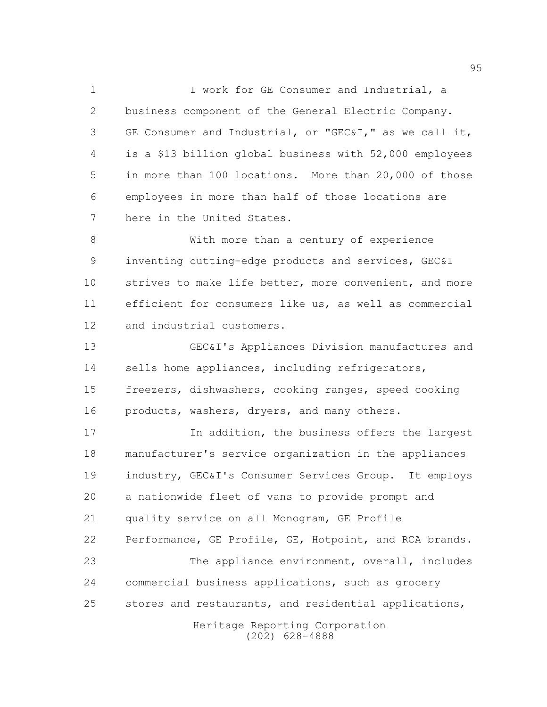**I** work for GE Consumer and Industrial, a business component of the General Electric Company. GE Consumer and Industrial, or "GEC&I," as we call it, is a \$13 billion global business with 52,000 employees in more than 100 locations. More than 20,000 of those employees in more than half of those locations are here in the United States.

 With more than a century of experience inventing cutting-edge products and services, GEC&I 10 strives to make life better, more convenient, and more efficient for consumers like us, as well as commercial and industrial customers.

 GEC&I's Appliances Division manufactures and sells home appliances, including refrigerators, freezers, dishwashers, cooking ranges, speed cooking products, washers, dryers, and many others.

 In addition, the business offers the largest manufacturer's service organization in the appliances industry, GEC&I's Consumer Services Group. It employs a nationwide fleet of vans to provide prompt and quality service on all Monogram, GE Profile Performance, GE Profile, GE, Hotpoint, and RCA brands. The appliance environment, overall, includes commercial business applications, such as grocery stores and restaurants, and residential applications,

> Heritage Reporting Corporation (202) 628-4888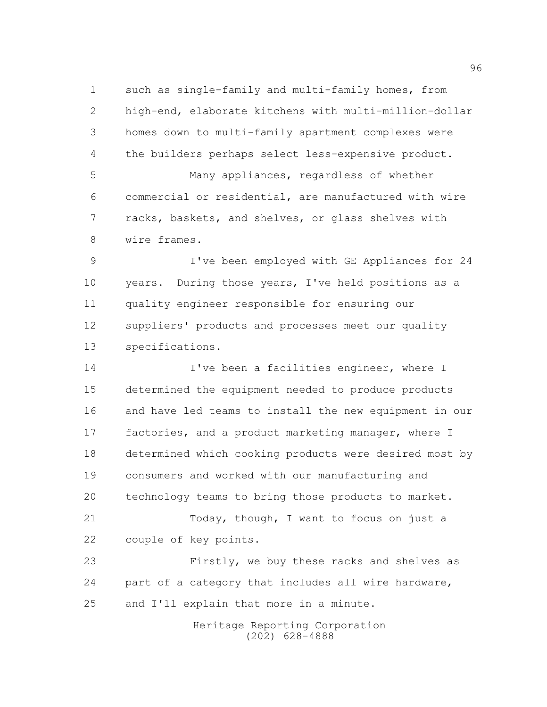such as single-family and multi-family homes, from high-end, elaborate kitchens with multi-million-dollar homes down to multi-family apartment complexes were the builders perhaps select less-expensive product. Many appliances, regardless of whether commercial or residential, are manufactured with wire racks, baskets, and shelves, or glass shelves with wire frames.

 I've been employed with GE Appliances for 24 years. During those years, I've held positions as a quality engineer responsible for ensuring our suppliers' products and processes meet our quality specifications.

**I've been a facilities engineer, where I**  determined the equipment needed to produce products and have led teams to install the new equipment in our factories, and a product marketing manager, where I determined which cooking products were desired most by consumers and worked with our manufacturing and technology teams to bring those products to market. Today, though, I want to focus on just a couple of key points. Firstly, we buy these racks and shelves as

 part of a category that includes all wire hardware, and I'll explain that more in a minute.

> Heritage Reporting Corporation (202) 628-4888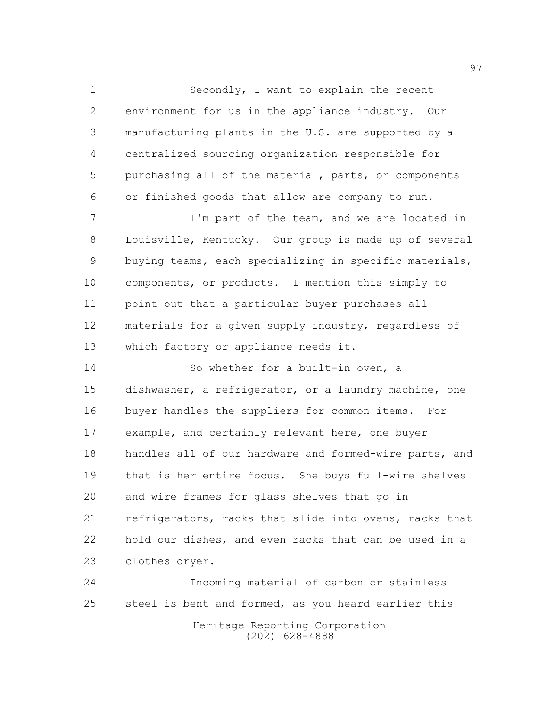Secondly, I want to explain the recent environment for us in the appliance industry. Our manufacturing plants in the U.S. are supported by a centralized sourcing organization responsible for purchasing all of the material, parts, or components or finished goods that allow are company to run.

7 I'm part of the team, and we are located in Louisville, Kentucky. Our group is made up of several buying teams, each specializing in specific materials, components, or products. I mention this simply to point out that a particular buyer purchases all materials for a given supply industry, regardless of which factory or appliance needs it.

14 So whether for a built-in oven, a dishwasher, a refrigerator, or a laundry machine, one buyer handles the suppliers for common items. For example, and certainly relevant here, one buyer handles all of our hardware and formed-wire parts, and that is her entire focus. She buys full-wire shelves and wire frames for glass shelves that go in refrigerators, racks that slide into ovens, racks that hold our dishes, and even racks that can be used in a clothes dryer.

 Incoming material of carbon or stainless 25 steel is bent and formed, as you heard earlier this

Heritage Reporting Corporation (202) 628-4888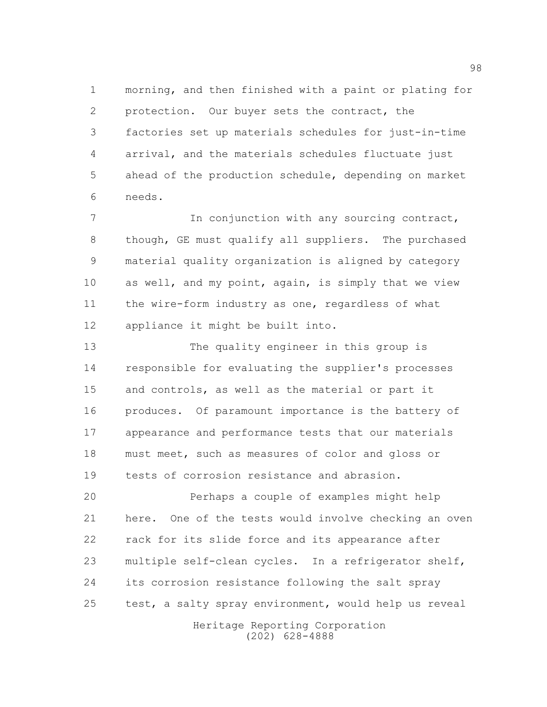morning, and then finished with a paint or plating for protection. Our buyer sets the contract, the factories set up materials schedules for just-in-time arrival, and the materials schedules fluctuate just ahead of the production schedule, depending on market needs.

 In conjunction with any sourcing contract, though, GE must qualify all suppliers. The purchased material quality organization is aligned by category as well, and my point, again, is simply that we view the wire-form industry as one, regardless of what appliance it might be built into.

 The quality engineer in this group is responsible for evaluating the supplier's processes and controls, as well as the material or part it produces. Of paramount importance is the battery of appearance and performance tests that our materials must meet, such as measures of color and gloss or tests of corrosion resistance and abrasion.

 Perhaps a couple of examples might help here. One of the tests would involve checking an oven rack for its slide force and its appearance after multiple self-clean cycles. In a refrigerator shelf, its corrosion resistance following the salt spray 25 test, a salty spray environment, would help us reveal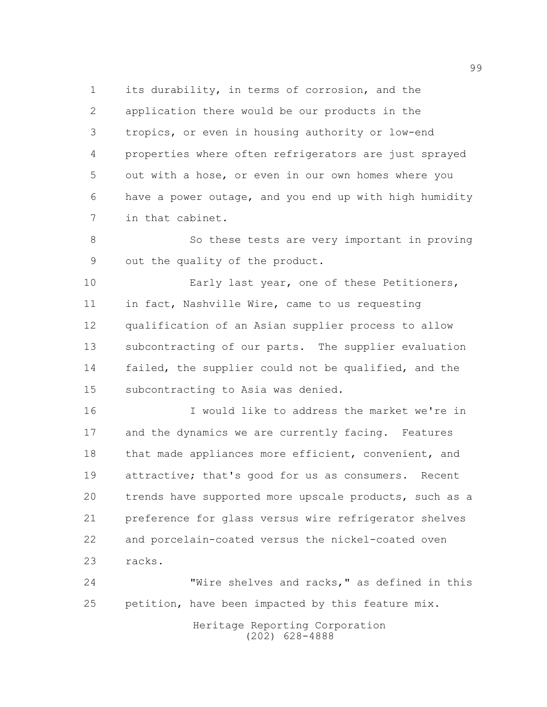its durability, in terms of corrosion, and the application there would be our products in the tropics, or even in housing authority or low-end properties where often refrigerators are just sprayed out with a hose, or even in our own homes where you have a power outage, and you end up with high humidity in that cabinet.

 So these tests are very important in proving out the quality of the product.

**Early last year, one of these Petitioners,**  in fact, Nashville Wire, came to us requesting qualification of an Asian supplier process to allow subcontracting of our parts. The supplier evaluation failed, the supplier could not be qualified, and the subcontracting to Asia was denied.

 I would like to address the market we're in and the dynamics we are currently facing. Features 18 that made appliances more efficient, convenient, and attractive; that's good for us as consumers. Recent trends have supported more upscale products, such as a preference for glass versus wire refrigerator shelves and porcelain-coated versus the nickel-coated oven racks.

 "Wire shelves and racks," as defined in this petition, have been impacted by this feature mix.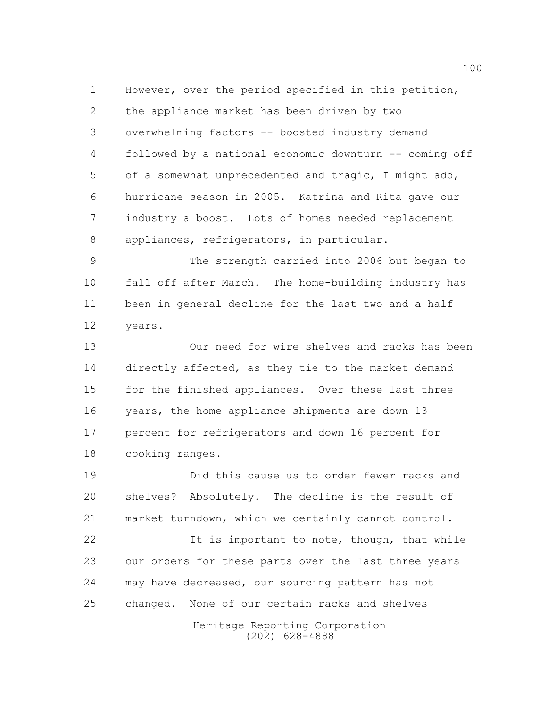However, over the period specified in this petition, the appliance market has been driven by two overwhelming factors -- boosted industry demand followed by a national economic downturn -- coming off of a somewhat unprecedented and tragic, I might add, hurricane season in 2005. Katrina and Rita gave our industry a boost. Lots of homes needed replacement appliances, refrigerators, in particular.

 The strength carried into 2006 but began to fall off after March. The home-building industry has been in general decline for the last two and a half years.

 Our need for wire shelves and racks has been directly affected, as they tie to the market demand 15 for the finished appliances. Over these last three years, the home appliance shipments are down 13 percent for refrigerators and down 16 percent for cooking ranges.

 Did this cause us to order fewer racks and shelves? Absolutely. The decline is the result of market turndown, which we certainly cannot control.

22 It is important to note, though, that while our orders for these parts over the last three years may have decreased, our sourcing pattern has not changed. None of our certain racks and shelves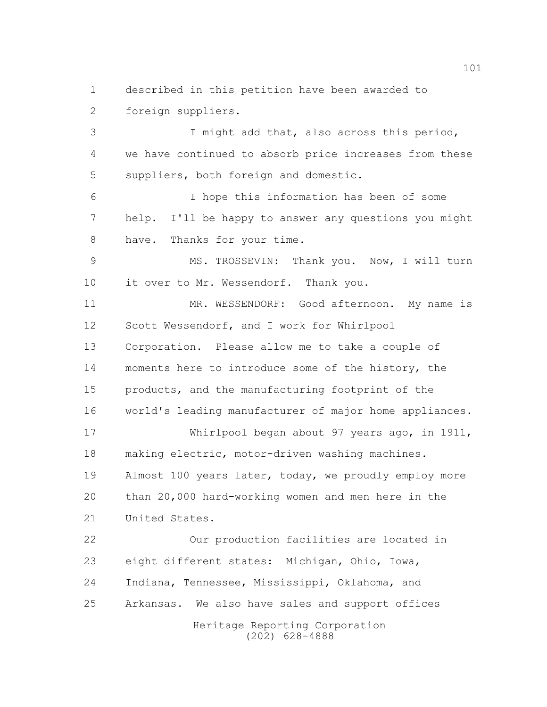described in this petition have been awarded to foreign suppliers.

 I might add that, also across this period, we have continued to absorb price increases from these suppliers, both foreign and domestic.

 I hope this information has been of some help. I'll be happy to answer any questions you might 8 have. Thanks for your time.

 MS. TROSSEVIN: Thank you. Now, I will turn 10 it over to Mr. Wessendorf. Thank you.

11 MR. WESSENDORF: Good afternoon. My name is Scott Wessendorf, and I work for Whirlpool Corporation. Please allow me to take a couple of moments here to introduce some of the history, the products, and the manufacturing footprint of the world's leading manufacturer of major home appliances. Whirlpool began about 97 years ago, in 1911, making electric, motor-driven washing machines. Almost 100 years later, today, we proudly employ more than 20,000 hard-working women and men here in the

Heritage Reporting Corporation Our production facilities are located in eight different states: Michigan, Ohio, Iowa, Indiana, Tennessee, Mississippi, Oklahoma, and Arkansas. We also have sales and support offices

United States.

(202) 628-4888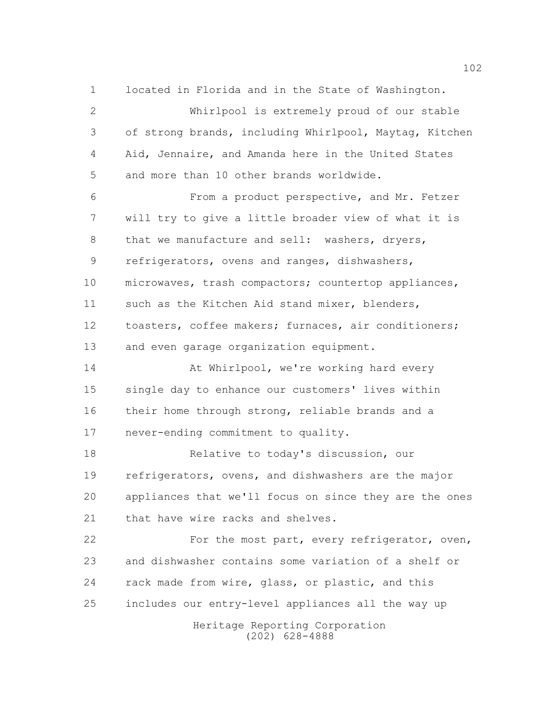located in Florida and in the State of Washington.

 Whirlpool is extremely proud of our stable of strong brands, including Whirlpool, Maytag, Kitchen Aid, Jennaire, and Amanda here in the United States and more than 10 other brands worldwide. From a product perspective, and Mr. Fetzer

 will try to give a little broader view of what it is 8 that we manufacture and sell: washers, dryers, refrigerators, ovens and ranges, dishwashers, microwaves, trash compactors; countertop appliances, such as the Kitchen Aid stand mixer, blenders, toasters, coffee makers; furnaces, air conditioners; and even garage organization equipment.

14 At Whirlpool, we're working hard every single day to enhance our customers' lives within their home through strong, reliable brands and a never-ending commitment to quality.

 Relative to today's discussion, our refrigerators, ovens, and dishwashers are the major appliances that we'll focus on since they are the ones 21 that have wire racks and shelves.

22 For the most part, every refrigerator, oven, and dishwasher contains some variation of a shelf or 24 rack made from wire, glass, or plastic, and this includes our entry-level appliances all the way up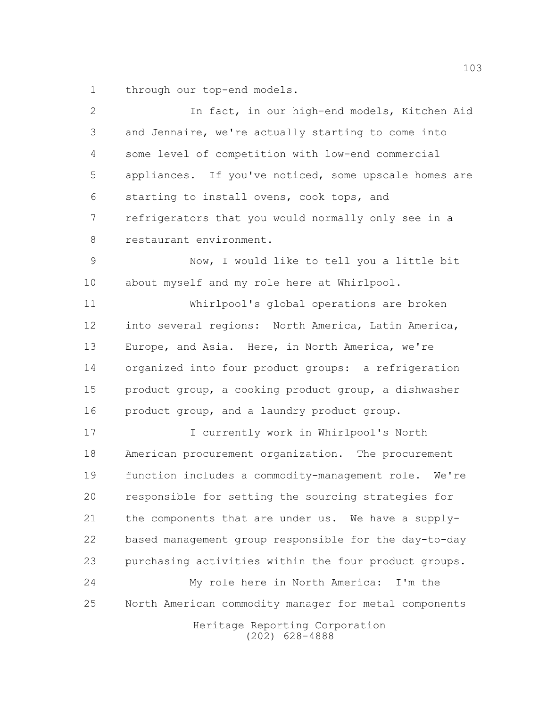through our top-end models.

| $\mathbf{2}$  | In fact, in our high-end models, Kitchen Aid          |
|---------------|-------------------------------------------------------|
| $\mathcal{S}$ | and Jennaire, we're actually starting to come into    |
| 4             | some level of competition with low-end commercial     |
| 5             | appliances. If you've noticed, some upscale homes are |
| 6             | starting to install ovens, cook tops, and             |
| 7             | refrigerators that you would normally only see in a   |
| $\,8\,$       | restaurant environment.                               |
| $\mathcal{G}$ | Now, I would like to tell you a little bit            |
| 10            | about myself and my role here at Whirlpool.           |
| 11            | Whirlpool's global operations are broken              |
| 12            | into several regions: North America, Latin America,   |
| 13            | Europe, and Asia. Here, in North America, we're       |
| 14            | organized into four product groups: a refrigeration   |
| 15            | product group, a cooking product group, a dishwasher  |
| 16            | product group, and a laundry product group.           |
| 17            | I currently work in Whirlpool's North                 |
| 18            | American procurement organization. The procurement    |
| 19            | function includes a commodity-management role. We're  |
| 20            | responsible for setting the sourcing strategies for   |
| 21            | the components that are under us. We have a supply-   |
| 22            | based management group responsible for the day-to-day |
| 23            | purchasing activities within the four product groups. |
| 24            | My role here in North America:<br>I'm the             |
| 25            | North American commodity manager for metal components |
|               | Heritage Reporting Corporation<br>$(202)$ 628-4888    |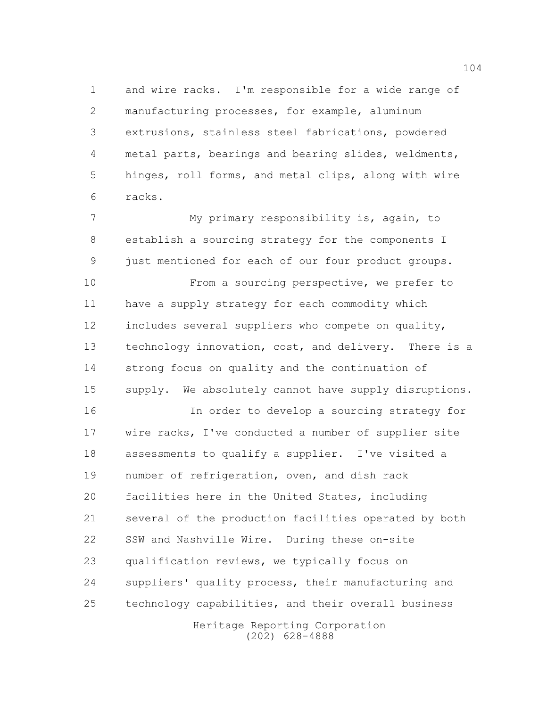and wire racks. I'm responsible for a wide range of manufacturing processes, for example, aluminum extrusions, stainless steel fabrications, powdered metal parts, bearings and bearing slides, weldments, hinges, roll forms, and metal clips, along with wire racks.

 My primary responsibility is, again, to establish a sourcing strategy for the components I just mentioned for each of our four product groups.

**From a sourcing perspective, we prefer to**  have a supply strategy for each commodity which includes several suppliers who compete on quality, technology innovation, cost, and delivery. There is a strong focus on quality and the continuation of supply. We absolutely cannot have supply disruptions.

Heritage Reporting Corporation In order to develop a sourcing strategy for wire racks, I've conducted a number of supplier site assessments to qualify a supplier. I've visited a number of refrigeration, oven, and dish rack facilities here in the United States, including several of the production facilities operated by both SSW and Nashville Wire. During these on-site qualification reviews, we typically focus on suppliers' quality process, their manufacturing and technology capabilities, and their overall business

(202) 628-4888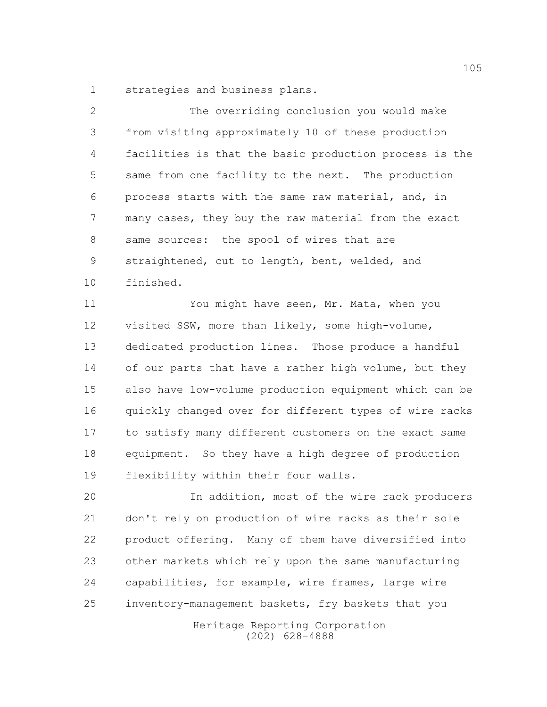strategies and business plans.

| 2             | The overriding conclusion you would make               |
|---------------|--------------------------------------------------------|
| 3             | from visiting approximately 10 of these production     |
| 4             | facilities is that the basic production process is the |
| 5             | same from one facility to the next. The production     |
| 6             | process starts with the same raw material, and, in     |
| 7             | many cases, they buy the raw material from the exact   |
| 8             | same sources: the spool of wires that are              |
| $\mathcal{G}$ | straightened, cut to length, bent, welded, and         |
| 10            | finished.                                              |
| 11            | You might have seen, Mr. Mata, when you                |
| 12            | visited SSW, more than likely, some high-volume,       |
| 13            | dedicated production lines. Those produce a handful    |
| 14            | of our parts that have a rather high volume, but they  |
| 15            | also have low-volume production equipment which can be |
| 16            | quickly changed over for different types of wire racks |
| 17            | to satisfy many different customers on the exact same  |
| 18            | equipment. So they have a high degree of production    |
| 19            | flexibility within their four walls.                   |
| 20            | In addition, most of the wire rack producers           |
| 21            | don't rely on production of wire racks as their sole   |
| 22            | product offering. Many of them have diversified into   |
| 23            | other markets which rely upon the same manufacturing   |
| 24            | capabilities, for example, wire frames, large wire     |
| 25            | inventory-management baskets, fry baskets that you     |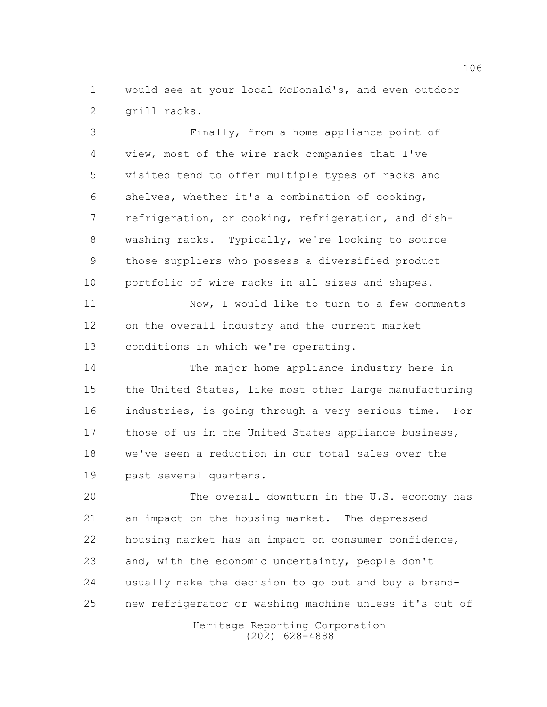would see at your local McDonald's, and even outdoor grill racks.

 Finally, from a home appliance point of view, most of the wire rack companies that I've visited tend to offer multiple types of racks and shelves, whether it's a combination of cooking, refrigeration, or cooking, refrigeration, and dish- washing racks. Typically, we're looking to source those suppliers who possess a diversified product portfolio of wire racks in all sizes and shapes. Now, I would like to turn to a few comments on the overall industry and the current market conditions in which we're operating. The major home appliance industry here in the United States, like most other large manufacturing industries, is going through a very serious time. For 17 those of us in the United States appliance business,

 we've seen a reduction in our total sales over the past several quarters.

 The overall downturn in the U.S. economy has an impact on the housing market. The depressed housing market has an impact on consumer confidence, and, with the economic uncertainty, people don't usually make the decision to go out and buy a brand-new refrigerator or washing machine unless it's out of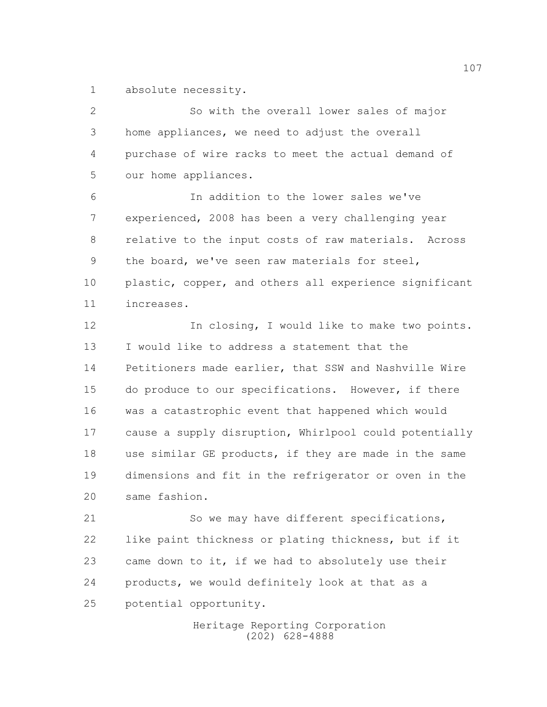absolute necessity.

 So with the overall lower sales of major home appliances, we need to adjust the overall purchase of wire racks to meet the actual demand of our home appliances. In addition to the lower sales we've experienced, 2008 has been a very challenging year relative to the input costs of raw materials. Across the board, we've seen raw materials for steel, 10 plastic, copper, and others all experience significant increases. 12 In closing, I would like to make two points. I would like to address a statement that the Petitioners made earlier, that SSW and Nashville Wire do produce to our specifications. However, if there was a catastrophic event that happened which would cause a supply disruption, Whirlpool could potentially use similar GE products, if they are made in the same dimensions and fit in the refrigerator or oven in the same fashion. So we may have different specifications,

 like paint thickness or plating thickness, but if it came down to it, if we had to absolutely use their products, we would definitely look at that as a potential opportunity.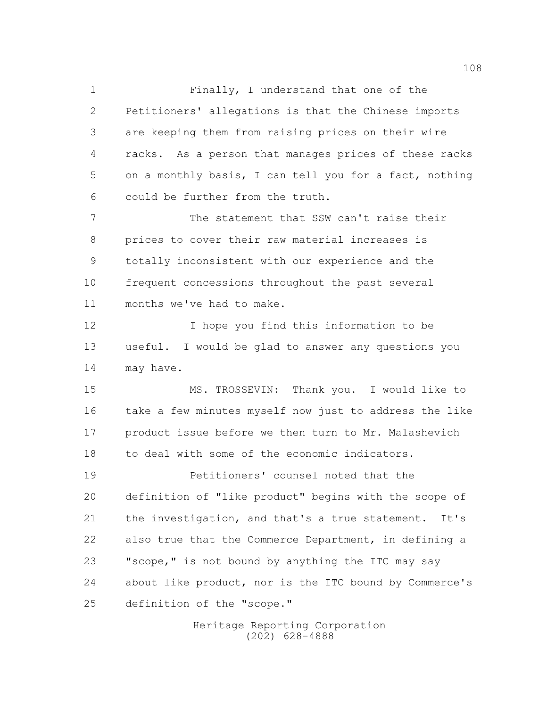Finally, I understand that one of the Petitioners' allegations is that the Chinese imports are keeping them from raising prices on their wire racks. As a person that manages prices of these racks on a monthly basis, I can tell you for a fact, nothing could be further from the truth. The statement that SSW can't raise their prices to cover their raw material increases is totally inconsistent with our experience and the frequent concessions throughout the past several months we've had to make. I hope you find this information to be useful. I would be glad to answer any questions you may have. MS. TROSSEVIN: Thank you. I would like to take a few minutes myself now just to address the like product issue before we then turn to Mr. Malashevich to deal with some of the economic indicators. Petitioners' counsel noted that the definition of "like product" begins with the scope of the investigation, and that's a true statement. It's also true that the Commerce Department, in defining a "scope," is not bound by anything the ITC may say about like product, nor is the ITC bound by Commerce's definition of the "scope."

> Heritage Reporting Corporation (202) 628-4888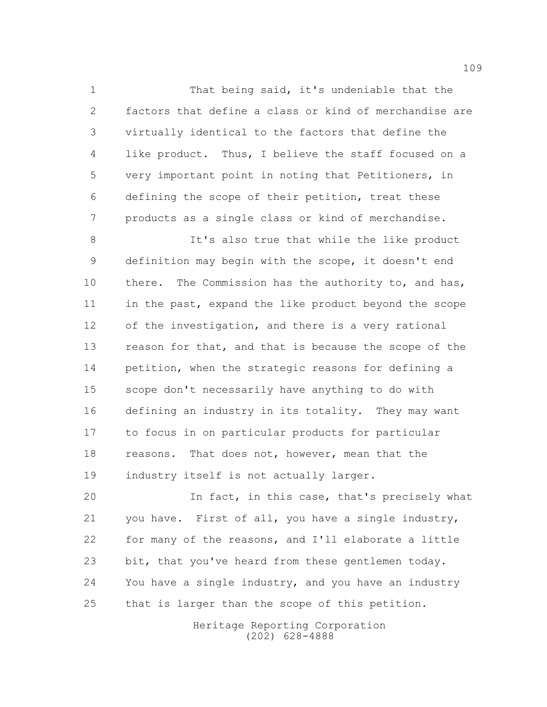That being said, it's undeniable that the factors that define a class or kind of merchandise are virtually identical to the factors that define the like product. Thus, I believe the staff focused on a very important point in noting that Petitioners, in defining the scope of their petition, treat these products as a single class or kind of merchandise.

8 It's also true that while the like product definition may begin with the scope, it doesn't end 10 there. The Commission has the authority to, and has, in the past, expand the like product beyond the scope of the investigation, and there is a very rational 13 reason for that, and that is because the scope of the petition, when the strategic reasons for defining a scope don't necessarily have anything to do with defining an industry in its totality. They may want to focus in on particular products for particular reasons. That does not, however, mean that the industry itself is not actually larger.

 In fact, in this case, that's precisely what you have. First of all, you have a single industry, for many of the reasons, and I'll elaborate a little bit, that you've heard from these gentlemen today. 24 You have a single industry, and you have an industry that is larger than the scope of this petition.

> Heritage Reporting Corporation (202) 628-4888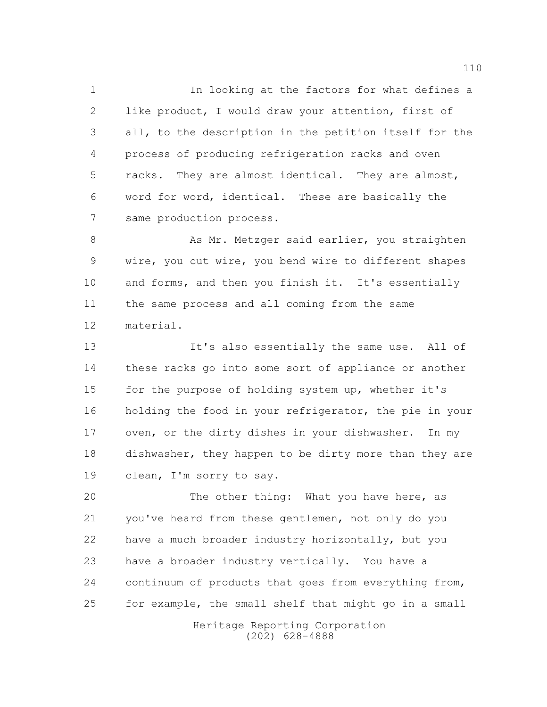In looking at the factors for what defines a like product, I would draw your attention, first of all, to the description in the petition itself for the process of producing refrigeration racks and oven racks. They are almost identical. They are almost, word for word, identical. These are basically the same production process.

8 As Mr. Metzger said earlier, you straighten wire, you cut wire, you bend wire to different shapes 10 and forms, and then you finish it. It's essentially the same process and all coming from the same material.

 It's also essentially the same use. All of these racks go into some sort of appliance or another for the purpose of holding system up, whether it's holding the food in your refrigerator, the pie in your oven, or the dirty dishes in your dishwasher. In my dishwasher, they happen to be dirty more than they are clean, I'm sorry to say.

20 The other thing: What you have here, as you've heard from these gentlemen, not only do you have a much broader industry horizontally, but you have a broader industry vertically. You have a continuum of products that goes from everything from, for example, the small shelf that might go in a small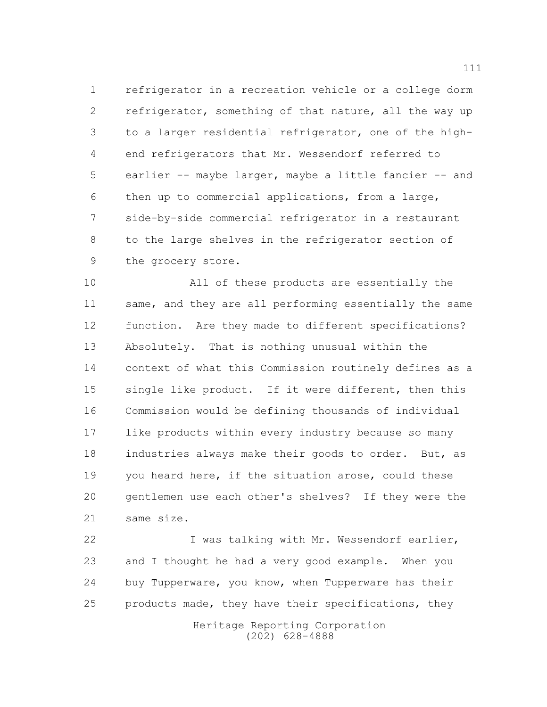refrigerator in a recreation vehicle or a college dorm refrigerator, something of that nature, all the way up to a larger residential refrigerator, one of the high- end refrigerators that Mr. Wessendorf referred to earlier -- maybe larger, maybe a little fancier -- and then up to commercial applications, from a large, side-by-side commercial refrigerator in a restaurant to the large shelves in the refrigerator section of the grocery store.

 All of these products are essentially the 11 same, and they are all performing essentially the same function. Are they made to different specifications? Absolutely. That is nothing unusual within the context of what this Commission routinely defines as a single like product. If it were different, then this Commission would be defining thousands of individual like products within every industry because so many industries always make their goods to order. But, as you heard here, if the situation arose, could these gentlemen use each other's shelves? If they were the same size.

 I was talking with Mr. Wessendorf earlier, and I thought he had a very good example. When you buy Tupperware, you know, when Tupperware has their products made, they have their specifications, they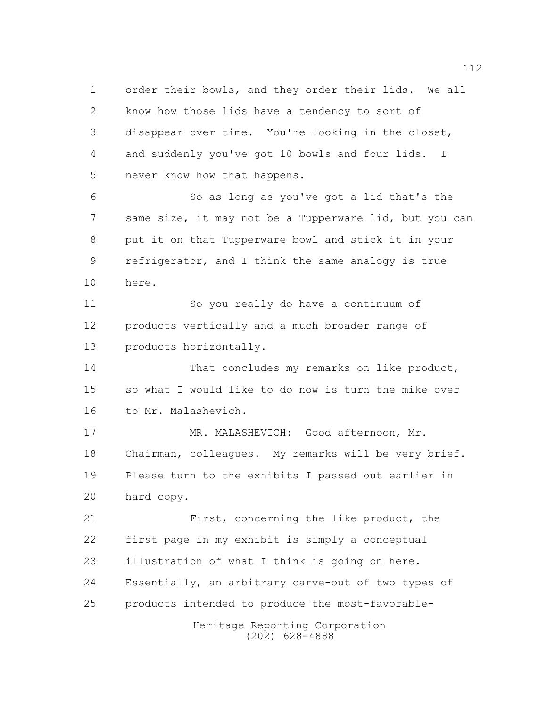order their bowls, and they order their lids. We all know how those lids have a tendency to sort of disappear over time. You're looking in the closet, and suddenly you've got 10 bowls and four lids. I never know how that happens. So as long as you've got a lid that's the same size, it may not be a Tupperware lid, but you can put it on that Tupperware bowl and stick it in your refrigerator, and I think the same analogy is true here.

 So you really do have a continuum of products vertically and a much broader range of products horizontally.

14 That concludes my remarks on like product, so what I would like to do now is turn the mike over to Mr. Malashevich.

 MR. MALASHEVICH: Good afternoon, Mr. Chairman, colleagues. My remarks will be very brief. Please turn to the exhibits I passed out earlier in hard copy.

 First, concerning the like product, the first page in my exhibit is simply a conceptual illustration of what I think is going on here. Essentially, an arbitrary carve-out of two types of products intended to produce the most-favorable-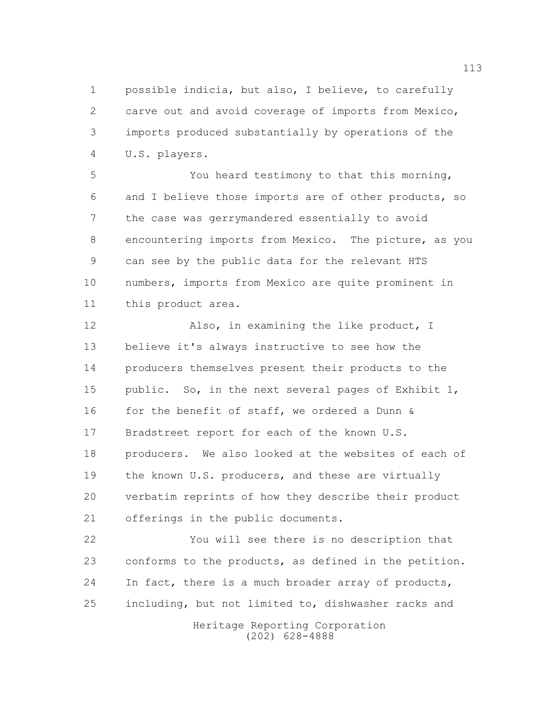possible indicia, but also, I believe, to carefully carve out and avoid coverage of imports from Mexico, imports produced substantially by operations of the U.S. players.

 You heard testimony to that this morning, and I believe those imports are of other products, so the case was gerrymandered essentially to avoid encountering imports from Mexico. The picture, as you can see by the public data for the relevant HTS numbers, imports from Mexico are quite prominent in this product area.

12 Also, in examining the like product, I believe it's always instructive to see how the producers themselves present their products to the public. So, in the next several pages of Exhibit 1, 16 for the benefit of staff, we ordered a Dunn  $\&$  Bradstreet report for each of the known U.S. 18 producers. We also looked at the websites of each of the known U.S. producers, and these are virtually verbatim reprints of how they describe their product offerings in the public documents.

 You will see there is no description that conforms to the products, as defined in the petition. In fact, there is a much broader array of products, including, but not limited to, dishwasher racks and

> Heritage Reporting Corporation (202) 628-4888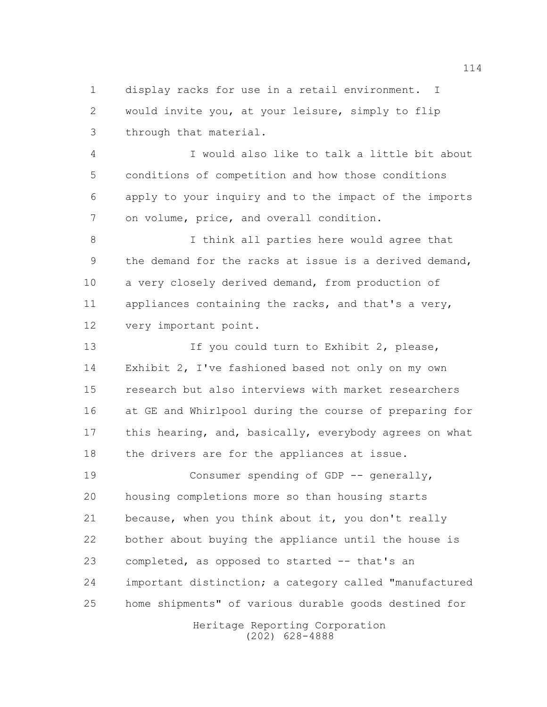display racks for use in a retail environment. I would invite you, at your leisure, simply to flip through that material.

 I would also like to talk a little bit about conditions of competition and how those conditions apply to your inquiry and to the impact of the imports on volume, price, and overall condition.

 I think all parties here would agree that the demand for the racks at issue is a derived demand, a very closely derived demand, from production of appliances containing the racks, and that's a very, very important point.

13 13 If you could turn to Exhibit 2, please, Exhibit 2, I've fashioned based not only on my own research but also interviews with market researchers at GE and Whirlpool during the course of preparing for 17 this hearing, and, basically, everybody agrees on what 18 the drivers are for the appliances at issue.

19 Consumer spending of GDP -- generally, housing completions more so than housing starts because, when you think about it, you don't really bother about buying the appliance until the house is completed, as opposed to started -- that's an important distinction; a category called "manufactured home shipments" of various durable goods destined for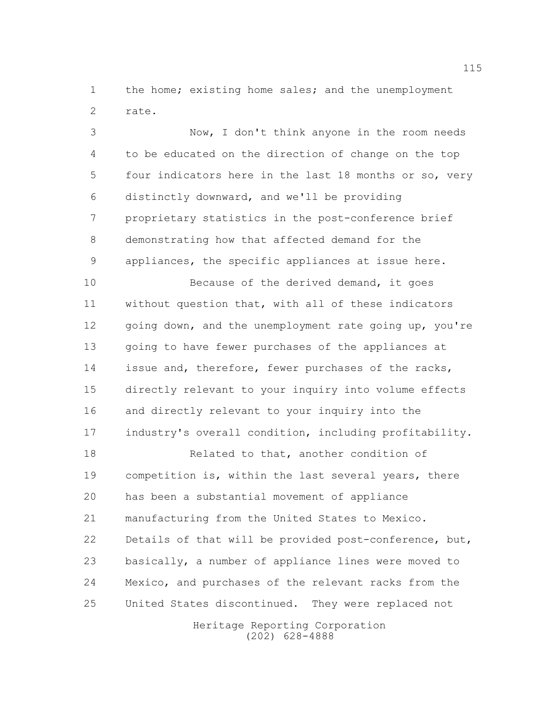1 the home; existing home sales; and the unemployment rate.

 Now, I don't think anyone in the room needs to be educated on the direction of change on the top four indicators here in the last 18 months or so, very distinctly downward, and we'll be providing proprietary statistics in the post-conference brief demonstrating how that affected demand for the appliances, the specific appliances at issue here.

10 Because of the derived demand, it goes without question that, with all of these indicators 12 going down, and the unemployment rate going up, you're going to have fewer purchases of the appliances at 14 issue and, therefore, fewer purchases of the racks, directly relevant to your inquiry into volume effects and directly relevant to your inquiry into the 17 industry's overall condition, including profitability.

 Related to that, another condition of competition is, within the last several years, there has been a substantial movement of appliance manufacturing from the United States to Mexico. Details of that will be provided post-conference, but, basically, a number of appliance lines were moved to Mexico, and purchases of the relevant racks from the United States discontinued. They were replaced not

> Heritage Reporting Corporation (202) 628-4888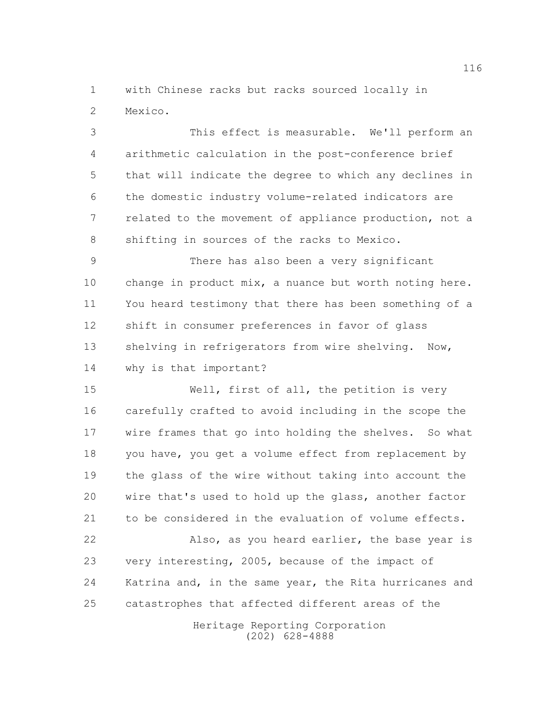with Chinese racks but racks sourced locally in Mexico.

 This effect is measurable. We'll perform an arithmetic calculation in the post-conference brief that will indicate the degree to which any declines in the domestic industry volume-related indicators are related to the movement of appliance production, not a 8 shifting in sources of the racks to Mexico.

 There has also been a very significant change in product mix, a nuance but worth noting here. You heard testimony that there has been something of a shift in consumer preferences in favor of glass 13 shelving in refrigerators from wire shelving. Now, why is that important?

 Well, first of all, the petition is very carefully crafted to avoid including in the scope the wire frames that go into holding the shelves. So what you have, you get a volume effect from replacement by the glass of the wire without taking into account the wire that's used to hold up the glass, another factor to be considered in the evaluation of volume effects.

 Also, as you heard earlier, the base year is very interesting, 2005, because of the impact of Katrina and, in the same year, the Rita hurricanes and catastrophes that affected different areas of the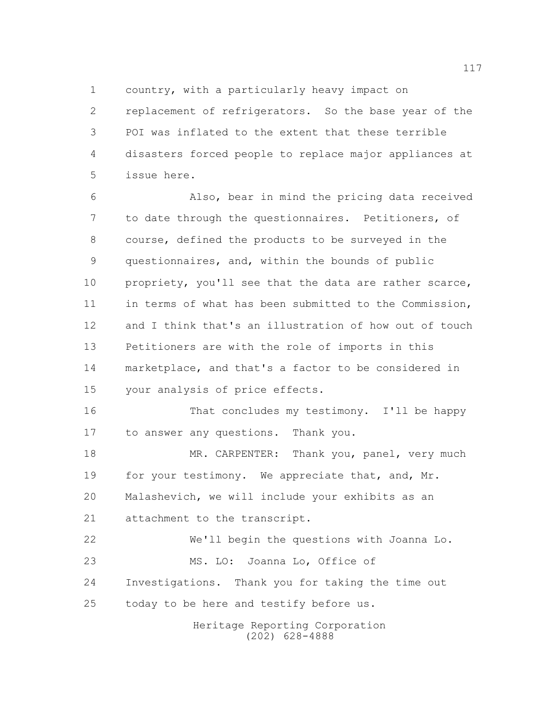country, with a particularly heavy impact on

 replacement of refrigerators. So the base year of the POI was inflated to the extent that these terrible disasters forced people to replace major appliances at issue here.

 Also, bear in mind the pricing data received to date through the questionnaires. Petitioners, of course, defined the products to be surveyed in the questionnaires, and, within the bounds of public 10 propriety, you'll see that the data are rather scarce, in terms of what has been submitted to the Commission, and I think that's an illustration of how out of touch Petitioners are with the role of imports in this marketplace, and that's a factor to be considered in your analysis of price effects.

 That concludes my testimony. I'll be happy to answer any questions. Thank you.

18 MR. CARPENTER: Thank you, panel, very much 19 for your testimony. We appreciate that, and, Mr. Malashevich, we will include your exhibits as an 21 attachment to the transcript.

 We'll begin the questions with Joanna Lo. 23 MS. LO: Joanna Lo, Office of Investigations. Thank you for taking the time out today to be here and testify before us.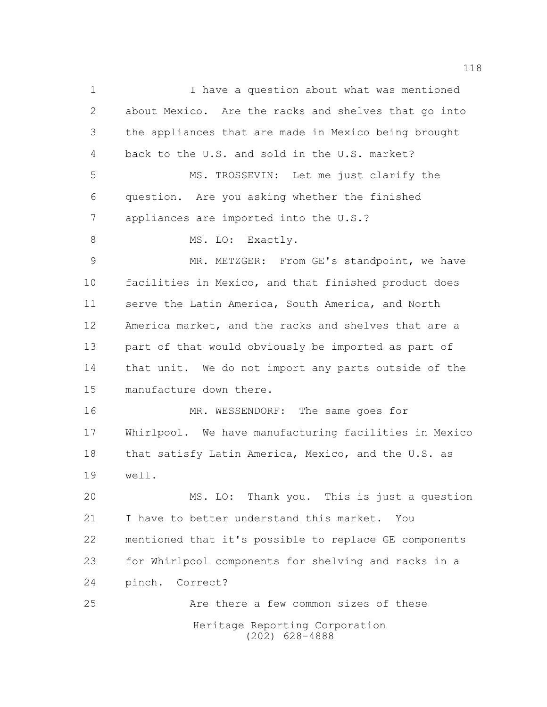Heritage Reporting Corporation (202) 628-4888 I have a question about what was mentioned about Mexico. Are the racks and shelves that go into the appliances that are made in Mexico being brought back to the U.S. and sold in the U.S. market? MS. TROSSEVIN: Let me just clarify the question. Are you asking whether the finished appliances are imported into the U.S.? 8 MS. LO: Exactly. MR. METZGER: From GE's standpoint, we have facilities in Mexico, and that finished product does serve the Latin America, South America, and North America market, and the racks and shelves that are a part of that would obviously be imported as part of that unit. We do not import any parts outside of the manufacture down there. MR. WESSENDORF: The same goes for Whirlpool. We have manufacturing facilities in Mexico 18 that satisfy Latin America, Mexico, and the U.S. as well. MS. LO: Thank you. This is just a question I have to better understand this market. You mentioned that it's possible to replace GE components for Whirlpool components for shelving and racks in a pinch. Correct? Are there a few common sizes of these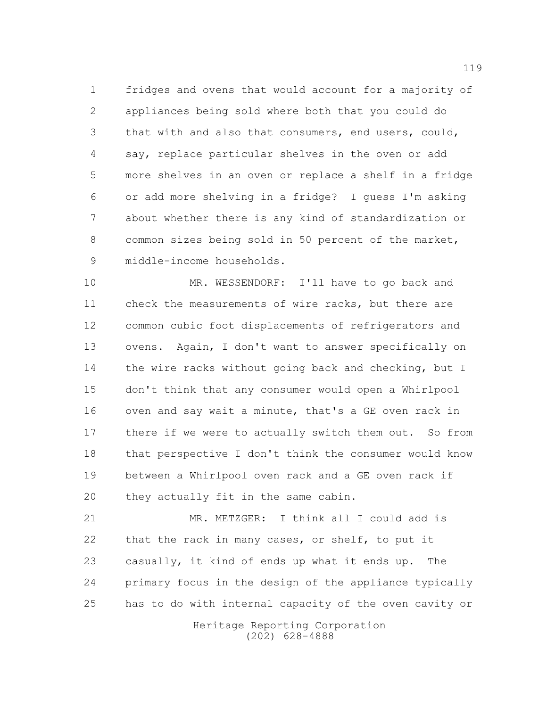fridges and ovens that would account for a majority of appliances being sold where both that you could do that with and also that consumers, end users, could, say, replace particular shelves in the oven or add more shelves in an oven or replace a shelf in a fridge or add more shelving in a fridge? I guess I'm asking about whether there is any kind of standardization or common sizes being sold in 50 percent of the market, middle-income households.

 MR. WESSENDORF: I'll have to go back and check the measurements of wire racks, but there are common cubic foot displacements of refrigerators and ovens. Again, I don't want to answer specifically on 14 the wire racks without going back and checking, but I don't think that any consumer would open a Whirlpool oven and say wait a minute, that's a GE oven rack in there if we were to actually switch them out. So from that perspective I don't think the consumer would know between a Whirlpool oven rack and a GE oven rack if they actually fit in the same cabin.

 MR. METZGER: I think all I could add is that the rack in many cases, or shelf, to put it casually, it kind of ends up what it ends up. The primary focus in the design of the appliance typically has to do with internal capacity of the oven cavity or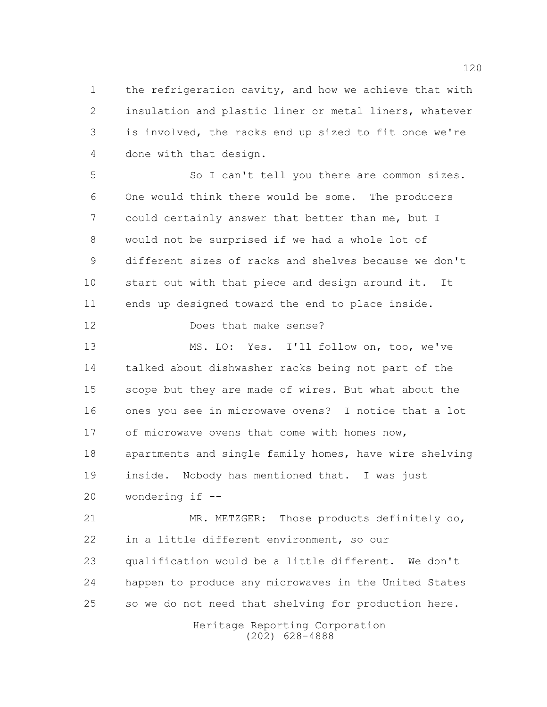the refrigeration cavity, and how we achieve that with insulation and plastic liner or metal liners, whatever is involved, the racks end up sized to fit once we're done with that design.

 So I can't tell you there are common sizes. One would think there would be some. The producers could certainly answer that better than me, but I would not be surprised if we had a whole lot of different sizes of racks and shelves because we don't start out with that piece and design around it. It ends up designed toward the end to place inside.

Does that make sense?

 MS. LO: Yes. I'll follow on, too, we've talked about dishwasher racks being not part of the scope but they are made of wires. But what about the ones you see in microwave ovens? I notice that a lot 17 of microwave ovens that come with homes now, apartments and single family homes, have wire shelving inside. Nobody has mentioned that. I was just wondering if --

 MR. METZGER: Those products definitely do, in a little different environment, so our qualification would be a little different. We don't happen to produce any microwaves in the United States so we do not need that shelving for production here.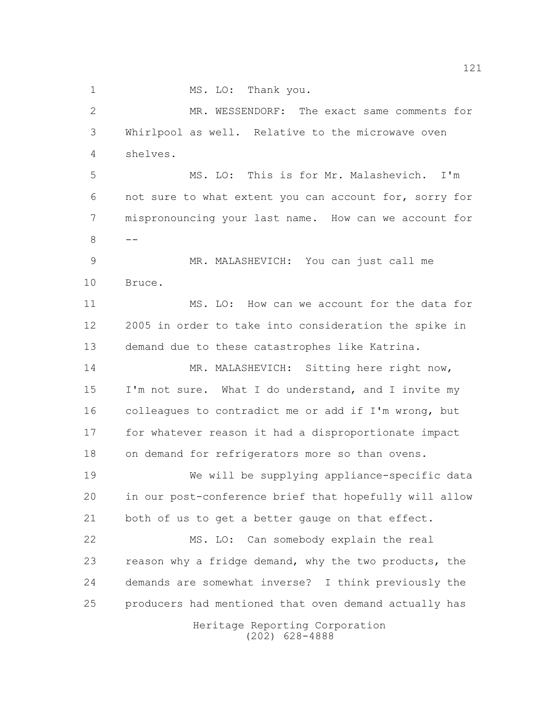1 MS. LO: Thank you.

 MR. WESSENDORF: The exact same comments for Whirlpool as well. Relative to the microwave oven shelves.

 MS. LO: This is for Mr. Malashevich. I'm not sure to what extent you can account for, sorry for mispronouncing your last name. How can we account for 

 MR. MALASHEVICH: You can just call me Bruce.

11 MS. LO: How can we account for the data for 2005 in order to take into consideration the spike in demand due to these catastrophes like Katrina.

14 MR. MALASHEVICH: Sitting here right now, I'm not sure. What I do understand, and I invite my colleagues to contradict me or add if I'm wrong, but for whatever reason it had a disproportionate impact on demand for refrigerators more so than ovens.

 We will be supplying appliance-specific data in our post-conference brief that hopefully will allow both of us to get a better gauge on that effect.

 MS. LO: Can somebody explain the real reason why a fridge demand, why the two products, the demands are somewhat inverse? I think previously the producers had mentioned that oven demand actually has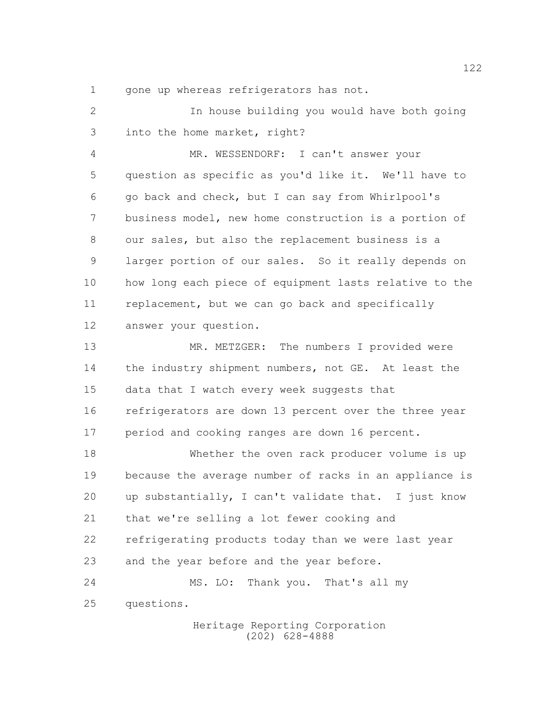gone up whereas refrigerators has not.

 In house building you would have both going into the home market, right?

 MR. WESSENDORF: I can't answer your question as specific as you'd like it. We'll have to go back and check, but I can say from Whirlpool's business model, new home construction is a portion of our sales, but also the replacement business is a larger portion of our sales. So it really depends on how long each piece of equipment lasts relative to the 11 replacement, but we can go back and specifically answer your question.

 MR. METZGER: The numbers I provided were 14 the industry shipment numbers, not GE. At least the data that I watch every week suggests that refrigerators are down 13 percent over the three year 17 period and cooking ranges are down 16 percent.

 Whether the oven rack producer volume is up because the average number of racks in an appliance is up substantially, I can't validate that. I just know that we're selling a lot fewer cooking and refrigerating products today than we were last year 23 and the year before and the year before. MS. LO: Thank you. That's all my

questions.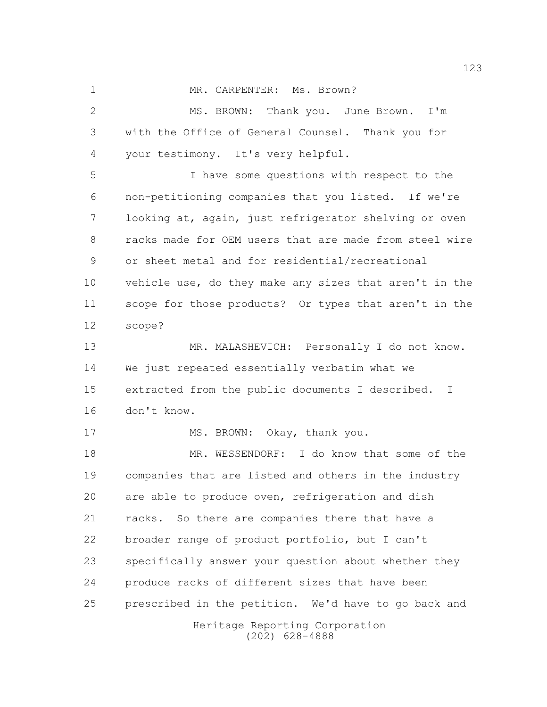1 MR. CARPENTER: Ms. Brown? MS. BROWN: Thank you. June Brown. I'm with the Office of General Counsel. Thank you for your testimony. It's very helpful. I have some questions with respect to the non-petitioning companies that you listed. If we're looking at, again, just refrigerator shelving or oven racks made for OEM users that are made from steel wire or sheet metal and for residential/recreational vehicle use, do they make any sizes that aren't in the scope for those products? Or types that aren't in the scope? MR. MALASHEVICH: Personally I do not know. We just repeated essentially verbatim what we extracted from the public documents I described. I don't know. 17 MS. BROWN: Okay, thank you. MR. WESSENDORF: I do know that some of the companies that are listed and others in the industry are able to produce oven, refrigeration and dish racks. So there are companies there that have a broader range of product portfolio, but I can't specifically answer your question about whether they produce racks of different sizes that have been prescribed in the petition. We'd have to go back and

> Heritage Reporting Corporation (202) 628-4888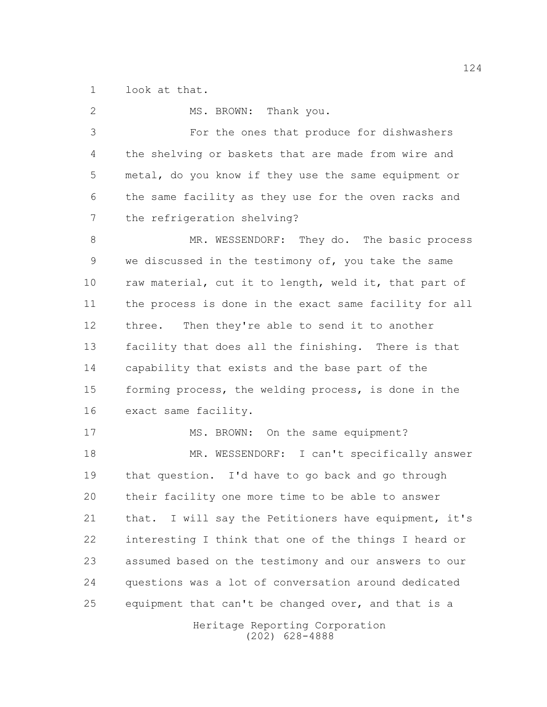look at that.

Heritage Reporting Corporation 2 MS. BROWN: Thank you. For the ones that produce for dishwashers the shelving or baskets that are made from wire and metal, do you know if they use the same equipment or the same facility as they use for the oven racks and the refrigeration shelving? 8 MR. WESSENDORF: They do. The basic process we discussed in the testimony of, you take the same 10 raw material, cut it to length, weld it, that part of the process is done in the exact same facility for all three. Then they're able to send it to another facility that does all the finishing. There is that capability that exists and the base part of the forming process, the welding process, is done in the exact same facility. 17 MS. BROWN: On the same equipment? MR. WESSENDORF: I can't specifically answer that question. I'd have to go back and go through their facility one more time to be able to answer that. I will say the Petitioners have equipment, it's interesting I think that one of the things I heard or assumed based on the testimony and our answers to our questions was a lot of conversation around dedicated equipment that can't be changed over, and that is a

(202) 628-4888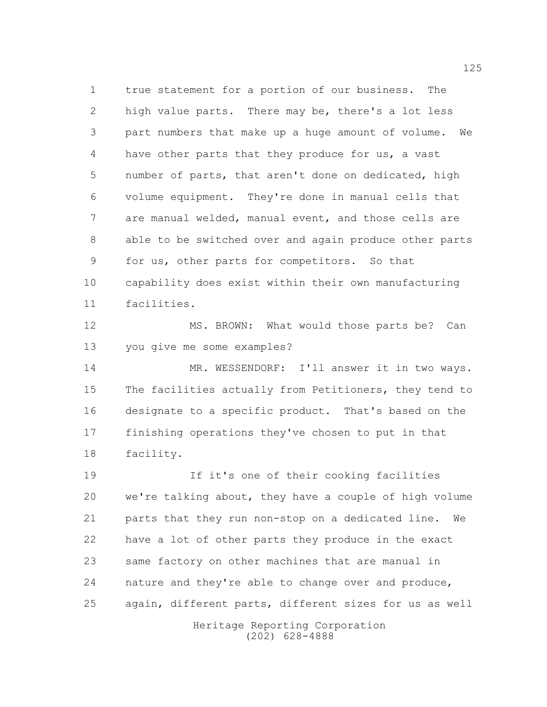true statement for a portion of our business. The high value parts. There may be, there's a lot less part numbers that make up a huge amount of volume. We have other parts that they produce for us, a vast number of parts, that aren't done on dedicated, high volume equipment. They're done in manual cells that are manual welded, manual event, and those cells are able to be switched over and again produce other parts for us, other parts for competitors. So that capability does exist within their own manufacturing facilities.

12 MS. BROWN: What would those parts be? Can you give me some examples?

 MR. WESSENDORF: I'll answer it in two ways. The facilities actually from Petitioners, they tend to designate to a specific product. That's based on the finishing operations they've chosen to put in that facility.

 If it's one of their cooking facilities we're talking about, they have a couple of high volume parts that they run non-stop on a dedicated line. We have a lot of other parts they produce in the exact same factory on other machines that are manual in nature and they're able to change over and produce, again, different parts, different sizes for us as well

Heritage Reporting Corporation (202) 628-4888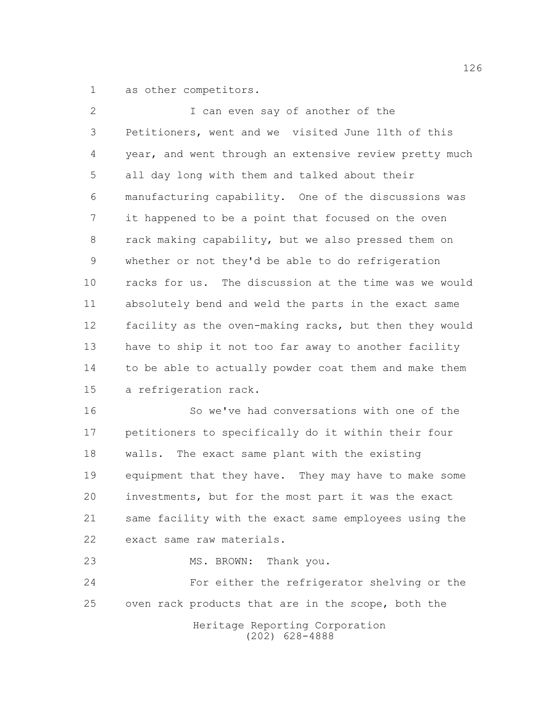as other competitors.

| $\overline{2}$ | I can even say of another of the                       |
|----------------|--------------------------------------------------------|
| 3              | Petitioners, went and we visited June 11th of this     |
| 4              | year, and went through an extensive review pretty much |
| 5              | all day long with them and talked about their          |
| 6              | manufacturing capability. One of the discussions was   |
| 7              | it happened to be a point that focused on the oven     |
| 8              | rack making capability, but we also pressed them on    |
| $\overline{9}$ | whether or not they'd be able to do refrigeration      |
| 10             | racks for us. The discussion at the time was we would  |
| 11             | absolutely bend and weld the parts in the exact same   |
| 12             | facility as the oven-making racks, but then they would |
| 13             | have to ship it not too far away to another facility   |
| 14             | to be able to actually powder coat them and make them  |
| 15             | a refrigeration rack.                                  |
| 16             | So we've had conversations with one of the             |

 petitioners to specifically do it within their four walls. The exact same plant with the existing equipment that they have. They may have to make some investments, but for the most part it was the exact same facility with the exact same employees using the exact same raw materials.

23 MS. BROWN: Thank you.

 For either the refrigerator shelving or the oven rack products that are in the scope, both the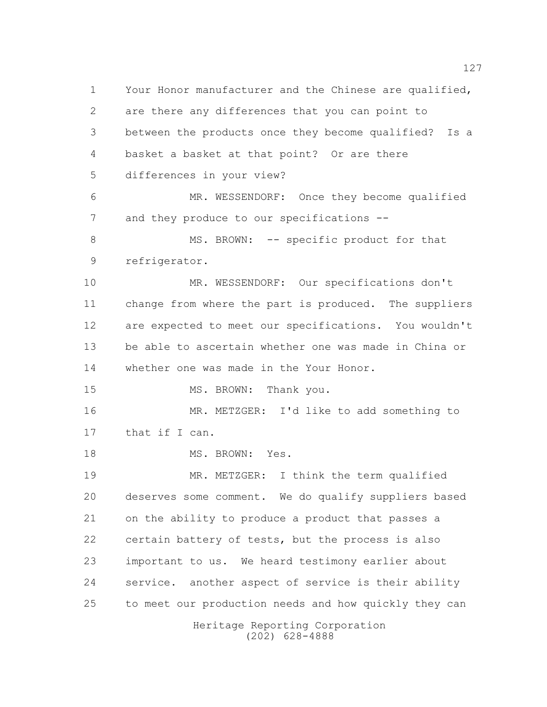Heritage Reporting Corporation Your Honor manufacturer and the Chinese are qualified, are there any differences that you can point to between the products once they become qualified? Is a basket a basket at that point? Or are there differences in your view? MR. WESSENDORF: Once they become qualified 7 and they produce to our specifications --8 MS. BROWN: -- specific product for that refrigerator. MR. WESSENDORF: Our specifications don't change from where the part is produced. The suppliers are expected to meet our specifications. You wouldn't be able to ascertain whether one was made in China or whether one was made in the Your Honor. 15 MS. BROWN: Thank you. MR. METZGER: I'd like to add something to 17 that if I can. 18 MS. BROWN: Yes. MR. METZGER: I think the term qualified deserves some comment. We do qualify suppliers based on the ability to produce a product that passes a certain battery of tests, but the process is also important to us. We heard testimony earlier about service. another aspect of service is their ability to meet our production needs and how quickly they can

(202) 628-4888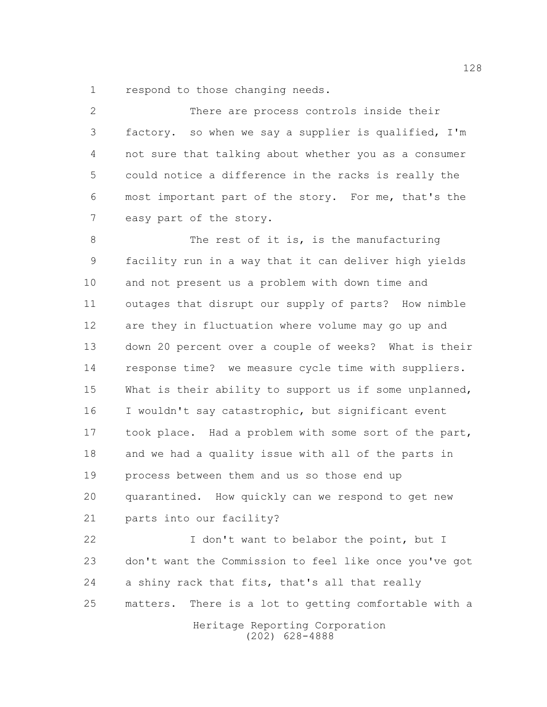respond to those changing needs.

 There are process controls inside their factory. so when we say a supplier is qualified, I'm not sure that talking about whether you as a consumer could notice a difference in the racks is really the most important part of the story. For me, that's the easy part of the story. 8 The rest of it is, is the manufacturing facility run in a way that it can deliver high yields and not present us a problem with down time and outages that disrupt our supply of parts? How nimble are they in fluctuation where volume may go up and down 20 percent over a couple of weeks? What is their response time? we measure cycle time with suppliers. 15 What is their ability to support us if some unplanned,

 I wouldn't say catastrophic, but significant event 17 took place. Had a problem with some sort of the part, and we had a quality issue with all of the parts in process between them and us so those end up quarantined. How quickly can we respond to get new parts into our facility?

 I don't want to belabor the point, but I don't want the Commission to feel like once you've got a shiny rack that fits, that's all that really matters. There is a lot to getting comfortable with a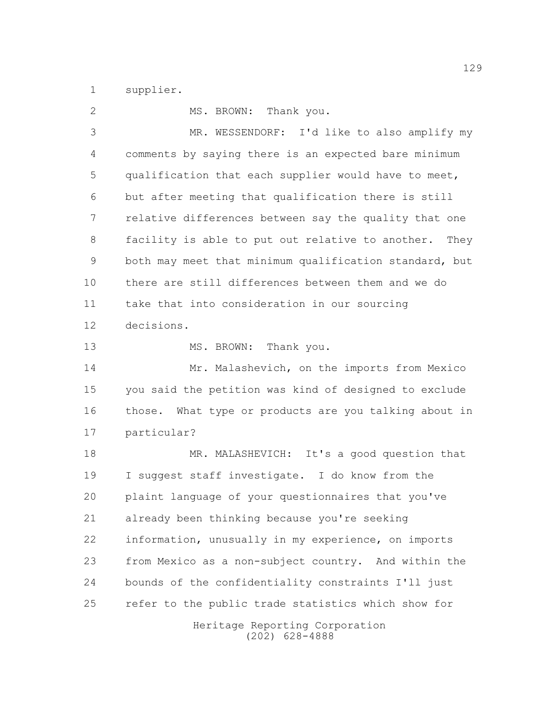supplier.

| $\mathbf{2}$ | MS. BROWN: Thank you.                                    |
|--------------|----------------------------------------------------------|
| 3            | MR. WESSENDORF: I'd like to also amplify my              |
| 4            | comments by saying there is an expected bare minimum     |
| 5            | qualification that each supplier would have to meet,     |
| 6            | but after meeting that qualification there is still      |
| 7            | relative differences between say the quality that one    |
| 8            | facility is able to put out relative to another.<br>They |
| 9            | both may meet that minimum qualification standard, but   |
| 10           | there are still differences between them and we do       |
| 11           | take that into consideration in our sourcing             |
| 12           | decisions.                                               |
| 13           | MS. BROWN: Thank you.                                    |
| 14           | Mr. Malashevich, on the imports from Mexico              |
| 15           | you said the petition was kind of designed to exclude    |
| 16           | those. What type or products are you talking about in    |
| 17           | particular?                                              |
| 18           | MR. MALASHEVICH: It's a good question that               |
| 19           | I suggest staff investigate. I do know from the          |
| 20           | plaint language of your questionnaires that you've       |
| 21           | already been thinking because you're seeking             |
| 22           | information, unusually in my experience, on imports      |
| 23           | from Mexico as a non-subject country. And within the     |
| 24           | bounds of the confidentiality constraints I'll just      |
| 25           | refer to the public trade statistics which show for      |
|              | Heritage Reporting Corporation<br>$(202)$ 628-4888       |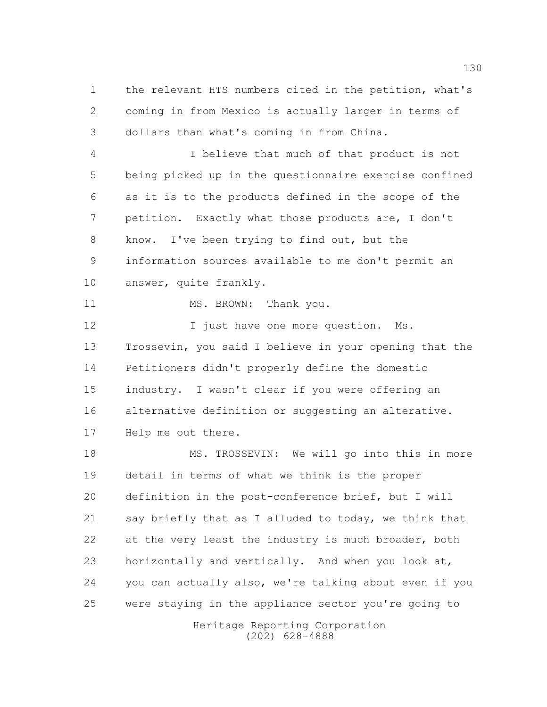the relevant HTS numbers cited in the petition, what's coming in from Mexico is actually larger in terms of dollars than what's coming in from China.

 I believe that much of that product is not being picked up in the questionnaire exercise confined as it is to the products defined in the scope of the petition. Exactly what those products are, I don't know. I've been trying to find out, but the information sources available to me don't permit an answer, quite frankly.

11 MS. BROWN: Thank you.

12 I just have one more question. Ms. Trossevin, you said I believe in your opening that the Petitioners didn't properly define the domestic industry. I wasn't clear if you were offering an alternative definition or suggesting an alterative. Help me out there.

18 MS. TROSSEVIN: We will go into this in more detail in terms of what we think is the proper definition in the post-conference brief, but I will 21 say briefly that as I alluded to today, we think that 22 at the very least the industry is much broader, both horizontally and vertically. And when you look at, you can actually also, we're talking about even if you were staying in the appliance sector you're going to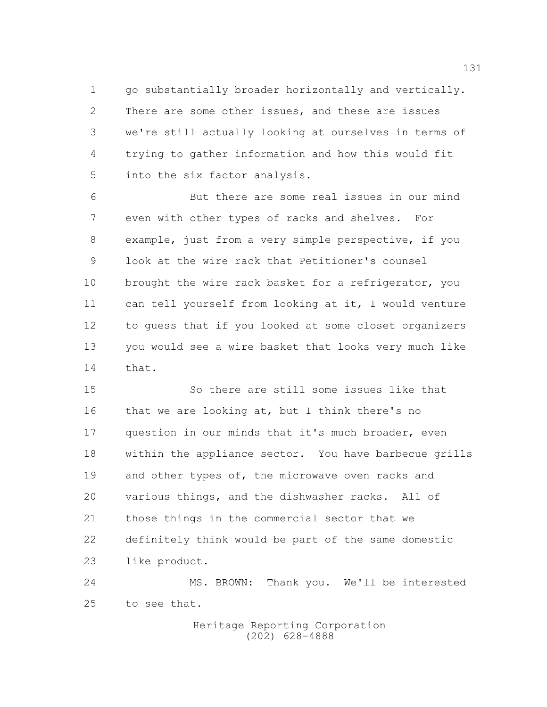go substantially broader horizontally and vertically. There are some other issues, and these are issues we're still actually looking at ourselves in terms of trying to gather information and how this would fit into the six factor analysis.

 But there are some real issues in our mind even with other types of racks and shelves. For example, just from a very simple perspective, if you look at the wire rack that Petitioner's counsel 10 brought the wire rack basket for a refrigerator, you can tell yourself from looking at it, I would venture to guess that if you looked at some closet organizers you would see a wire basket that looks very much like that.

 So there are still some issues like that 16 that we are looking at, but I think there's no question in our minds that it's much broader, even within the appliance sector. You have barbecue grills and other types of, the microwave oven racks and various things, and the dishwasher racks. All of those things in the commercial sector that we definitely think would be part of the same domestic like product.

 MS. BROWN: Thank you. We'll be interested to see that.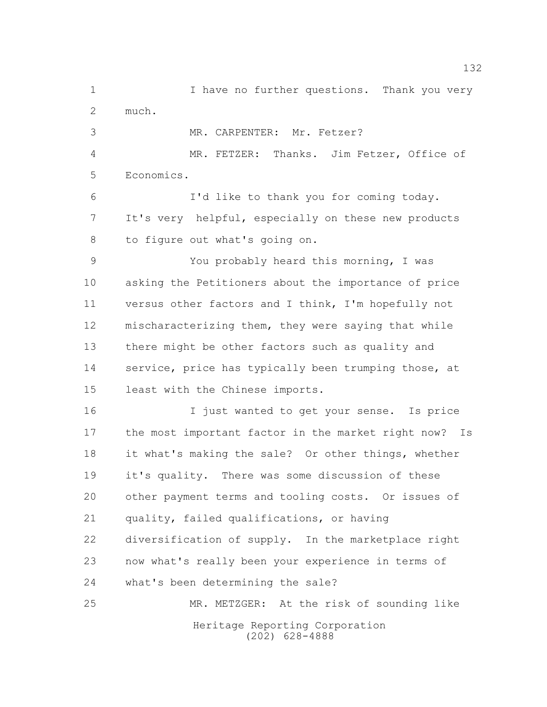Heritage Reporting Corporation (202) 628-4888 1 1 I have no further questions. Thank you very much. MR. CARPENTER: Mr. Fetzer? MR. FETZER: Thanks. Jim Fetzer, Office of Economics. I'd like to thank you for coming today. It's very helpful, especially on these new products to figure out what's going on. You probably heard this morning, I was asking the Petitioners about the importance of price versus other factors and I think, I'm hopefully not mischaracterizing them, they were saying that while there might be other factors such as quality and 14 service, price has typically been trumping those, at least with the Chinese imports. I just wanted to get your sense. Is price the most important factor in the market right now? Is it what's making the sale? Or other things, whether it's quality. There was some discussion of these other payment terms and tooling costs. Or issues of quality, failed qualifications, or having diversification of supply. In the marketplace right now what's really been your experience in terms of what's been determining the sale? MR. METZGER: At the risk of sounding like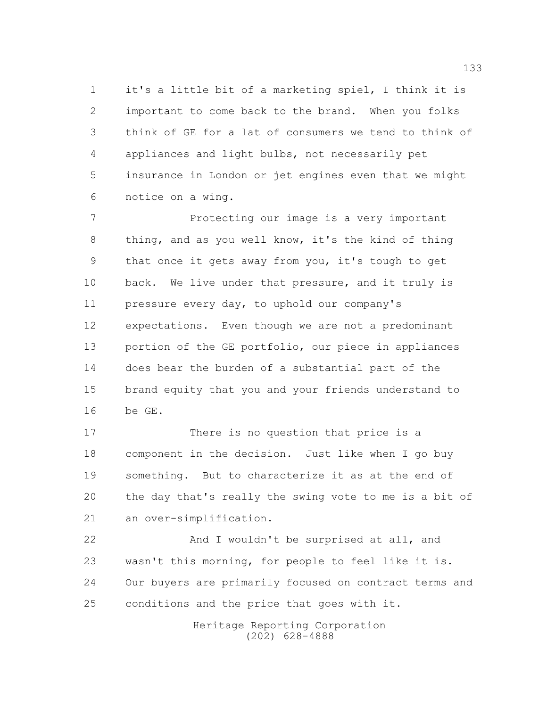it's a little bit of a marketing spiel, I think it is important to come back to the brand. When you folks think of GE for a lat of consumers we tend to think of appliances and light bulbs, not necessarily pet insurance in London or jet engines even that we might notice on a wing.

 Protecting our image is a very important thing, and as you well know, it's the kind of thing that once it gets away from you, it's tough to get 10 back. We live under that pressure, and it truly is pressure every day, to uphold our company's expectations. Even though we are not a predominant portion of the GE portfolio, our piece in appliances does bear the burden of a substantial part of the brand equity that you and your friends understand to be GE.

17 There is no question that price is a component in the decision. Just like when I go buy something. But to characterize it as at the end of the day that's really the swing vote to me is a bit of an over-simplification.

22 And I wouldn't be surprised at all, and wasn't this morning, for people to feel like it is. Our buyers are primarily focused on contract terms and conditions and the price that goes with it.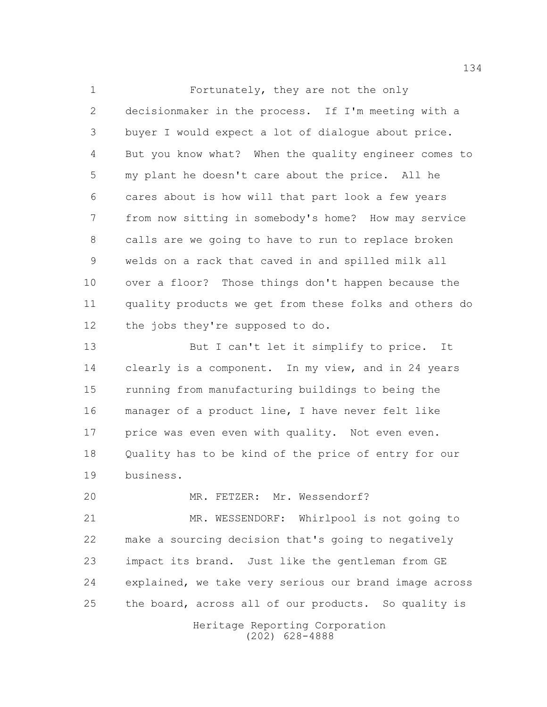Fortunately, they are not the only decisionmaker in the process. If I'm meeting with a buyer I would expect a lot of dialogue about price. But you know what? When the quality engineer comes to my plant he doesn't care about the price. All he cares about is how will that part look a few years from now sitting in somebody's home? How may service calls are we going to have to run to replace broken welds on a rack that caved in and spilled milk all over a floor? Those things don't happen because the quality products we get from these folks and others do the jobs they're supposed to do.

13 But I can't let it simplify to price. It 14 clearly is a component. In my view, and in 24 years running from manufacturing buildings to being the manager of a product line, I have never felt like 17 price was even even with quality. Not even even. Quality has to be kind of the price of entry for our business.

MR. FETZER: Mr. Wessendorf?

 MR. WESSENDORF: Whirlpool is not going to make a sourcing decision that's going to negatively impact its brand. Just like the gentleman from GE explained, we take very serious our brand image across 25 the board, across all of our products. So quality is

> Heritage Reporting Corporation (202) 628-4888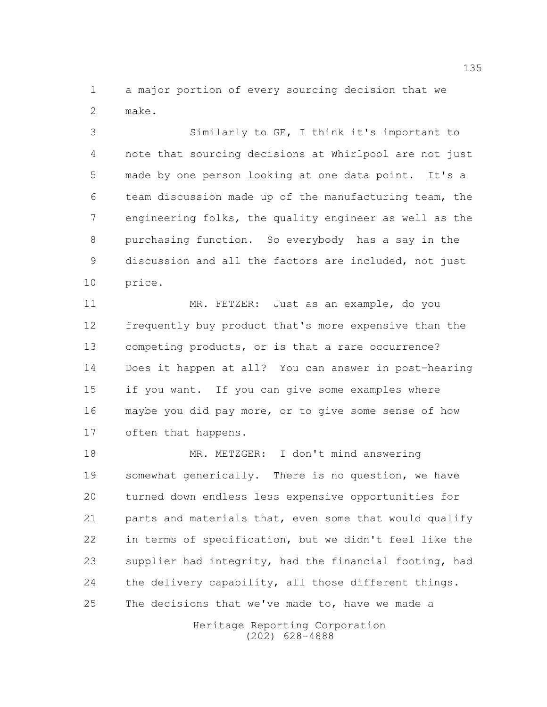a major portion of every sourcing decision that we make.

 Similarly to GE, I think it's important to note that sourcing decisions at Whirlpool are not just made by one person looking at one data point. It's a team discussion made up of the manufacturing team, the engineering folks, the quality engineer as well as the purchasing function. So everybody has a say in the discussion and all the factors are included, not just price.

 MR. FETZER: Just as an example, do you frequently buy product that's more expensive than the competing products, or is that a rare occurrence? Does it happen at all? You can answer in post-hearing if you want. If you can give some examples where maybe you did pay more, or to give some sense of how often that happens.

 MR. METZGER: I don't mind answering somewhat generically. There is no question, we have turned down endless less expensive opportunities for parts and materials that, even some that would qualify in terms of specification, but we didn't feel like the supplier had integrity, had the financial footing, had 24 the delivery capability, all those different things. 25 The decisions that we've made to, have we made a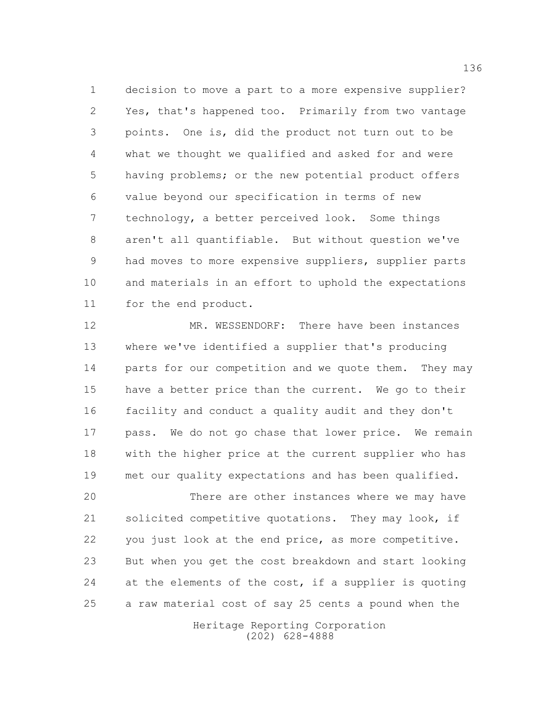decision to move a part to a more expensive supplier? Yes, that's happened too. Primarily from two vantage points. One is, did the product not turn out to be what we thought we qualified and asked for and were having problems; or the new potential product offers value beyond our specification in terms of new technology, a better perceived look. Some things aren't all quantifiable. But without question we've 9 had moves to more expensive suppliers, supplier parts and materials in an effort to uphold the expectations for the end product.

12 MR. WESSENDORF: There have been instances where we've identified a supplier that's producing 14 parts for our competition and we quote them. They may have a better price than the current. We go to their facility and conduct a quality audit and they don't pass. We do not go chase that lower price. We remain with the higher price at the current supplier who has met our quality expectations and has been qualified.

 There are other instances where we may have solicited competitive quotations. They may look, if you just look at the end price, as more competitive. But when you get the cost breakdown and start looking 24 at the elements of the cost, if a supplier is quoting a raw material cost of say 25 cents a pound when the

> Heritage Reporting Corporation (202) 628-4888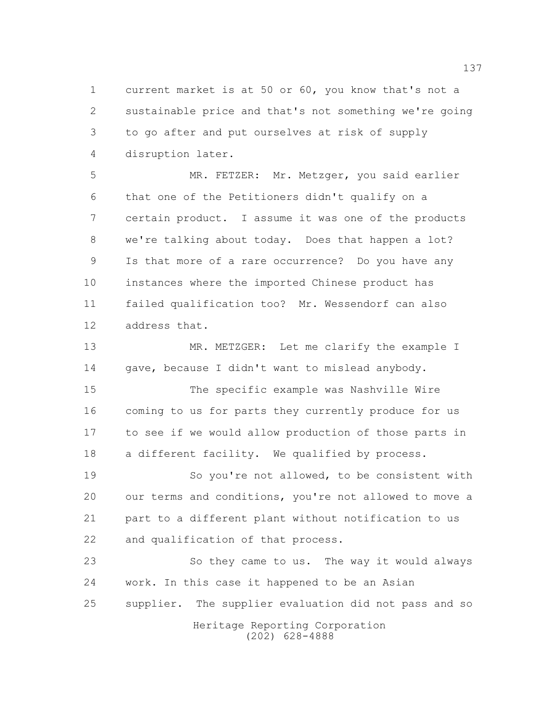current market is at 50 or 60, you know that's not a sustainable price and that's not something we're going to go after and put ourselves at risk of supply disruption later.

 MR. FETZER: Mr. Metzger, you said earlier that one of the Petitioners didn't qualify on a certain product. I assume it was one of the products we're talking about today. Does that happen a lot? Is that more of a rare occurrence? Do you have any instances where the imported Chinese product has failed qualification too? Mr. Wessendorf can also address that.

13 MR. METZGER: Let me clarify the example I 14 gave, because I didn't want to mislead anybody.

 The specific example was Nashville Wire coming to us for parts they currently produce for us to see if we would allow production of those parts in a different facility. We qualified by process.

 So you're not allowed, to be consistent with our terms and conditions, you're not allowed to move a part to a different plant without notification to us and qualification of that process.

Heritage Reporting Corporation So they came to us. The way it would always work. In this case it happened to be an Asian supplier. The supplier evaluation did not pass and so

(202) 628-4888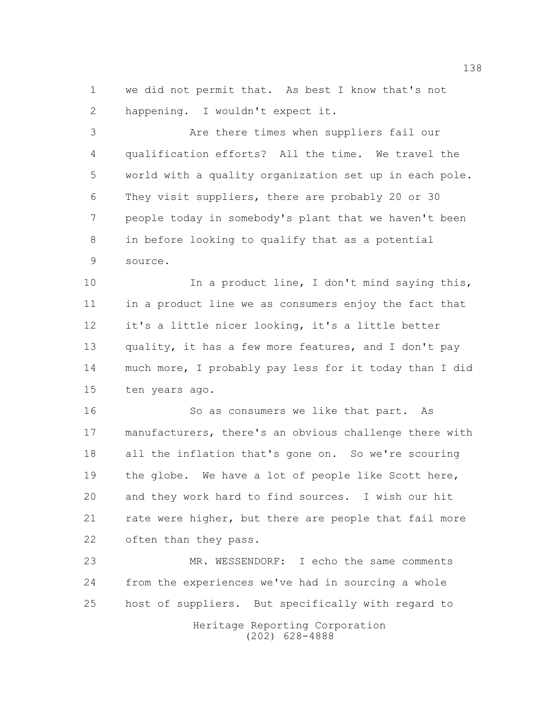we did not permit that. As best I know that's not happening. I wouldn't expect it.

 Are there times when suppliers fail our qualification efforts? All the time. We travel the world with a quality organization set up in each pole. They visit suppliers, there are probably 20 or 30 people today in somebody's plant that we haven't been in before looking to qualify that as a potential source.

10 10 In a product line, I don't mind saying this, in a product line we as consumers enjoy the fact that it's a little nicer looking, it's a little better quality, it has a few more features, and I don't pay much more, I probably pay less for it today than I did ten years ago.

16 So as consumers we like that part. As manufacturers, there's an obvious challenge there with all the inflation that's gone on. So we're scouring the globe. We have a lot of people like Scott here, and they work hard to find sources. I wish our hit 21 rate were higher, but there are people that fail more often than they pass.

Heritage Reporting Corporation (202) 628-4888 MR. WESSENDORF: I echo the same comments from the experiences we've had in sourcing a whole host of suppliers. But specifically with regard to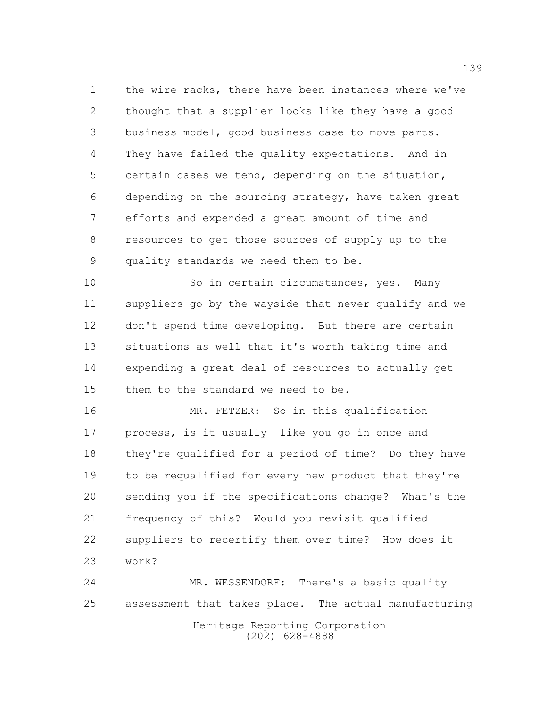the wire racks, there have been instances where we've thought that a supplier looks like they have a good business model, good business case to move parts. They have failed the quality expectations. And in certain cases we tend, depending on the situation, depending on the sourcing strategy, have taken great efforts and expended a great amount of time and resources to get those sources of supply up to the quality standards we need them to be.

10 So in certain circumstances, yes. Many suppliers go by the wayside that never qualify and we don't spend time developing. But there are certain situations as well that it's worth taking time and expending a great deal of resources to actually get them to the standard we need to be.

 MR. FETZER: So in this qualification process, is it usually like you go in once and they're qualified for a period of time? Do they have to be requalified for every new product that they're sending you if the specifications change? What's the frequency of this? Would you revisit qualified suppliers to recertify them over time? How does it work?

Heritage Reporting Corporation (202) 628-4888 MR. WESSENDORF: There's a basic quality assessment that takes place. The actual manufacturing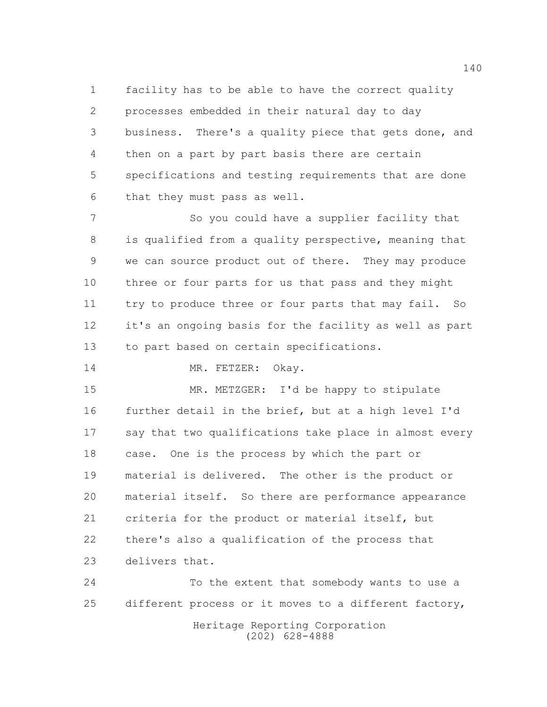facility has to be able to have the correct quality processes embedded in their natural day to day business. There's a quality piece that gets done, and then on a part by part basis there are certain specifications and testing requirements that are done that they must pass as well.

 So you could have a supplier facility that is qualified from a quality perspective, meaning that we can source product out of there. They may produce three or four parts for us that pass and they might try to produce three or four parts that may fail. So it's an ongoing basis for the facility as well as part to part based on certain specifications.

14 MR. FETZER: Okay.

 MR. METZGER: I'd be happy to stipulate further detail in the brief, but at a high level I'd say that two qualifications take place in almost every case. One is the process by which the part or material is delivered. The other is the product or material itself. So there are performance appearance criteria for the product or material itself, but there's also a qualification of the process that delivers that.

 To the extent that somebody wants to use a different process or it moves to a different factory,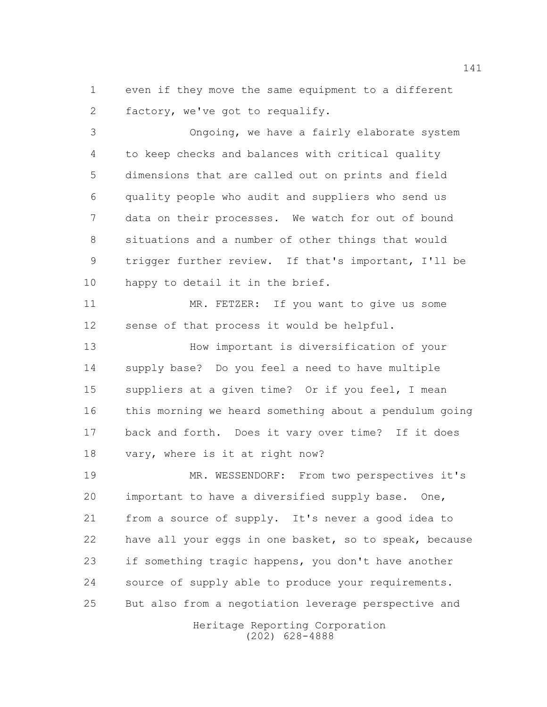even if they move the same equipment to a different factory, we've got to requalify.

 Ongoing, we have a fairly elaborate system to keep checks and balances with critical quality dimensions that are called out on prints and field quality people who audit and suppliers who send us data on their processes. We watch for out of bound situations and a number of other things that would trigger further review. If that's important, I'll be 10 happy to detail it in the brief.

 MR. FETZER: If you want to give us some sense of that process it would be helpful.

 How important is diversification of your supply base? Do you feel a need to have multiple suppliers at a given time? Or if you feel, I mean this morning we heard something about a pendulum going back and forth. Does it vary over time? If it does vary, where is it at right now?

 MR. WESSENDORF: From two perspectives it's important to have a diversified supply base. One, from a source of supply. It's never a good idea to have all your eggs in one basket, so to speak, because if something tragic happens, you don't have another source of supply able to produce your requirements. But also from a negotiation leverage perspective and

> Heritage Reporting Corporation (202) 628-4888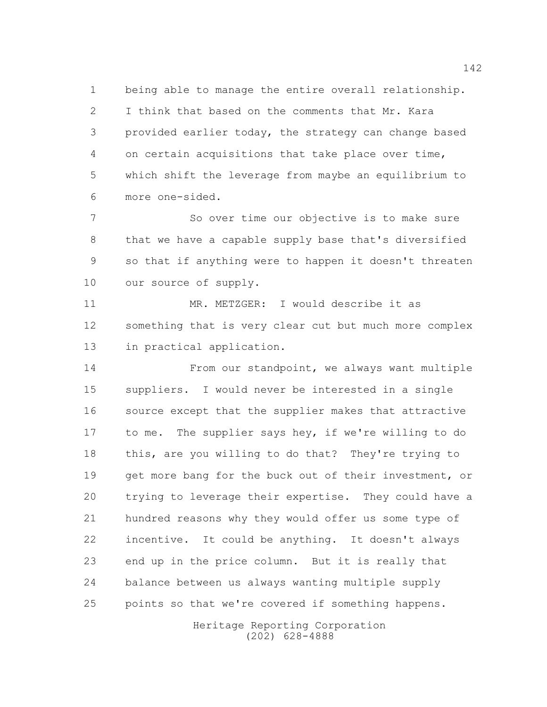being able to manage the entire overall relationship. I think that based on the comments that Mr. Kara provided earlier today, the strategy can change based on certain acquisitions that take place over time, which shift the leverage from maybe an equilibrium to more one-sided.

 So over time our objective is to make sure that we have a capable supply base that's diversified so that if anything were to happen it doesn't threaten 10 our source of supply.

11 MR. METZGER: I would describe it as something that is very clear cut but much more complex in practical application.

 From our standpoint, we always want multiple suppliers. I would never be interested in a single source except that the supplier makes that attractive 17 to me. The supplier says hey, if we're willing to do this, are you willing to do that? They're trying to get more bang for the buck out of their investment, or trying to leverage their expertise. They could have a hundred reasons why they would offer us some type of incentive. It could be anything. It doesn't always end up in the price column. But it is really that balance between us always wanting multiple supply points so that we're covered if something happens.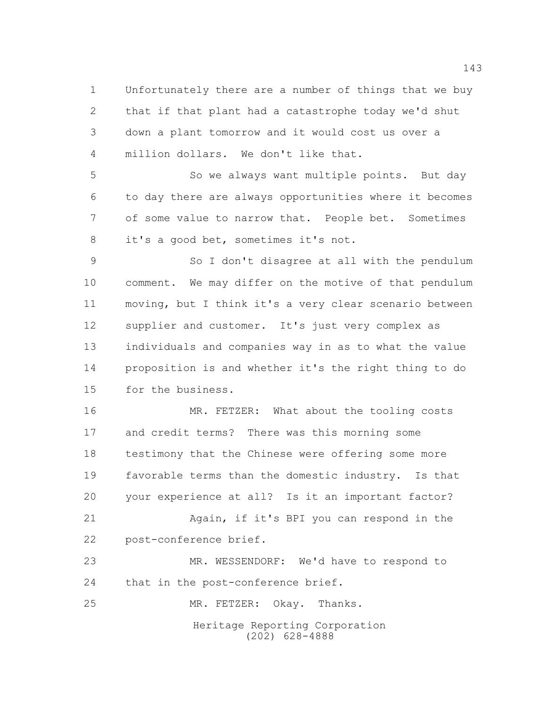Unfortunately there are a number of things that we buy that if that plant had a catastrophe today we'd shut down a plant tomorrow and it would cost us over a million dollars. We don't like that.

 So we always want multiple points. But day to day there are always opportunities where it becomes of some value to narrow that. People bet. Sometimes it's a good bet, sometimes it's not.

 So I don't disagree at all with the pendulum comment. We may differ on the motive of that pendulum moving, but I think it's a very clear scenario between supplier and customer. It's just very complex as individuals and companies way in as to what the value proposition is and whether it's the right thing to do for the business.

 MR. FETZER: What about the tooling costs and credit terms? There was this morning some testimony that the Chinese were offering some more favorable terms than the domestic industry. Is that your experience at all? Is it an important factor? Again, if it's BPI you can respond in the post-conference brief. MR. WESSENDORF: We'd have to respond to

24 that in the post-conference brief.

Heritage Reporting Corporation (202) 628-4888 MR. FETZER: Okay. Thanks.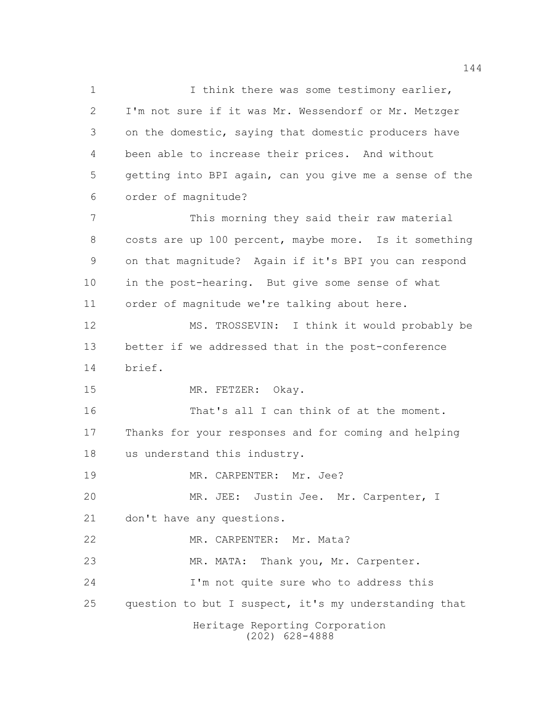Heritage Reporting Corporation (202) 628-4888 1 1 I think there was some testimony earlier, I'm not sure if it was Mr. Wessendorf or Mr. Metzger on the domestic, saying that domestic producers have been able to increase their prices. And without getting into BPI again, can you give me a sense of the order of magnitude? This morning they said their raw material costs are up 100 percent, maybe more. Is it something on that magnitude? Again if it's BPI you can respond in the post-hearing. But give some sense of what order of magnitude we're talking about here. MS. TROSSEVIN: I think it would probably be better if we addressed that in the post-conference brief. 15 MR. FETZER: Okay. 16 That's all I can think of at the moment. Thanks for your responses and for coming and helping us understand this industry. 19 MR. CARPENTER: Mr. Jee? MR. JEE: Justin Jee. Mr. Carpenter, I don't have any questions. MR. CARPENTER: Mr. Mata? MR. MATA: Thank you, Mr. Carpenter. I'm not quite sure who to address this 25 question to but I suspect, it's my understanding that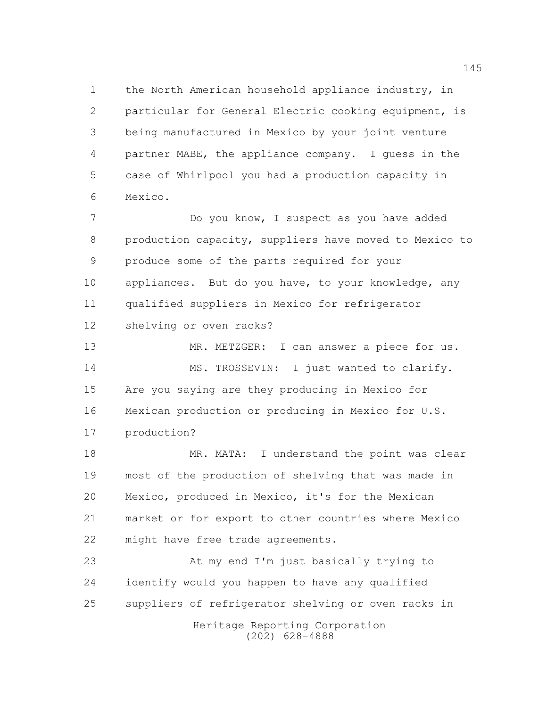the North American household appliance industry, in particular for General Electric cooking equipment, is being manufactured in Mexico by your joint venture partner MABE, the appliance company. I guess in the case of Whirlpool you had a production capacity in Mexico.

 Do you know, I suspect as you have added production capacity, suppliers have moved to Mexico to produce some of the parts required for your appliances. But do you have, to your knowledge, any qualified suppliers in Mexico for refrigerator shelving or oven racks?

13 MR. METZGER: I can answer a piece for us. 14 MS. TROSSEVIN: I just wanted to clarify. Are you saying are they producing in Mexico for Mexican production or producing in Mexico for U.S. production?

18 MR. MATA: I understand the point was clear most of the production of shelving that was made in Mexico, produced in Mexico, it's for the Mexican market or for export to other countries where Mexico might have free trade agreements.

 At my end I'm just basically trying to identify would you happen to have any qualified suppliers of refrigerator shelving or oven racks in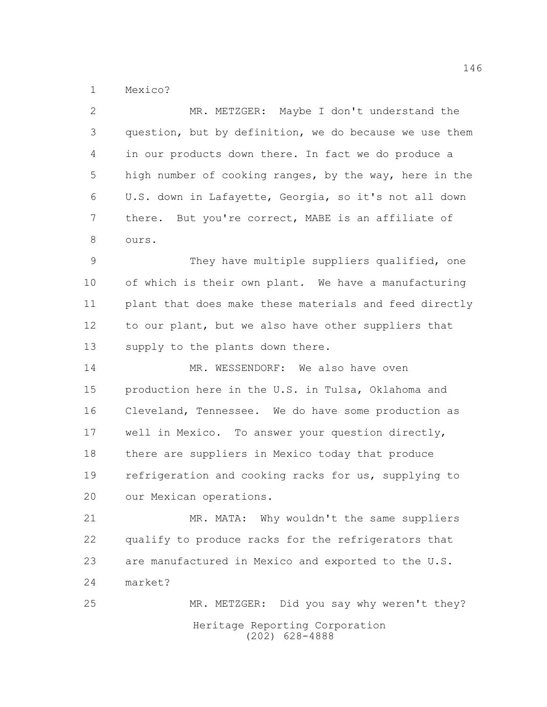Mexico?

| $\mathbf{2}$  | MR. METZGER: Maybe I don't understand the              |
|---------------|--------------------------------------------------------|
| 3             | question, but by definition, we do because we use them |
| 4             | in our products down there. In fact we do produce a    |
| 5             | high number of cooking ranges, by the way, here in the |
| 6             | U.S. down in Lafayette, Georgia, so it's not all down  |
| 7             | there. But you're correct, MABE is an affiliate of     |
| 8             | ours.                                                  |
| $\mathcal{G}$ | They have multiple suppliers qualified, one            |
| 10            | of which is their own plant. We have a manufacturing   |
| 11            | plant that does make these materials and feed directly |
| 12            | to our plant, but we also have other suppliers that    |
| 13            | supply to the plants down there.                       |
| 14            | MR. WESSENDORF: We also have oven                      |
| 15            | production here in the U.S. in Tulsa, Oklahoma and     |
| 16            | Cleveland, Tennessee. We do have some production as    |
| 17            | well in Mexico. To answer your question directly,      |
| 18            | there are suppliers in Mexico today that produce       |
| 19            | refrigeration and cooking racks for us, supplying to   |
| 20            | our Mexican operations.                                |
| 21            | MR. MATA: Why wouldn't the same suppliers              |
| 22            | qualify to produce racks for the refrigerators that    |
| 23            | are manufactured in Mexico and exported to the U.S.    |
| 24            | market?                                                |
| 25            | MR. METZGER: Did you say why weren't they?             |
|               | Heritage Reporting Corporation<br>$(202)$ 628-4888     |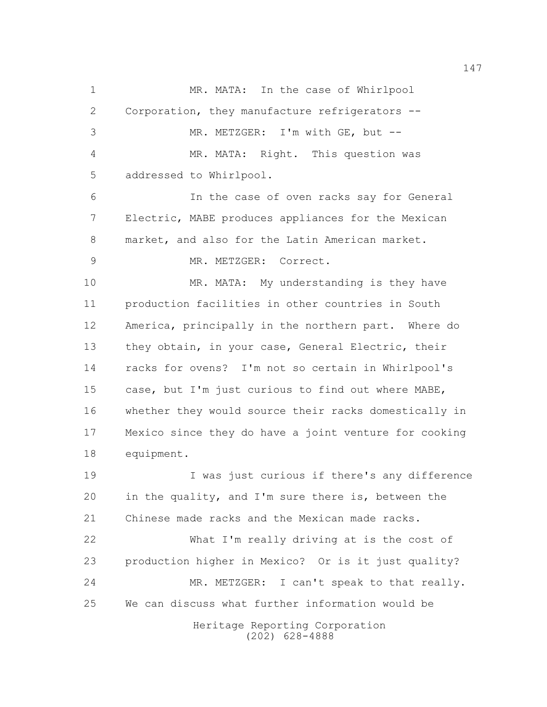Heritage Reporting Corporation (202) 628-4888 1 MR. MATA: In the case of Whirlpool Corporation, they manufacture refrigerators -- MR. METZGER: I'm with GE, but -- MR. MATA: Right. This question was addressed to Whirlpool. In the case of oven racks say for General Electric, MABE produces appliances for the Mexican market, and also for the Latin American market. MR. METZGER: Correct. MR. MATA: My understanding is they have production facilities in other countries in South America, principally in the northern part. Where do they obtain, in your case, General Electric, their racks for ovens? I'm not so certain in Whirlpool's case, but I'm just curious to find out where MABE, whether they would source their racks domestically in Mexico since they do have a joint venture for cooking equipment. I was just curious if there's any difference in the quality, and I'm sure there is, between the Chinese made racks and the Mexican made racks. What I'm really driving at is the cost of production higher in Mexico? Or is it just quality? MR. METZGER: I can't speak to that really. We can discuss what further information would be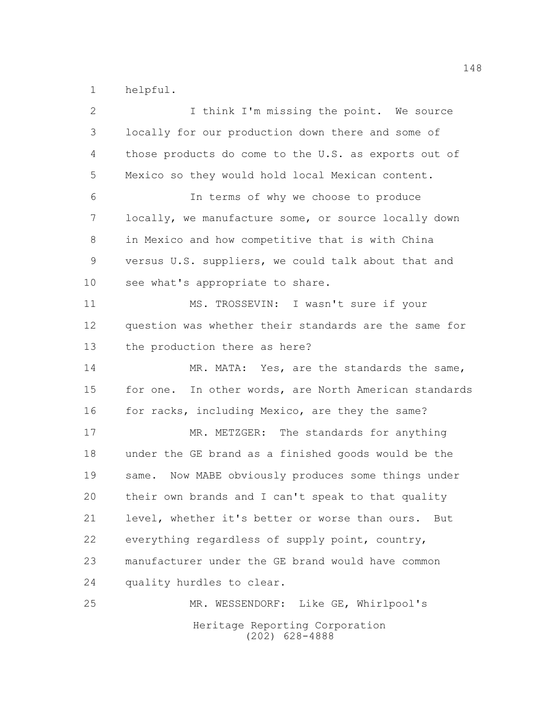helpful.

| $\overline{2}$ | I think I'm missing the point. We source              |
|----------------|-------------------------------------------------------|
| $\mathfrak{Z}$ | locally for our production down there and some of     |
| 4              | those products do come to the U.S. as exports out of  |
| 5              | Mexico so they would hold local Mexican content.      |
| 6              | In terms of why we choose to produce                  |
| 7              | locally, we manufacture some, or source locally down  |
| 8              | in Mexico and how competitive that is with China      |
| $\mathsf 9$    | versus U.S. suppliers, we could talk about that and   |
| 10             | see what's appropriate to share.                      |
| 11             | MS. TROSSEVIN: I wasn't sure if your                  |
| 12             | question was whether their standards are the same for |
| 13             | the production there as here?                         |
| 14             | MR. MATA: Yes, are the standards the same,            |
| 15             | for one. In other words, are North American standards |
| 16             | for racks, including Mexico, are they the same?       |
| 17             | MR. METZGER: The standards for anything               |
| 18             | under the GE brand as a finished goods would be the   |
| 19             | same. Now MABE obviously produces some things under   |
| 20             | their own brands and I can't speak to that quality    |
| 21             | level, whether it's better or worse than ours.<br>But |
| 22             | everything regardless of supply point, country,       |
| 23             | manufacturer under the GE brand would have common     |
| 24             | quality hurdles to clear.                             |
| 25             | MR. WESSENDORF: Like GE, Whirlpool's                  |
|                | Heritage Reporting Corporation<br>$(202)$ 628-4888    |
|                |                                                       |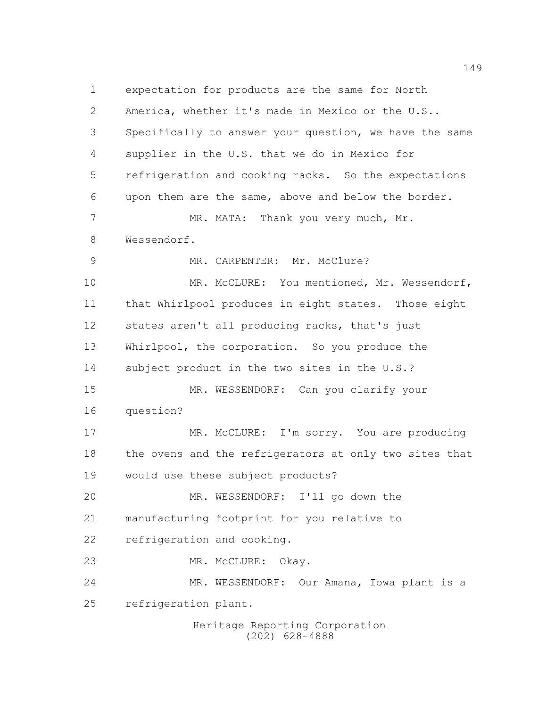expectation for products are the same for North America, whether it's made in Mexico or the U.S.. Specifically to answer your question, we have the same supplier in the U.S. that we do in Mexico for refrigeration and cooking racks. So the expectations upon them are the same, above and below the border. 7 MR. MATA: Thank you very much, Mr. Wessendorf. 9 MR. CARPENTER: Mr. McClure? MR. McCLURE: You mentioned, Mr. Wessendorf, that Whirlpool produces in eight states. Those eight states aren't all producing racks, that's just Whirlpool, the corporation. So you produce the 14 subject product in the two sites in the U.S.? MR. WESSENDORF: Can you clarify your question? 17 MR. McCLURE: I'm sorry. You are producing the ovens and the refrigerators at only two sites that would use these subject products? MR. WESSENDORF: I'll go down the manufacturing footprint for you relative to refrigeration and cooking. MR. McCLURE: Okay. MR. WESSENDORF: Our Amana, Iowa plant is a refrigeration plant.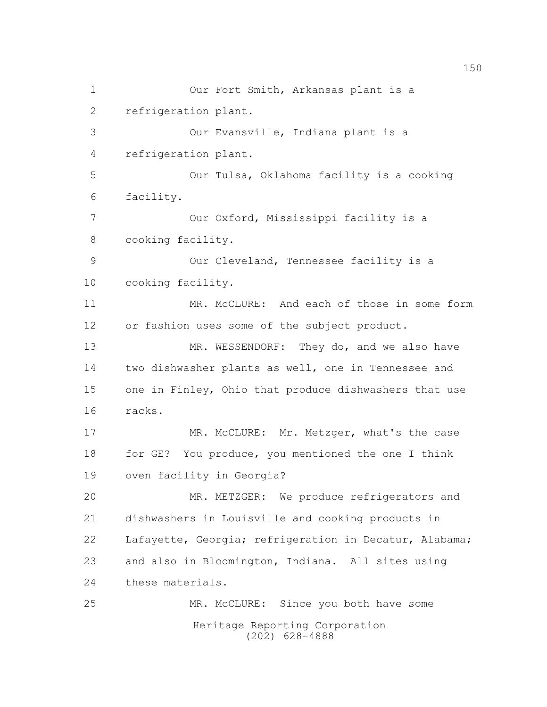Heritage Reporting Corporation (202) 628-4888 Our Fort Smith, Arkansas plant is a refrigeration plant. Our Evansville, Indiana plant is a refrigeration plant. Our Tulsa, Oklahoma facility is a cooking facility. Our Oxford, Mississippi facility is a cooking facility. Our Cleveland, Tennessee facility is a cooking facility. MR. McCLURE: And each of those in some form or fashion uses some of the subject product. 13 MR. WESSENDORF: They do, and we also have two dishwasher plants as well, one in Tennessee and one in Finley, Ohio that produce dishwashers that use racks. 17 MR. McCLURE: Mr. Metzger, what's the case 18 for GE? You produce, you mentioned the one I think oven facility in Georgia? MR. METZGER: We produce refrigerators and dishwashers in Louisville and cooking products in Lafayette, Georgia; refrigeration in Decatur, Alabama; and also in Bloomington, Indiana. All sites using these materials. MR. McCLURE: Since you both have some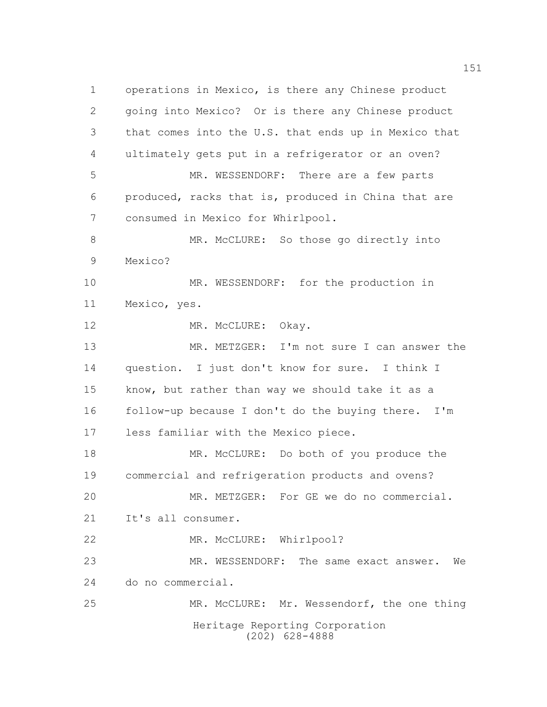Heritage Reporting Corporation (202) 628-4888 operations in Mexico, is there any Chinese product going into Mexico? Or is there any Chinese product that comes into the U.S. that ends up in Mexico that ultimately gets put in a refrigerator or an oven? MR. WESSENDORF: There are a few parts produced, racks that is, produced in China that are consumed in Mexico for Whirlpool. MR. McCLURE: So those go directly into Mexico? MR. WESSENDORF: for the production in Mexico, yes. 12 MR. McCLURE: Okay. 13 MR. METZGER: I'm not sure I can answer the question. I just don't know for sure. I think I know, but rather than way we should take it as a follow-up because I don't do the buying there. I'm less familiar with the Mexico piece. MR. McCLURE: Do both of you produce the commercial and refrigeration products and ovens? MR. METZGER: For GE we do no commercial. It's all consumer. 22 MR. McCLURE: Whirlpool? MR. WESSENDORF: The same exact answer. We do no commercial. MR. McCLURE: Mr. Wessendorf, the one thing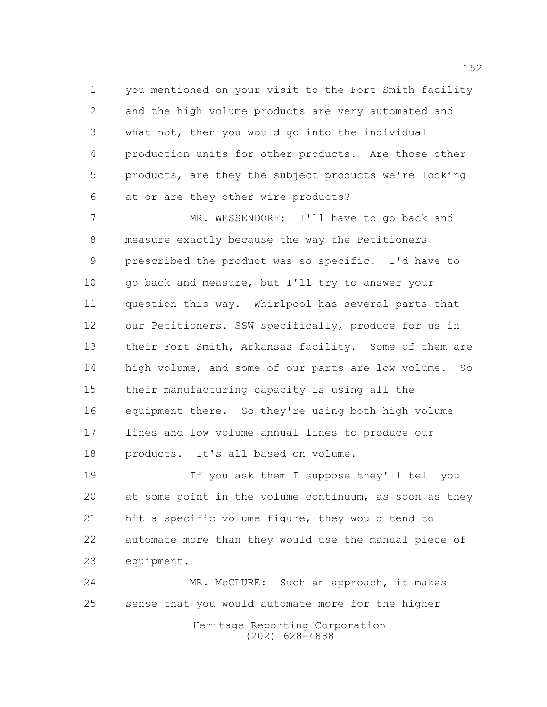you mentioned on your visit to the Fort Smith facility and the high volume products are very automated and what not, then you would go into the individual production units for other products. Are those other products, are they the subject products we're looking at or are they other wire products?

 MR. WESSENDORF: I'll have to go back and measure exactly because the way the Petitioners prescribed the product was so specific. I'd have to 10 go back and measure, but I'll try to answer your question this way. Whirlpool has several parts that our Petitioners. SSW specifically, produce for us in 13 their Fort Smith, Arkansas facility. Some of them are high volume, and some of our parts are low volume. So their manufacturing capacity is using all the equipment there. So they're using both high volume lines and low volume annual lines to produce our products. It's all based on volume.

 If you ask them I suppose they'll tell you at some point in the volume continuum, as soon as they hit a specific volume figure, they would tend to automate more than they would use the manual piece of equipment.

 MR. McCLURE: Such an approach, it makes sense that you would automate more for the higher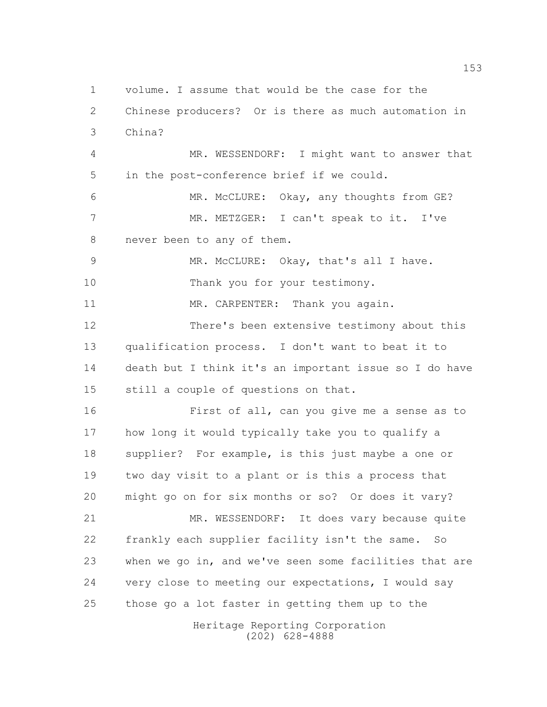Heritage Reporting Corporation volume. I assume that would be the case for the Chinese producers? Or is there as much automation in China? MR. WESSENDORF: I might want to answer that in the post-conference brief if we could. MR. McCLURE: Okay, any thoughts from GE? MR. METZGER: I can't speak to it. I've never been to any of them. MR. McCLURE: Okay, that's all I have. 10 Thank you for your testimony. 11 MR. CARPENTER: Thank you again. There's been extensive testimony about this qualification process. I don't want to beat it to death but I think it's an important issue so I do have still a couple of questions on that. First of all, can you give me a sense as to how long it would typically take you to qualify a supplier? For example, is this just maybe a one or two day visit to a plant or is this a process that might go on for six months or so? Or does it vary? MR. WESSENDORF: It does vary because quite frankly each supplier facility isn't the same. So when we go in, and we've seen some facilities that are very close to meeting our expectations, I would say those go a lot faster in getting them up to the

(202) 628-4888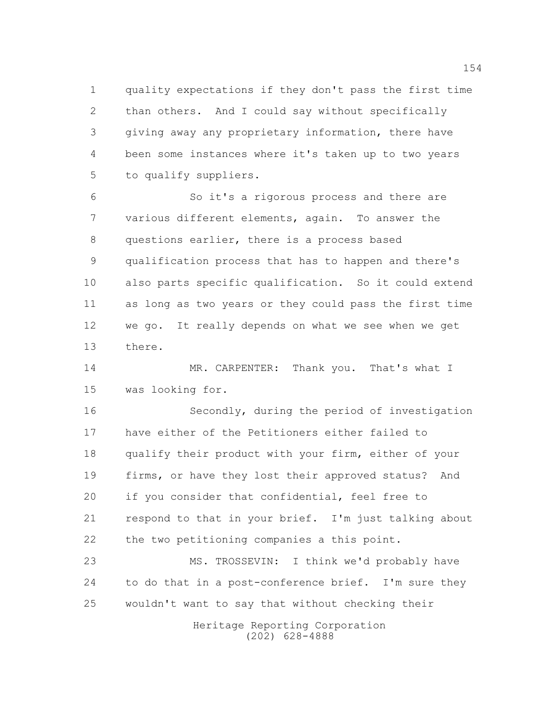quality expectations if they don't pass the first time than others. And I could say without specifically giving away any proprietary information, there have been some instances where it's taken up to two years to qualify suppliers.

 So it's a rigorous process and there are various different elements, again. To answer the questions earlier, there is a process based qualification process that has to happen and there's also parts specific qualification. So it could extend as long as two years or they could pass the first time we go. It really depends on what we see when we get there.

14 MR. CARPENTER: Thank you. That's what I was looking for.

 Secondly, during the period of investigation have either of the Petitioners either failed to qualify their product with your firm, either of your firms, or have they lost their approved status? And if you consider that confidential, feel free to respond to that in your brief. I'm just talking about the two petitioning companies a this point.

 MS. TROSSEVIN: I think we'd probably have 24 to do that in a post-conference brief. I'm sure they wouldn't want to say that without checking their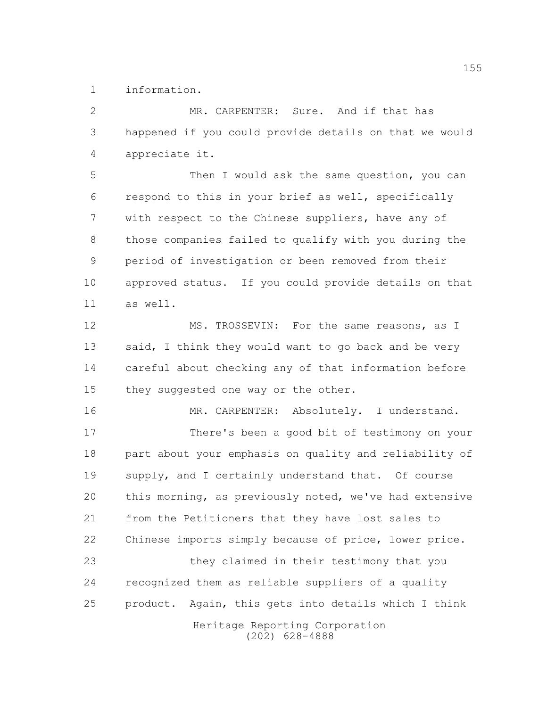information.

 MR. CARPENTER: Sure. And if that has happened if you could provide details on that we would appreciate it.

 Then I would ask the same question, you can respond to this in your brief as well, specifically with respect to the Chinese suppliers, have any of those companies failed to qualify with you during the period of investigation or been removed from their approved status. If you could provide details on that as well.

12 MS. TROSSEVIN: For the same reasons, as I 13 said, I think they would want to go back and be very careful about checking any of that information before 15 they suggested one way or the other.

16 MR. CARPENTER: Absolutely. I understand. There's been a good bit of testimony on your part about your emphasis on quality and reliability of supply, and I certainly understand that. Of course this morning, as previously noted, we've had extensive from the Petitioners that they have lost sales to Chinese imports simply because of price, lower price. they claimed in their testimony that you recognized them as reliable suppliers of a quality product. Again, this gets into details which I think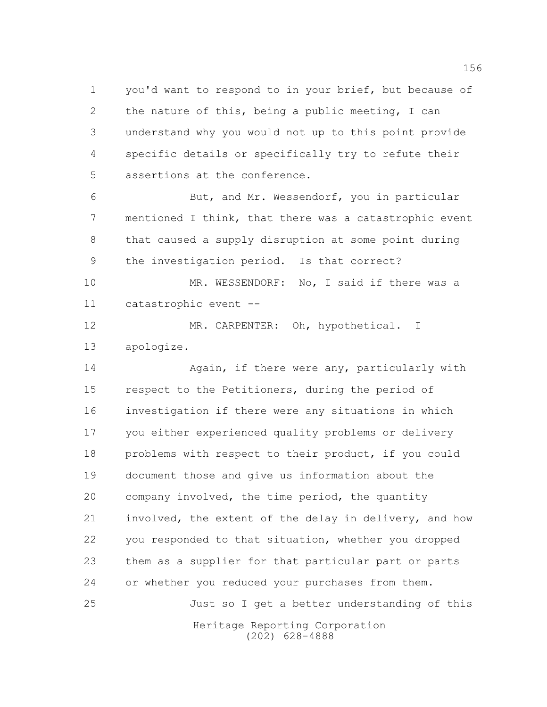you'd want to respond to in your brief, but because of the nature of this, being a public meeting, I can understand why you would not up to this point provide specific details or specifically try to refute their assertions at the conference.

 But, and Mr. Wessendorf, you in particular mentioned I think, that there was a catastrophic event that caused a supply disruption at some point during the investigation period. Is that correct?

10 MR. WESSENDORF: No, I said if there was a catastrophic event --

 MR. CARPENTER: Oh, hypothetical. I apologize.

14 Again, if there were any, particularly with respect to the Petitioners, during the period of investigation if there were any situations in which you either experienced quality problems or delivery problems with respect to their product, if you could document those and give us information about the company involved, the time period, the quantity involved, the extent of the delay in delivery, and how you responded to that situation, whether you dropped them as a supplier for that particular part or parts or whether you reduced your purchases from them. Just so I get a better understanding of this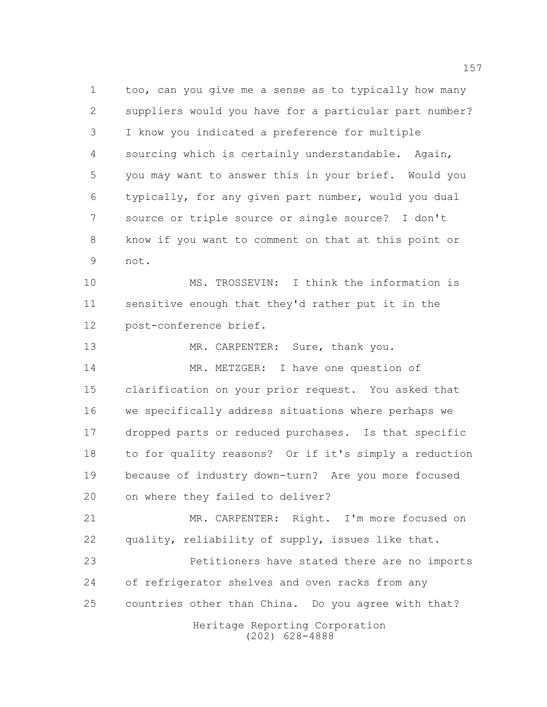too, can you give me a sense as to typically how many suppliers would you have for a particular part number? I know you indicated a preference for multiple sourcing which is certainly understandable. Again, you may want to answer this in your brief. Would you typically, for any given part number, would you dual source or triple source or single source? I don't know if you want to comment on that at this point or not.

10 MS. TROSSEVIN: I think the information is sensitive enough that they'd rather put it in the post-conference brief.

13 MR. CARPENTER: Sure, thank you. MR. METZGER: I have one question of clarification on your prior request. You asked that we specifically address situations where perhaps we dropped parts or reduced purchases. Is that specific to for quality reasons? Or if it's simply a reduction because of industry down-turn? Are you more focused on where they failed to deliver?

 MR. CARPENTER: Right. I'm more focused on quality, reliability of supply, issues like that.

 Petitioners have stated there are no imports of refrigerator shelves and oven racks from any countries other than China. Do you agree with that?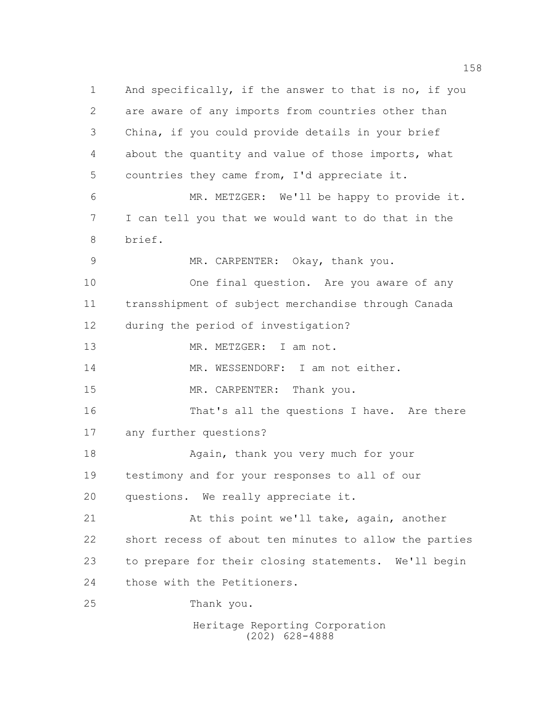Heritage Reporting Corporation And specifically, if the answer to that is no, if you are aware of any imports from countries other than China, if you could provide details in your brief about the quantity and value of those imports, what countries they came from, I'd appreciate it. MR. METZGER: We'll be happy to provide it. I can tell you that we would want to do that in the brief. MR. CARPENTER: Okay, thank you. 10 One final question. Are you aware of any transshipment of subject merchandise through Canada during the period of investigation? 13 MR. METZGER: I am not. 14 MR. WESSENDORF: I am not either. 15 MR. CARPENTER: Thank you. That's all the questions I have. Are there any further questions? 18 Again, thank you very much for your testimony and for your responses to all of our questions. We really appreciate it. At this point we'll take, again, another short recess of about ten minutes to allow the parties to prepare for their closing statements. We'll begin those with the Petitioners. Thank you.

(202) 628-4888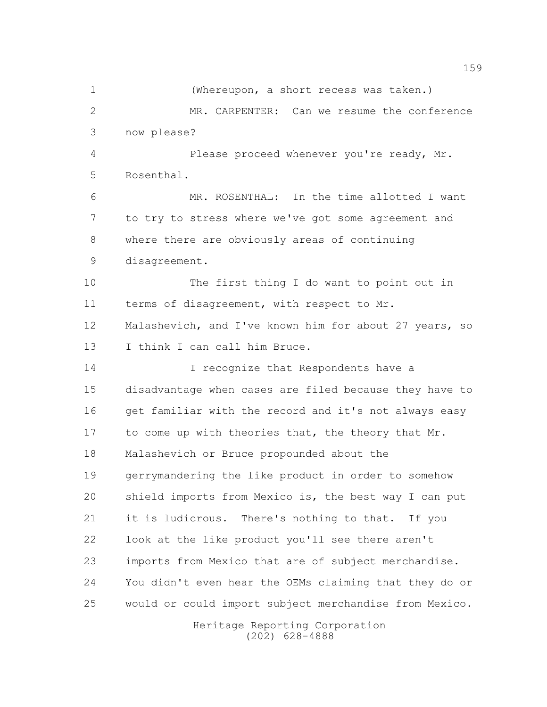(Whereupon, a short recess was taken.) MR. CARPENTER: Can we resume the conference now please? Please proceed whenever you're ready, Mr. Rosenthal. MR. ROSENTHAL: In the time allotted I want to try to stress where we've got some agreement and where there are obviously areas of continuing disagreement. The first thing I do want to point out in 11 terms of disagreement, with respect to Mr. Malashevich, and I've known him for about 27 years, so 13 I think I can call him Bruce. 14 I recognize that Respondents have a disadvantage when cases are filed because they have to get familiar with the record and it's not always easy to come up with theories that, the theory that Mr. Malashevich or Bruce propounded about the gerrymandering the like product in order to somehow shield imports from Mexico is, the best way I can put it is ludicrous. There's nothing to that. If you look at the like product you'll see there aren't imports from Mexico that are of subject merchandise. You didn't even hear the OEMs claiming that they do or would or could import subject merchandise from Mexico.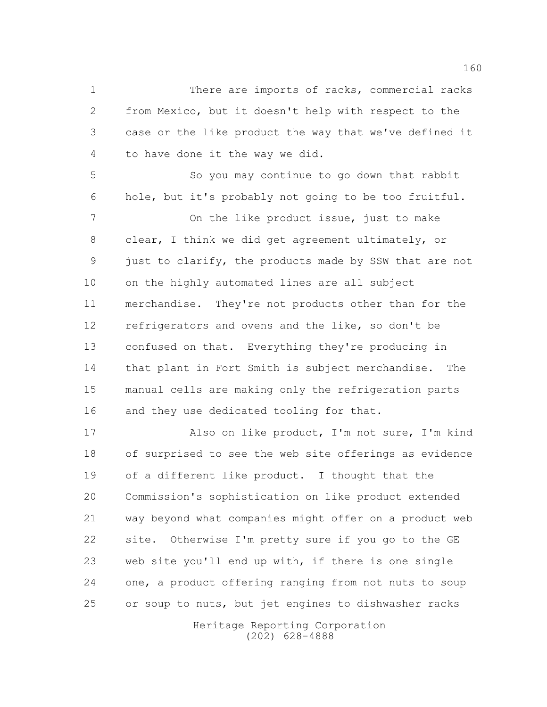There are imports of racks, commercial racks from Mexico, but it doesn't help with respect to the case or the like product the way that we've defined it to have done it the way we did.

 So you may continue to go down that rabbit hole, but it's probably not going to be too fruitful.

 On the like product issue, just to make clear, I think we did get agreement ultimately, or just to clarify, the products made by SSW that are not on the highly automated lines are all subject merchandise. They're not products other than for the refrigerators and ovens and the like, so don't be confused on that. Everything they're producing in that plant in Fort Smith is subject merchandise. The manual cells are making only the refrigeration parts 16 and they use dedicated tooling for that.

 Also on like product, I'm not sure, I'm kind of surprised to see the web site offerings as evidence of a different like product. I thought that the Commission's sophistication on like product extended way beyond what companies might offer on a product web site. Otherwise I'm pretty sure if you go to the GE web site you'll end up with, if there is one single one, a product offering ranging from not nuts to soup or soup to nuts, but jet engines to dishwasher racks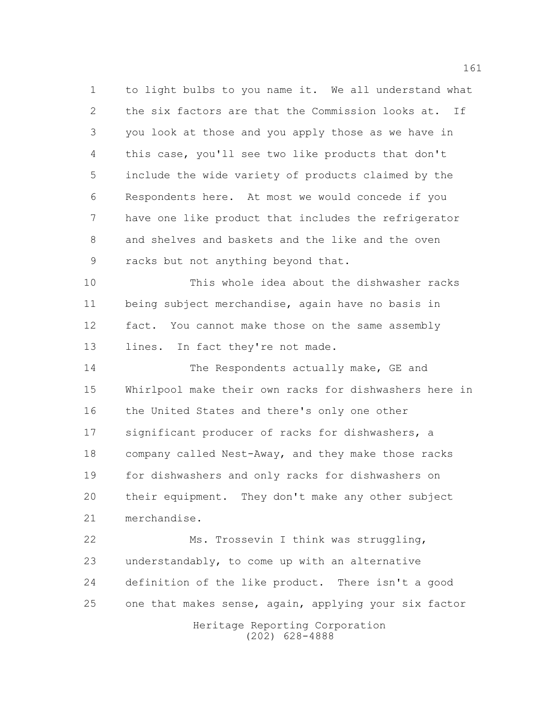to light bulbs to you name it. We all understand what the six factors are that the Commission looks at. If you look at those and you apply those as we have in this case, you'll see two like products that don't include the wide variety of products claimed by the Respondents here. At most we would concede if you have one like product that includes the refrigerator and shelves and baskets and the like and the oven racks but not anything beyond that.

 This whole idea about the dishwasher racks being subject merchandise, again have no basis in fact. You cannot make those on the same assembly 13 lines. In fact they're not made.

14 The Respondents actually make, GE and Whirlpool make their own racks for dishwashers here in 16 the United States and there's only one other significant producer of racks for dishwashers, a company called Nest-Away, and they make those racks for dishwashers and only racks for dishwashers on their equipment. They don't make any other subject merchandise.

 Ms. Trossevin I think was struggling, understandably, to come up with an alternative definition of the like product. There isn't a good one that makes sense, again, applying your six factor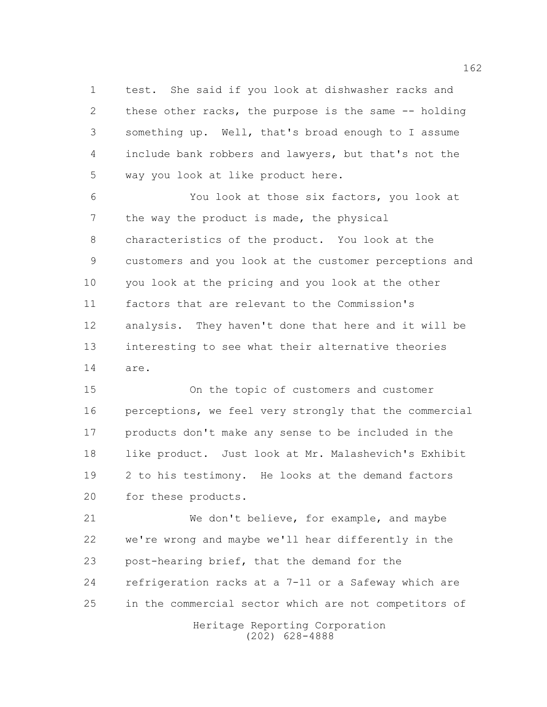test. She said if you look at dishwasher racks and these other racks, the purpose is the same -- holding something up. Well, that's broad enough to I assume include bank robbers and lawyers, but that's not the way you look at like product here.

 You look at those six factors, you look at 7 the way the product is made, the physical characteristics of the product. You look at the customers and you look at the customer perceptions and you look at the pricing and you look at the other factors that are relevant to the Commission's analysis. They haven't done that here and it will be interesting to see what their alternative theories are.

 On the topic of customers and customer 16 perceptions, we feel very strongly that the commercial products don't make any sense to be included in the like product. Just look at Mr. Malashevich's Exhibit 2 to his testimony. He looks at the demand factors for these products.

Heritage Reporting Corporation We don't believe, for example, and maybe we're wrong and maybe we'll hear differently in the post-hearing brief, that the demand for the refrigeration racks at a 7-11 or a Safeway which are in the commercial sector which are not competitors of

(202) 628-4888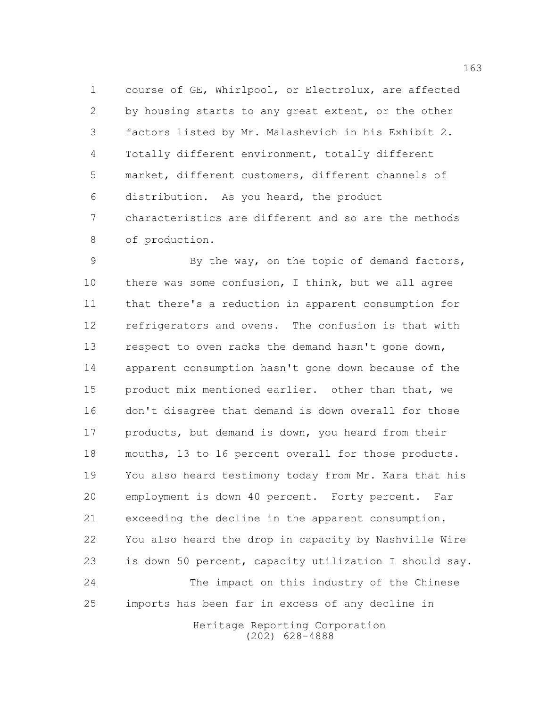course of GE, Whirlpool, or Electrolux, are affected by housing starts to any great extent, or the other factors listed by Mr. Malashevich in his Exhibit 2. Totally different environment, totally different market, different customers, different channels of distribution. As you heard, the product characteristics are different and so are the methods of production.

 By the way, on the topic of demand factors, 10 there was some confusion, I think, but we all agree that there's a reduction in apparent consumption for refrigerators and ovens. The confusion is that with 13 respect to oven racks the demand hasn't gone down, apparent consumption hasn't gone down because of the product mix mentioned earlier. other than that, we don't disagree that demand is down overall for those 17 products, but demand is down, you heard from their mouths, 13 to 16 percent overall for those products. You also heard testimony today from Mr. Kara that his employment is down 40 percent. Forty percent. Far exceeding the decline in the apparent consumption. You also heard the drop in capacity by Nashville Wire is down 50 percent, capacity utilization I should say. The impact on this industry of the Chinese imports has been far in excess of any decline in

> Heritage Reporting Corporation (202) 628-4888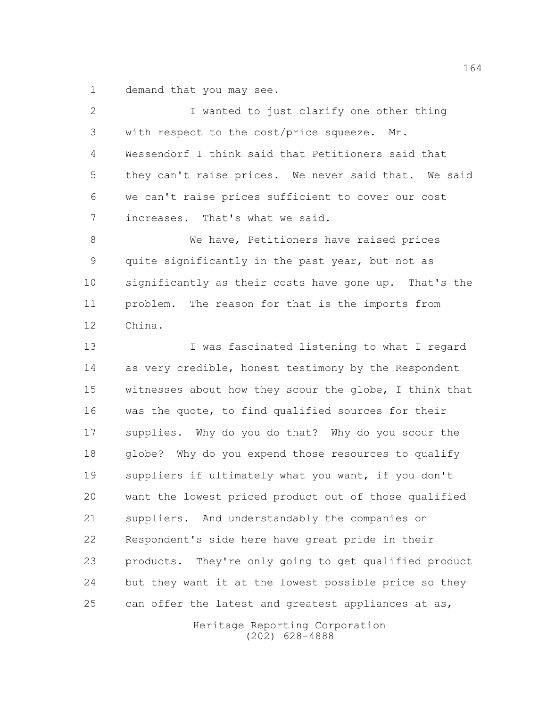demand that you may see.

| 2  | I wanted to just clarify one other thing               |
|----|--------------------------------------------------------|
| 3  | with respect to the cost/price squeeze.<br>Mr.         |
| 4  | Wessendorf I think said that Petitioners said that     |
| 5  | they can't raise prices. We never said that. We said   |
| 6  | we can't raise prices sufficient to cover our cost     |
| 7  | increases. That's what we said.                        |
| 8  | We have, Petitioners have raised prices                |
| 9  | quite significantly in the past year, but not as       |
| 10 | significantly as their costs have gone up. That's the  |
| 11 | problem. The reason for that is the imports from       |
| 12 | China.                                                 |
| 13 | I was fascinated listening to what I regard            |
| 14 | as very credible, honest testimony by the Respondent   |
| 15 | witnesses about how they scour the globe, I think that |
| 16 | was the quote, to find qualified sources for their     |
| 17 | supplies. Why do you do that? Why do you scour the     |
| 18 | globe? Why do you expend those resources to qualify    |
| 19 | suppliers if ultimately what you want, if you don't    |
| 20 | want the lowest priced product out of those qualified  |
| 21 | suppliers. And understandably the companies on         |
| 22 | Respondent's side here have great pride in their       |
| 23 | products. They're only going to get qualified product  |
| 24 | but they want it at the lowest possible price so they  |
| 25 | can offer the latest and greatest appliances at as,    |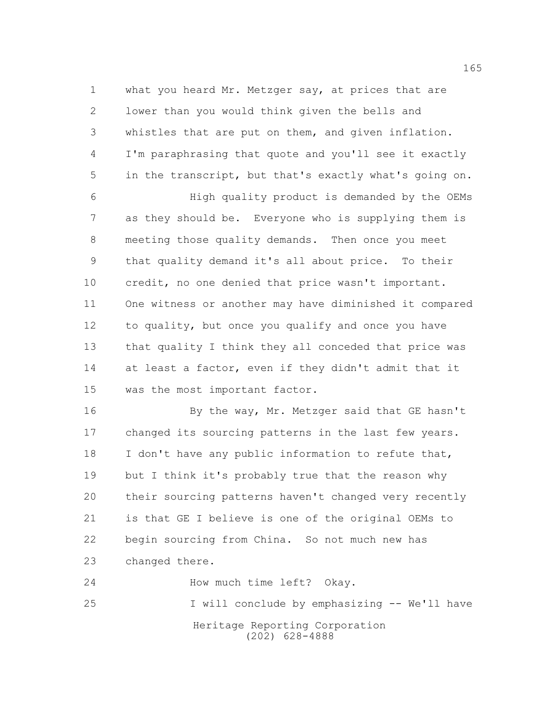what you heard Mr. Metzger say, at prices that are lower than you would think given the bells and whistles that are put on them, and given inflation. I'm paraphrasing that quote and you'll see it exactly in the transcript, but that's exactly what's going on. High quality product is demanded by the OEMs as they should be. Everyone who is supplying them is

 meeting those quality demands. Then once you meet that quality demand it's all about price. To their credit, no one denied that price wasn't important. One witness or another may have diminished it compared to quality, but once you qualify and once you have that quality I think they all conceded that price was 14 at least a factor, even if they didn't admit that it was the most important factor.

16 By the way, Mr. Metzger said that GE hasn't changed its sourcing patterns in the last few years. 18 I don't have any public information to refute that, but I think it's probably true that the reason why their sourcing patterns haven't changed very recently is that GE I believe is one of the original OEMs to begin sourcing from China. So not much new has changed there.

Heritage Reporting Corporation (202) 628-4888 24 How much time left? Okay. I will conclude by emphasizing -- We'll have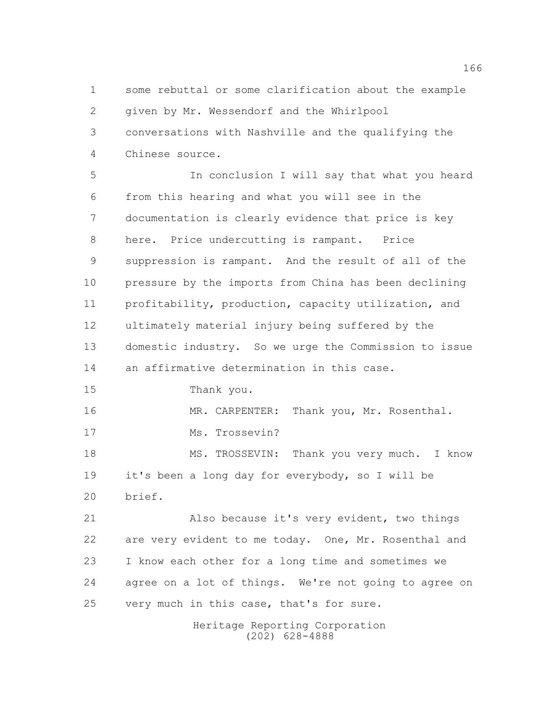some rebuttal or some clarification about the example given by Mr. Wessendorf and the Whirlpool conversations with Nashville and the qualifying the Chinese source.

 In conclusion I will say that what you heard from this hearing and what you will see in the documentation is clearly evidence that price is key here. Price undercutting is rampant. Price suppression is rampant. And the result of all of the pressure by the imports from China has been declining profitability, production, capacity utilization, and ultimately material injury being suffered by the domestic industry. So we urge the Commission to issue an affirmative determination in this case. Thank you. MR. CARPENTER: Thank you, Mr. Rosenthal. 17 Ms. Trossevin? MS. TROSSEVIN: Thank you very much. I know it's been a long day for everybody, so I will be brief. Also because it's very evident, two things 22 are very evident to me today. One, Mr. Rosenthal and I know each other for a long time and sometimes we agree on a lot of things. We're not going to agree on very much in this case, that's for sure.

> Heritage Reporting Corporation (202) 628-4888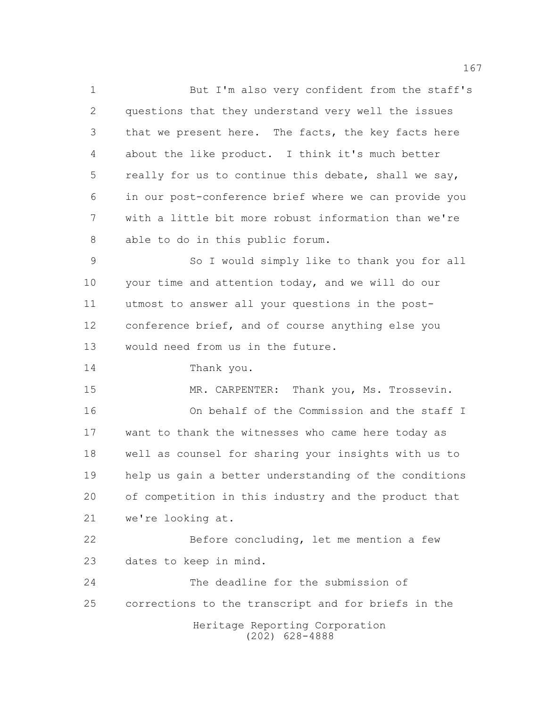But I'm also very confident from the staff's questions that they understand very well the issues that we present here. The facts, the key facts here about the like product. I think it's much better really for us to continue this debate, shall we say, in our post-conference brief where we can provide you with a little bit more robust information than we're able to do in this public forum.

 So I would simply like to thank you for all your time and attention today, and we will do our utmost to answer all your questions in the post- conference brief, and of course anything else you would need from us in the future.

Thank you.

15 MR. CARPENTER: Thank you, Ms. Trossevin. On behalf of the Commission and the staff I want to thank the witnesses who came here today as well as counsel for sharing your insights with us to help us gain a better understanding of the conditions of competition in this industry and the product that we're looking at.

 Before concluding, let me mention a few dates to keep in mind.

 The deadline for the submission of corrections to the transcript and for briefs in the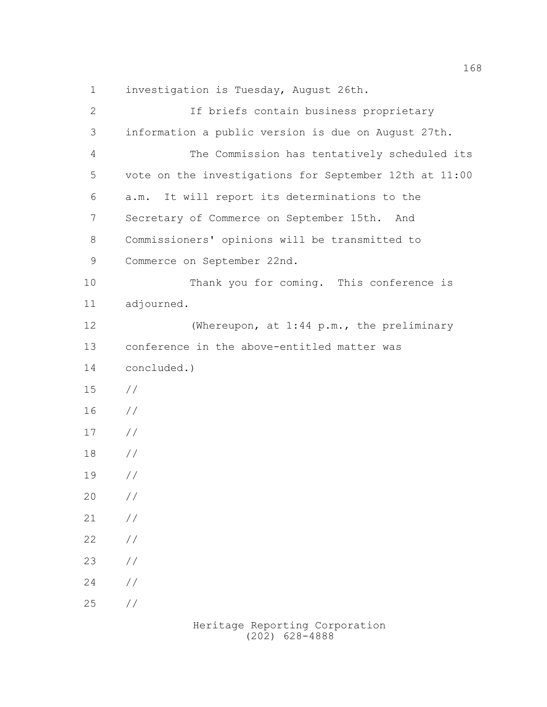investigation is Tuesday, August 26th.

| $\mathbf{2}$  | If briefs contain business proprietary                 |
|---------------|--------------------------------------------------------|
| 3             | information a public version is due on August 27th.    |
| 4             | The Commission has tentatively scheduled its           |
| 5             | vote on the investigations for September 12th at 11:00 |
| 6             | It will report its determinations to the<br>a.m.       |
| 7             | Secretary of Commerce on September 15th. And           |
| $\,8\,$       | Commissioners' opinions will be transmitted to         |
| $\mathcal{G}$ | Commerce on September 22nd.                            |
| 10            | Thank you for coming. This conference is               |
| 11            | adjourned.                                             |
| 12            | (Whereupon, at 1:44 p.m., the preliminary              |
| 13            | conference in the above-entitled matter was            |
| 14            | concluded.)                                            |
| 15            | $\frac{1}{2}$                                          |
| 16            | $\frac{1}{2}$                                          |
| 17            | $\frac{1}{2}$                                          |
| 18            | $\frac{1}{2}$                                          |
| 19            | $\frac{1}{2}$                                          |
| 20            | $\frac{1}{2}$                                          |
| 21            | //                                                     |
| 22            | $\!/\!$                                                |
| 23            | $\!/\!$                                                |
| 24            | $\!/\!$                                                |
| 25            | //                                                     |
|               |                                                        |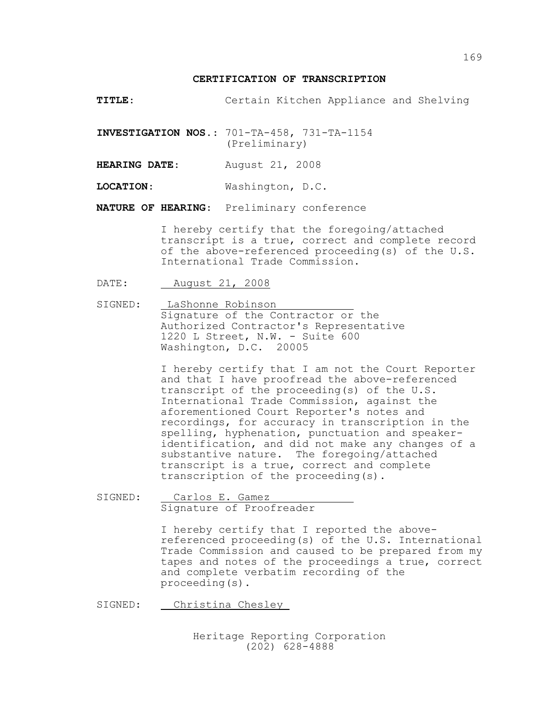**TITLE**: Certain Kitchen Appliance and Shelving

**INVESTIGATION NOS.**: 701-TA-458, 731-TA-1154 (Preliminary)

**HEARING DATE**: August 21, 2008

**LOCATION**: Washington, D.C.

**NATURE OF HEARING**: Preliminary conference

I hereby certify that the foregoing/attached transcript is a true, correct and complete record of the above-referenced proceeding(s) of the U.S. International Trade Commission.

DATE: August 21, 2008

SIGNED: LaShonne Robinson Signature of the Contractor or the Authorized Contractor's Representative 1220 L Street, N.W. - Suite 600 Washington, D.C. 20005

> I hereby certify that I am not the Court Reporter and that I have proofread the above-referenced transcript of the proceeding(s) of the U.S. International Trade Commission, against the aforementioned Court Reporter's notes and recordings, for accuracy in transcription in the spelling, hyphenation, punctuation and speakeridentification, and did not make any changes of a substantive nature. The foregoing/attached transcript is a true, correct and complete transcription of the proceeding(s).

SIGNED: Carlos E. Gamez Signature of Proofreader

> I hereby certify that I reported the abovereferenced proceeding(s) of the U.S. International Trade Commission and caused to be prepared from my tapes and notes of the proceedings a true, correct and complete verbatim recording of the proceeding(s).

SIGNED: Christina Chesley